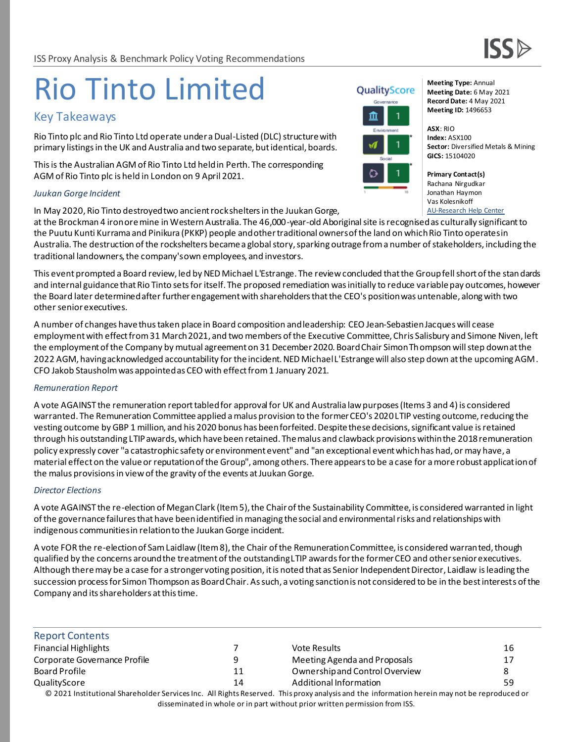# Rio Tinto Limited

# Key Takeaways

Rio Tinto plc and Rio Tinto Ltd operate under a Dual-Listed (DLC) structure with primary listings in the UK and Australia and two separate, but identical, boards.

This is the Australian AGM of Rio Tinto Ltd held in Perth. The corresponding AGM of Rio Tinto plc is held in London on 9 April 2021.

#### *Juukan Gorge Incident*

In May 2020, Rio Tinto destroyed two ancient rock shelters in the Juukan Gorge,

at the Brockman 4 iron ore mine in Western Australia. The 46,000-year-old Aboriginal site is recognised as culturally significant to the Puutu Kunti Kurrama and Pinikura (PKKP) people and other traditional owners of the land on which Rio Tinto operates in Australia. The destruction of the rockshelters became a global story, sparking outrage from a number of stakeholders, including the traditional landowners, the company'sown employees, and investors.

This event prompted a Board review, led by NED Michael L'Estrange. The review concluded that the Group fell short of the standards and internal guidance that Rio Tinto sets for itself. The proposed remediation was initially to reduce variable pay outcomes, however the Board later determined after further engagement with shareholders that the CEO's position was untenable, along with two other senior executives.

A number of changes have thus taken place in Board composition and leadership: CEO Jean-Sebastien Jacques will cease employment with effect from 31 March 2021, and two members of the Executive Committee, Chris Salisbury and Simone Niven, left the employment of the Company by mutual agreement on 31 December 2020. Board Chair Simon Thompson will step down at the 2022 AGM, having acknowledged accountability for the incident. NED Michael L'Estrange will also step down at the upcoming AGM. CFO Jakob Stausholm was appointed as CEO with effect from 1 January 2021.

### *Remuneration Report*

A vote AGAINST the remuneration report tabled for approval for UK and Australia law purposes (Items 3 and 4) is considered warranted. The Remuneration Committee applied a malus provision to the former CEO's 2020 LTIP vesting outcome, reducing the vesting outcome by GBP 1 million, and his 2020 bonus has been forfeited. Despite these decisions, significant value is retained through his outstanding LTIP awards, which have been retained. The malus and clawback provisions within the 2018 remuneration policy expressly cover "a catastrophic safety or environment event" and "an exceptional event which has had, or may have, a material effect on the value or reputation of the Group", among others. There appears to be a case for a more robust application of the malus provisions in view of the gravity of the events at Juukan Gorge.

### *Director Elections*

A vote AGAINST the re-election of Megan Clark (Item 5), the Chair of the Sustainability Committee, is considered warranted in light of the governance failures that have been identified in managing the social and environmental risks and relationships with indigenous communities in relation to the Juukan Gorge incident.

A vote FOR the re-election of Sam Laidlaw (Item 8), the Chair of the Remuneration Committee, is considered warranted, though qualified by the concerns around the treatment of the outstanding LTIP awards for the former CEO and other senior executives. Although there may be a case for a stronger voting position, it is noted that as Senior Independent Director, Laidlaw is leading the succession process for Simon Thompson as Board Chair. As such, a voting sanction is not considered to be in the best interests of the Company and its shareholders at this time.

| <b>Report Contents</b>       |    |                                                                                                                                             |    |
|------------------------------|----|---------------------------------------------------------------------------------------------------------------------------------------------|----|
| <b>Financial Highlights</b>  |    | Vote Results                                                                                                                                | 16 |
| Corporate Governance Profile | q  | Meeting Agenda and Proposals                                                                                                                | 17 |
| Board Profile                | 11 | Ownership and Control Overview                                                                                                              | 8  |
| QualityScore                 | 14 | Additional Information                                                                                                                      | 59 |
|                              |    | © 2021 Institutional Shareholder Services Inc. All Rights Reserved. This proxy analysis and the information herein may not be reproduced or |    |
|                              |    | disseminated in whole or in part without prior written permission from ISS.                                                                 |    |



**Meeting Type:** Annual **Meeting Date:** 6 May 2021 **Record Date:** 4 May 2021 **Meeting ID:** 1496653

**ASX**: RIO **Index:** ASX100 **Sector:** Diversified Metals & Mining **GICS:** 15104020

**Primary Contact(s)** Rachana Nirgudkar Jonathan Haymon Vas Kolesnikoff [AU-Research Help Center](https://issgovernance.service-now.com/csp)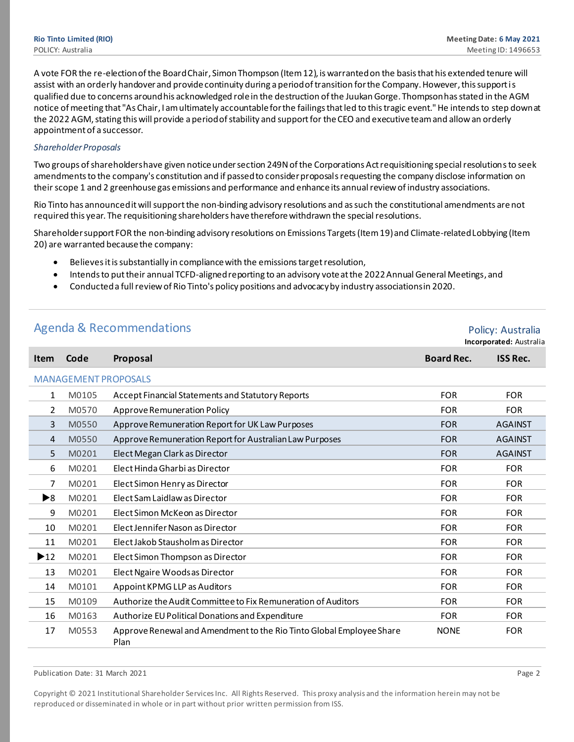A vote FOR the re-election of the Board Chair, Simon Thompson (Item 12), is warranted on the basis that his extended tenure will assist with an orderly handover and provide continuity during a period of transition for the Company. However, this support is qualified due to concerns around his acknowledged role in the destruction of the Juukan Gorge. Thompson has stated in the AGM notice of meeting that "As Chair, I am ultimately accountable for the failings that led to this tragic event." He intends to step down at the 2022 AGM, stating this will provide a period of stability and support for the CEO and executive team and allow an orderly appointment of a successor.

#### *Shareholder Proposals*

Two groups of shareholders have given notice under section 249N of the Corporations Act requisitioning special resolutionsto seek amendments to the company's constitution and if passed to consider proposalsrequesting the company disclose information on their scope 1 and 2 greenhouse gas emissions and performance and enhance its annual review of industry associations.

Rio Tinto has announced it will support the non-binding advisory resolutions and as such the constitutional amendments arenot required this year. The requisitioning shareholders have therefore withdrawn the special resolutions.

Shareholder support FOR the non-binding advisory resolutions on Emissions Targets (Item 19) and Climate-related Lobbying (Item 20) are warranted because the company:

- Believes it is substantially in compliance with the emissions target resolution,
- Intends to put their annual TCFD-aligned reporting to an advisory vote at the 2022 Annual General Meetings, and
- Conducted a full review of Rio Tinto's policy positions and advocacy by industry associations in 2020.

|                          | <b>Agenda &amp; Recommendations</b> | Policy: Australia<br>Incorporated: Australia                                 |                   |                 |
|--------------------------|-------------------------------------|------------------------------------------------------------------------------|-------------------|-----------------|
| <b>Item</b>              | Code                                | Proposal                                                                     | <b>Board Rec.</b> | <b>ISS Rec.</b> |
|                          |                                     | <b>MANAGEMENT PROPOSALS</b>                                                  |                   |                 |
| 1                        | M0105                               | Accept Financial Statements and Statutory Reports                            | <b>FOR</b>        | <b>FOR</b>      |
| 2                        | M0570                               | Approve Remuneration Policy                                                  | <b>FOR</b>        | <b>FOR</b>      |
| 3                        | M0550                               | Approve Remuneration Report for UK Law Purposes                              | <b>FOR</b>        | <b>AGAINST</b>  |
| 4                        | M0550                               | Approve Remuneration Report for Australian Law Purposes                      | <b>FOR</b>        | <b>AGAINST</b>  |
| 5                        | M0201                               | Elect Megan Clark as Director                                                | <b>FOR</b>        | <b>AGAINST</b>  |
| 6                        | M0201                               | Elect Hinda Gharbi as Director                                               | <b>FOR</b>        | <b>FOR</b>      |
| 7                        | M0201                               | Elect Simon Henry as Director                                                | <b>FOR</b>        | <b>FOR</b>      |
| ▶8                       | M0201                               | Elect Sam Laidlaw as Director                                                | <b>FOR</b>        | <b>FOR</b>      |
| 9                        | M0201                               | Elect Simon McKeon as Director                                               | <b>FOR</b>        | <b>FOR</b>      |
| 10                       | M0201                               | Elect Jennifer Nason as Director                                             | <b>FOR</b>        | <b>FOR</b>      |
| 11                       | M0201                               | Elect Jakob Stausholm as Director                                            | <b>FOR</b>        | <b>FOR</b>      |
| $\blacktriangleright$ 12 | M0201                               | Elect Simon Thompson as Director                                             | <b>FOR</b>        | <b>FOR</b>      |
| 13                       | M0201                               | Elect Ngaire Woodsas Director                                                | <b>FOR</b>        | <b>FOR</b>      |
| 14                       | M0101                               | Appoint KPMG LLP as Auditors                                                 | <b>FOR</b>        | <b>FOR</b>      |
| 15                       | M0109                               | Authorize the Audit Committee to Fix Remuneration of Auditors                | <b>FOR</b>        | <b>FOR</b>      |
| 16                       | M0163                               | Authorize EU Political Donations and Expenditure                             | <b>FOR</b>        | <b>FOR</b>      |
| 17                       | M0553                               | Approve Renewal and Amendment to the Rio Tinto Global Employee Share<br>Plan | <b>NONE</b>       | <b>FOR</b>      |

Publication Date: 31 March 2021 Page 2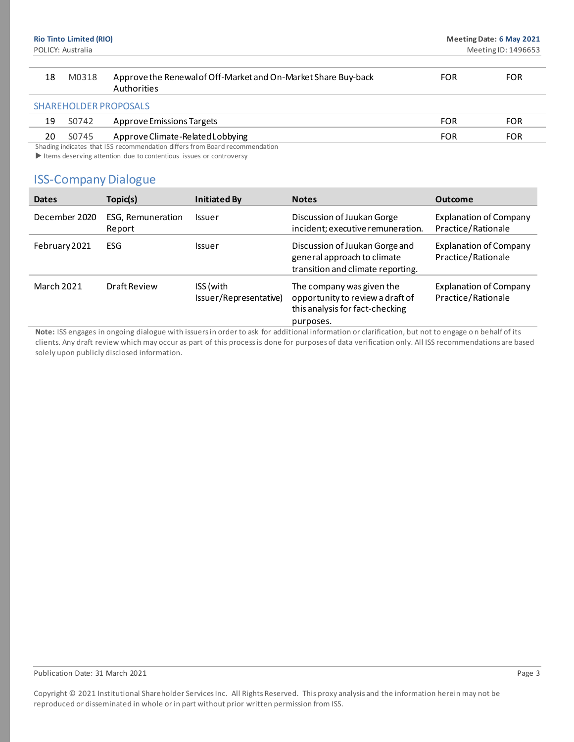| M0318 | Approve the Renewal of Off-Market and On-Market Share Buy-back<br>Authorities | FOR | FOR |
|-------|-------------------------------------------------------------------------------|-----|-----|
|       | SHAREHOLDER PROPOSALS                                                         |     |     |

| 19 | S0742 | Approve Emissions Targets        | FOR        |
|----|-------|----------------------------------|------------|
| 20 | S0745 | Approve Climate-Related Lobbying | <b>FOR</b> |
|    |       |                                  |            |

Shading indicates that ISS recommendation differs from Board recommendation

Items deserving attention due to contentious issues or controversy

# ISS-Company Dialogue

| <b>Dates</b>      | Topic(s)                    | <b>Initiated By</b>                 | <b>Notes</b>                                                                                                  | <b>Outcome</b>                                      |
|-------------------|-----------------------------|-------------------------------------|---------------------------------------------------------------------------------------------------------------|-----------------------------------------------------|
| December 2020     | ESG, Remuneration<br>Report | <b>Issuer</b>                       | Discussion of Juukan Gorge<br>incident; executive remuneration.                                               | <b>Explanation of Company</b><br>Practice/Rationale |
| February 2021     | ESG                         | <b>Issuer</b>                       | Discussion of Juukan Gorge and<br>general approach to climate<br>transition and climate reporting.            | <b>Explanation of Company</b><br>Practice/Rationale |
| <b>March 2021</b> | Draft Review                | ISS (with<br>Issuer/Representative) | The company was given the<br>opportunity to review a draft of<br>this analysis for fact-checking<br>purposes. | <b>Explanation of Company</b><br>Practice/Rationale |

**Note:** ISS engages in ongoing dialogue with issuers in order to ask for additional information or clarification, but not to engage o n behalf of its clients. Any draft review which may occur as part of this process is done for purposes of data verification only. All ISS recommendations are based solely upon publicly disclosed information.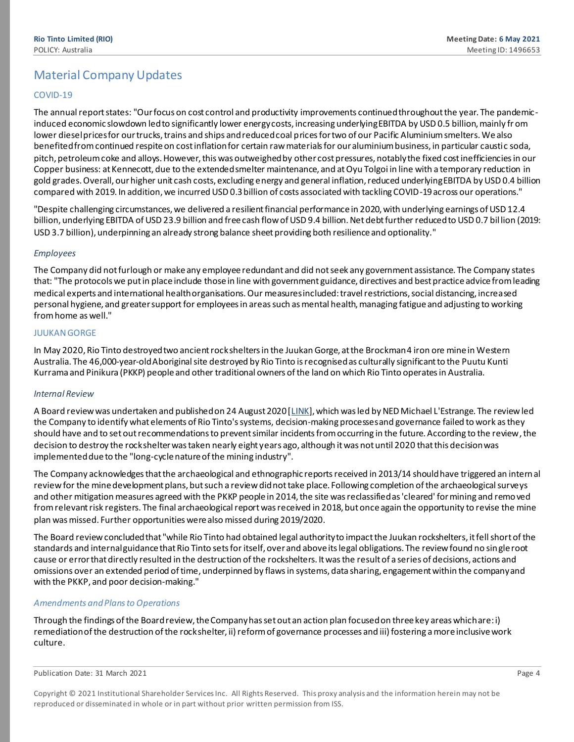# Material Company Updates

#### COVID-19

The annual report states: "Our focus on cost control and productivity improvements continued throughout the year. The pandemicinduced economic slowdown led to significantly lower energy costs, increasing underlying EBITDA by USD 0.5 billion, mainly fr om lower diesel prices for our trucks, trains and ships and reduced coal prices for two of our Pacific Aluminium smelters. We also benefited from continued respite on cost inflation for certain raw materials for our aluminium business, in particular caustic soda, pitch, petroleum coke and alloys. However, this was outweighed by other cost pressures, notably the fixed cost inefficiencies in our Copper business: at Kennecott, due to the extended smelter maintenance, and at Oyu Tolgoi in line with a temporary reduction in gold grades. Overall, our higher unit cash costs, excluding energy and general inflation, reduced underlying EBITDA by USD 0.4 billion compared with 2019. In addition, we incurred USD 0.3 billion of costs associated with tackling COVID-19 across our operations."

"Despite challenging circumstances, we delivered a resilient financial performance in 2020, with underlying earnings of USD 12.4 billion, underlying EBITDA of USD 23.9 billion and free cash flow of USD 9.4 billion. Net debt further reduced to USD 0.7 billion (2019: USD 3.7 billion), underpinning an already strong balance sheet providing both resilience and optionality."

#### *Employees*

The Company did not furlough or make any employee redundant and did not seek any government assistance. The Company states that: "The protocols we put in place include those in line with government guidance, directives and best practice advice from leading medical experts and international health organisations. Our measures included: travel restrictions, social distancing, increased personal hygiene, and greater support for employees in areas such as mental health, managing fatigue and adjusting to working from home as well."

#### JUUKAN GORGE

In May 2020, Rio Tinto destroyed two ancient rock shelters in the Juukan Gorge, at the Brockman 4 iron ore mine in Western Australia. The 46,000-year-old Aboriginal site destroyed by Rio Tinto is recognised as culturally significant to the Puutu Kunti Kurrama and Pinikura (PKKP) people and other traditional owners of the land on which Rio Tinto operates in Australia.

#### *Internal Review*

A Board review was undertaken and published on 24 August 2020 [\[LINK](https://www.riotinto.com/news/inquiry-into-juukan-gorge)], which was led by NED Michael L'Estrange. The review led the Company to identify what elements of Rio Tinto's systems, decision-making processes and governance failed to work as they should have and to set out recommendations to prevent similar incidents from occurring in the future. According to the review, the decision to destroy the rock shelter was taken nearly eight years ago, although it was not until 2020 that this decision was implemented due to the "long-cycle nature of the mining industry".

The Company acknowledges that the archaeological and ethnographic reports received in 2013/14 should have triggered an internal review for the mine development plans, but such a review did not take place. Following completion of the archaeological surveys and other mitigation measures agreed with the PKKP people in 2014, the site was reclassified as 'cleared' for mining and removed from relevant risk registers. The final archaeological report was received in 2018, but once again the opportunity to revise the mine plan was missed. Further opportunities were also missed during 2019/2020.

The Board review concluded that "while Rio Tinto had obtained legal authority to impact the Juukan rockshelters, it fell short of the standards and internal guidance that Rio Tinto sets for itself, over and above its legal obligations. The review found no single root cause or error that directly resulted in the destruction of the rockshelters. It was the result of a series of decisions, actions and omissions over an extended period of time, underpinned by flaws in systems, data sharing, engagement within the company and with the PKKP, and poor decision-making."

#### *Amendments and Plans to Operations*

Through the findings of the Board review, the Company has set out an action plan focused on three key areas which are: i) remediation of the destruction of the rock shelter, ii) reform of governance processes and iii) fostering a more inclusive work culture.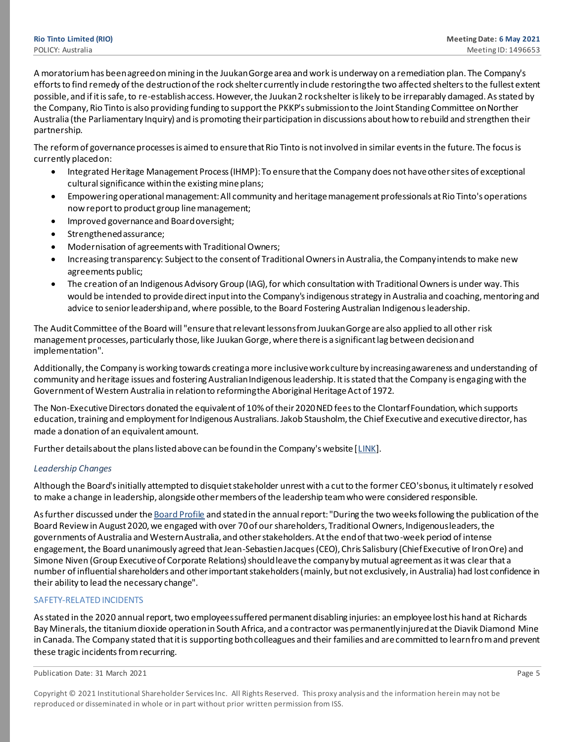A moratorium has been agreed on mining in the Juukan Gorge area and work is underway on a remediation plan. The Company's efforts to find remedy of the destruction of the rock shelter currently include restoring the two affected shelters to the fullest extent possible, and if it is safe, to re-establish access. However, the Juukan 2 rock shelter is likely to be irreparably damaged. As stated by the Company, Rio Tinto is also providing funding to support the PKKP's submission to the Joint Standing Committee on Norther Australia (the Parliamentary Inquiry) and is promoting their participation in discussions about how to rebuild and strengthen their partnership.

The reform of governance processes is aimed to ensure that Rio Tinto is not involved in similar events in the future. The focus is currently placed on:

- Integrated Heritage Management Process (IHMP): To ensure that the Company does not have other sites of exceptional cultural significance within the existing mine plans;
- Empowering operational management: All community and heritage management professionals at Rio Tinto's operations now report to product group line management;
- Improved governance and Board oversight;
- Strengthened assurance;
- Modernisation of agreements with Traditional Owners;
- Increasing transparency: Subject to the consent of Traditional Owners in Australia, the Company intends to make new agreements public;
- The creation of an Indigenous Advisory Group (IAG), for which consultation with Traditional Owners is under way. This would be intended to provide direct input into the Company's indigenous strategy in Australia and coaching, mentoring and advice to senior leadership and, where possible, to the Board Fostering Australian Indigenous leadership.

The Audit Committee of the Board will "ensure that relevant lessons from Juukan Gorge are also applied to all other risk management processes, particularly those, like Juukan Gorge, where there is a significant lag between decision and implementation".

Additionally, the Company is working towards creating a more inclusive work culture by increasing awareness and understanding of community and heritage issues and fostering Australian Indigenous leadership. It is stated that the Company is engaging with the Government of Western Australia in relation to reforming the Aboriginal Heritage Act of 1972.

The Non-Executive Directors donated the equivalent of 10% of their 2020 NED fees to the Clontarf Foundation, which supports education, training and employment for Indigenous Australians. Jakob Stausholm, the Chief Executive and executive director, has made a donation of an equivalent amount.

Further details about the plans listed above can be found in the Company's website [\[LINK](https://www.riotinto.com/news/inquiry-into-juukan-gorge)].

#### *Leadership Changes*

Although the Board's initially attempted to disquiet stakeholder unrest with a cut to the former CEO's bonus, it ultimately r esolved to make a change in leadership, alongside other members of the leadership team who were considered responsible.

As further discussed under th[e Board Profile](http://elmoweb.prod.issapps.com/documents/2021/1/1/6/R/1458304A.html#_Board_Changes_Motivated) and stated in the annual report: "During the two weeks following the publication of the Board Review in August 2020, we engaged with over 70 of our shareholders, Traditional Owners, Indigenous leaders, the governments of Australia and Western Australia, and other stakeholders. At the end of that two-week period of intense engagement, the Board unanimously agreed that Jean-Sebastien Jacques (CEO), Chris Salisbury (Chief Executive of Iron Ore) and Simone Niven (Group Executive of Corporate Relations) should leave the company by mutual agreement as it was clear that a number of influential shareholders and other important stakeholders (mainly, but not exclusively, in Australia) had lost confidence in their ability to lead the necessary change".

#### SAFETY-RELATED INCIDENTS

As stated in the 2020 annual report, two employees suffered permanent disabling injuries: an employee lost his hand at Richards Bay Minerals, the titanium dioxide operation in South Africa, and a contractor was permanently injured at the Diavik Diamond Mine in Canada. The Company stated that it is supporting both colleagues and their families and are committed to learn from and prevent these tragic incidents from recurring.

Copyright © 2021 Institutional Shareholder Services Inc. All Rights Reserved. This proxy analysis and the information herein may not be reproduced or disseminated in whole or in part without prior written permission from ISS.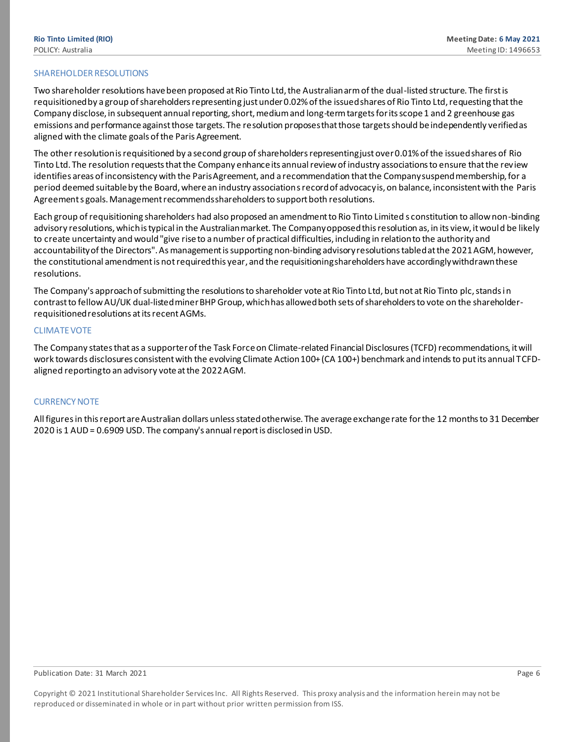#### SHAREHOLDER RESOLUTIONS

Two shareholder resolutions have been proposed at Rio Tinto Ltd, the Australian arm of the dual-listed structure. The first is requisitioned by a group of shareholders representing just under 0.02% of the issued shares of Rio Tinto Ltd, requesting that the Company disclose, in subsequent annual reporting, short, medium and long-term targets for its scope 1 and 2 greenhouse gas emissions and performance against those targets. The resolution proposes that those targets should be independently verified as aligned with the climate goals of the Paris Agreement.

The other resolution is requisitioned by a second group of shareholders representing just over 0.01% of the issued shares of Rio Tinto Ltd. The resolution requests that the Company enhance its annual review of industry associations to ensure that the review identifies areas of inconsistency with the Paris Agreement, and a recommendation that the Company suspend membership, for a period deemed suitable by the Board, where an industry association s record of advocacy is, on balance, inconsistent with the Paris Agreement s goals. Management recommends shareholders to support both resolutions.

Each group of requisitioning shareholders had also proposed an amendment to Rio Tinto Limited s constitution to allow non-binding advisory resolutions, which is typical in the Australian market. The Company opposed this resolution as, in its view, it would be likely to create uncertainty and would"give rise to a number of practical difficulties, including in relation to the authority and accountability of the Directors". As management is supporting non-binding advisory resolutions tabled at the 2021 AGM, however, the constitutional amendment is not required this year, and the requisitioning shareholders have accordingly withdrawn these resolutions.

The Company's approach of submitting the resolutions to shareholder vote at Rio Tinto Ltd, but not at Rio Tinto plc, stands in contrast to fellow AU/UK dual-listed miner BHP Group, which has allowed both sets of shareholders to vote on the shareholderrequisitioned resolutions at its recent AGMs.

#### CLIMATE VOTE

The Company states that as a supporter of the Task Force on Climate-related Financial Disclosures(TCFD) recommendations, it will work towards disclosures consistent with the evolving Climate Action 100+ (CA 100+) benchmark and intends to put its annual TCFDaligned reporting to an advisory vote at the 2022 AGM.

#### CURRENCY NOTE

All figures in this report are Australian dollars unless stated otherwise. The average exchange rate for the 12 months to 31 December 2020 is 1 AUD = 0.6909 USD. The company's annual report is disclosed in USD.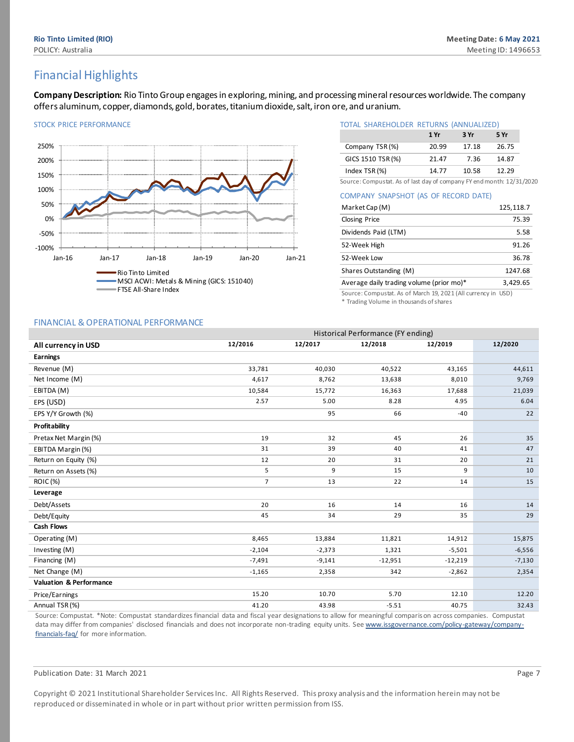# Financial Highlights

<span id="page-6-0"></span>**Company Description:** Rio Tinto Group engages in exploring, mining, and processing mineral resources worldwide. The company offers aluminum, copper, diamonds, gold, borates, titanium dioxide, salt, iron ore, and uranium.



#### STOCK PRICE PERFORMANCE STOCK PRICE PERFORMANCE STOCK PRICE TOTAL SHAREHOLDER RETURNS (ANNUALIZED) **1 Yr 3 Yr 5 Yr** Company TSR (%) 20.99 17.18 26.75 GICS 1510 TSR (%) 21.47 7.36 14.87 Index TSR (%) 14.77 10.58 12.29

Source: Compustat. As of last day of company FY end month: 12/31/2020

COMPANY SNAPSHOT (AS OF RECORD DATE)

| Market Cap (M)                           | 125,118.7 |
|------------------------------------------|-----------|
| <b>Closing Price</b>                     | 75.39     |
| Dividends Paid (LTM)                     | 5.58      |
| 52-Week High                             | 91.26     |
| 52-Week Low                              | 36.78     |
| Shares Outstanding (M)                   | 1247.68   |
| Average daily trading volume (prior mo)* | 3,429.65  |

Source: Compustat. As of March 19, 2021 (All currency in USD) \* Trading Volume in thousands of shares

#### FINANCIAL & OPERATIONAL PERFORMANCE

|                                                                                                                                                          | Historical Performance (FY ending) |          |           |           |          |  |  |  |
|----------------------------------------------------------------------------------------------------------------------------------------------------------|------------------------------------|----------|-----------|-----------|----------|--|--|--|
| All currency in USD                                                                                                                                      | 12/2016                            | 12/2017  | 12/2018   | 12/2019   | 12/2020  |  |  |  |
| <b>Earnings</b>                                                                                                                                          |                                    |          |           |           |          |  |  |  |
| Revenue (M)                                                                                                                                              | 33,781                             | 40,030   | 40,522    | 43,165    | 44,611   |  |  |  |
| Net Income (M)                                                                                                                                           | 4,617                              | 8,762    | 13,638    | 8,010     | 9,769    |  |  |  |
| EBITDA (M)                                                                                                                                               | 10,584                             | 15,772   | 16,363    | 17,688    | 21,039   |  |  |  |
| EPS (USD)                                                                                                                                                | 2.57                               | 5.00     | 8.28      | 4.95      | 6.04     |  |  |  |
| EPS Y/Y Growth (%)                                                                                                                                       |                                    | 95       | 66        | $-40$     | 22       |  |  |  |
| Profitability                                                                                                                                            |                                    |          |           |           |          |  |  |  |
| Pretax Net Margin (%)                                                                                                                                    | 19                                 | 32       | 45        | 26        | 35       |  |  |  |
| EBITDA Margin (%)                                                                                                                                        | 31                                 | 39       | 40        | 41        | 47       |  |  |  |
| Return on Equity (%)                                                                                                                                     | 12                                 | 20       | 31        | 20        | 21       |  |  |  |
| Return on Assets (%)                                                                                                                                     | 5                                  | 9        | 15        | 9         | 10       |  |  |  |
| <b>ROIC</b> (%)                                                                                                                                          | $\overline{7}$                     | 13       | 22        | 14        | 15       |  |  |  |
| Leverage                                                                                                                                                 |                                    |          |           |           |          |  |  |  |
| Debt/Assets                                                                                                                                              | 20                                 | 16       | 14        | 16        | 14       |  |  |  |
| Debt/Equity                                                                                                                                              | 45                                 | 34       | 29        | 35        | 29       |  |  |  |
| <b>Cash Flows</b>                                                                                                                                        |                                    |          |           |           |          |  |  |  |
| Operating (M)                                                                                                                                            | 8,465                              | 13,884   | 11,821    | 14,912    | 15,875   |  |  |  |
| Investing (M)                                                                                                                                            | $-2,104$                           | $-2,373$ | 1,321     | $-5,501$  | $-6,556$ |  |  |  |
| Financing (M)                                                                                                                                            | $-7,491$                           | $-9,141$ | $-12,951$ | $-12,219$ | $-7,130$ |  |  |  |
| Net Change (M)                                                                                                                                           | $-1,165$                           | 2,358    | 342       | $-2,862$  | 2,354    |  |  |  |
| <b>Valuation &amp; Performance</b>                                                                                                                       |                                    |          |           |           |          |  |  |  |
| Price/Earnings                                                                                                                                           | 15.20                              | 10.70    | 5.70      | 12.10     | 12.20    |  |  |  |
| Annual TSR (%)                                                                                                                                           | 41.20                              | 43.98    | $-5.51$   | 40.75     | 32.43    |  |  |  |
| Course Campustat *Nata Campustat standardizes financial data and fissal wax deciseations to allow for magnisatul someonic on agrees companies. Compustat |                                    |          |           |           |          |  |  |  |

Source: Compustat. \*Note: Compustat standardizes financial data and fiscal year designations to allow for meaningful comparison across companies. Compustat data may differ from companies' disclosed financials and does not incorporate non-trading equity units. Se[e www.issgovernance.com/policy-gateway/company](http://www.issgovernance.com/policy-gateway/company-financials-faq/)[financials-faq/](http://www.issgovernance.com/policy-gateway/company-financials-faq/) for more information.

#### Publication Date: 31 March 2021 **Page 7** Page 7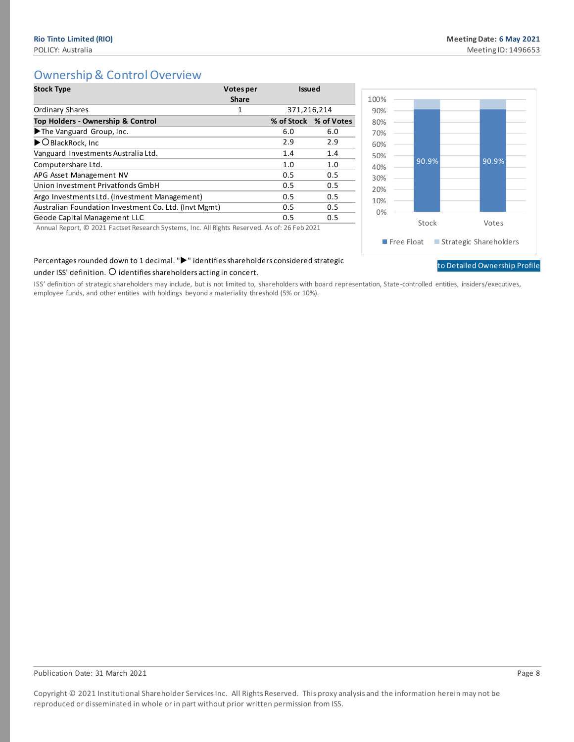[to Detailed Ownership Profile](#page-58-1)

# Ownership & Control Overview

<span id="page-7-0"></span>

| <b>Stock Type</b>                                                                                                                                | Votes per<br><b>Share</b> | <b>Issued</b> |                       |
|--------------------------------------------------------------------------------------------------------------------------------------------------|---------------------------|---------------|-----------------------|
| <b>Ordinary Shares</b>                                                                                                                           | 1                         | 371,216,214   |                       |
| Top Holders - Ownership & Control                                                                                                                |                           |               | % of Stock % of Votes |
| The Vanguard Group, Inc.                                                                                                                         |                           | 6.0           | 6.0                   |
| ▶ O BlackRock, Inc                                                                                                                               |                           | 2.9           | 2.9                   |
| Vanguard Investments Australia Ltd.                                                                                                              |                           | 1.4           | 1.4                   |
| Computershare Ltd.                                                                                                                               |                           | 1.0           | 1.0                   |
| APG Asset Management NV                                                                                                                          |                           | 0.5           | 0.5                   |
| Union Investment Privatfonds GmbH                                                                                                                |                           | 0.5           | 0.5                   |
| Argo Investments Ltd. (Investment Management)                                                                                                    |                           | 0.5           | 0.5                   |
| Australian Foundation Investment Co. Ltd. (Invt Mgmt)                                                                                            |                           | 0.5           | 0.5                   |
| Geode Capital Management LLC                                                                                                                     |                           | 0.5           | 0.5                   |
| $\lambda$ . The set $\bigcirc$ and $\tau$ such as $\lambda$ . The set of the $\lambda$ is the $\lambda$ is the set of a $\tau$ . I and $\lambda$ |                           |               |                       |



## Percentages rounded down to 1 decimal. ">" identifies shareholders considered strategic

#### under ISS' definition.  $O$  identifies shareholders acting in concert.

ISS' definition of strategic shareholders may include, but is not limited to, shareholders with board representation, State-controlled entities, insiders/executives, employee funds, and other entities with holdings beyond a materiality threshold (5% or 10%).

#### Publication Date: 31 March 2021 **Page 8**

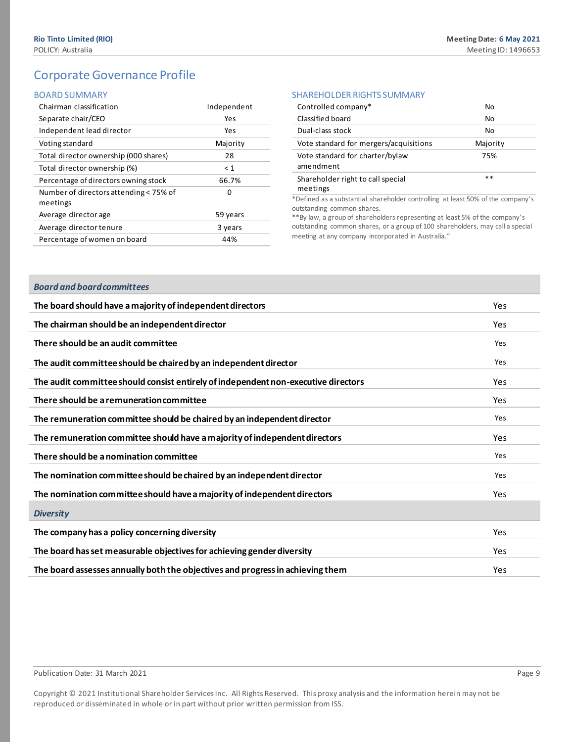# Corporate Governance Profile

#### <span id="page-8-0"></span>BOARD SUMMARY

| Chairman classification                            | Independent |
|----------------------------------------------------|-------------|
| Separate chair/CEO                                 | Yes         |
| Independent lead director                          | Yes         |
| Voting standard                                    | Majority    |
| Total director ownership (000 shares)              | 28          |
| Total director ownership (%)                       | $\leq 1$    |
| Percentage of directors owning stock               | 66.7%       |
| Number of directors attending < 75% of<br>meetings | n           |
| Average director age                               | 59 years    |
| Average director tenure                            | 3 years     |
| Percentage of women on board                       | 44%         |

#### SHAREHOLDER RIGHTS SUMMARY

| Controlled company*                           | No       |
|-----------------------------------------------|----------|
| Classified board                              | No       |
| Dual-class stock                              | No       |
| Vote standard for mergers/acquisitions        | Majority |
| Vote standard for charter/bylaw<br>amendment  | 75%      |
| Shareholder right to call special<br>meetings | $**$     |

\*Defined as a substantial shareholder controlling at least 50% of the company's outstanding common shares.

\*\*By law, a group of shareholders representing at least 5% of the company's outstanding common shares, or a group of 100 shareholders, may call a special meeting at any company incorporated in Australia."

#### *Board and board committees*

| The board should have a majority of independent directors                          | <b>Yes</b> |
|------------------------------------------------------------------------------------|------------|
| The chairman should be an independent director                                     | Yes.       |
| There should be an audit committee                                                 | Yes        |
| The audit committee should be chaired by an independent director                   | Yes        |
| The audit committee should consist entirely of independent non-executive directors | Yes.       |
| There should be a remuneration committee                                           | Yes.       |
| The remuneration committee should be chaired by an independent director            | Yes        |
| The remuneration committee should have a majority of independent directors         | Yes        |
| There should be a nomination committee                                             | Yes        |
|                                                                                    |            |
| The nomination committee should be chaired by an independent director              | Yes        |
| The nomination committee should have a majority of independent directors           | <b>Yes</b> |
| <b>Diversity</b>                                                                   |            |
| The company has a policy concerning diversity                                      | Yes        |
| The board has set measurable objectives for achieving gender diversity             | Yes        |
| The board assesses annually both the objectives and progress in achieving them     | <b>Yes</b> |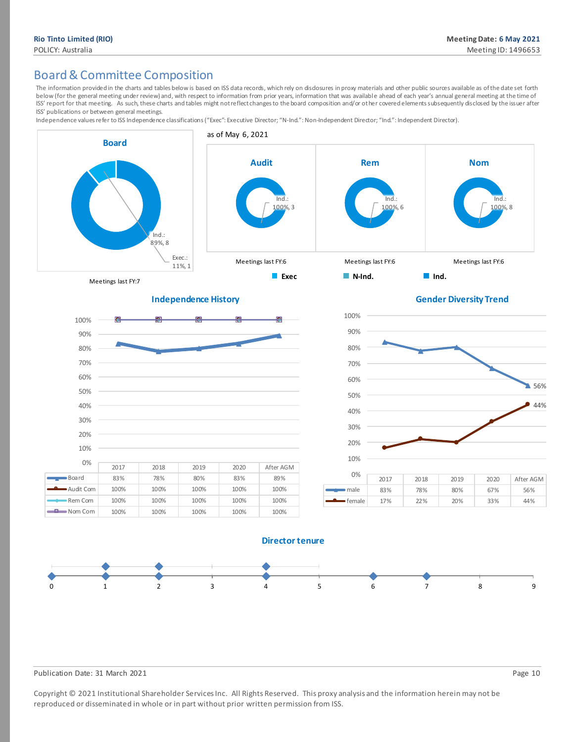# Board & Committee Composition

The information provided in the charts and tables below is based on ISS data records, which rely on disdosures in proxy materials and other public sources available as of the date set forth below (for the general meeting under review) and, with respect to information from prior years, information that was available ahead of each year's annual general meeting at the time of ISS' report for that meeting. As such, these charts and tables might not reflect changes to the board composition and/or other covered elements subsequently disclosed by the issuer after ISS' publications or between general meetings.

Independence values refer to ISS Independence classifications ("Exec": Executive Director; "N-Ind.": Non-Independent Director; "Ind.": Independent Director).









#### **Director tenure**



#### Publication Date: 31 March 2021 **Page 10** Page 10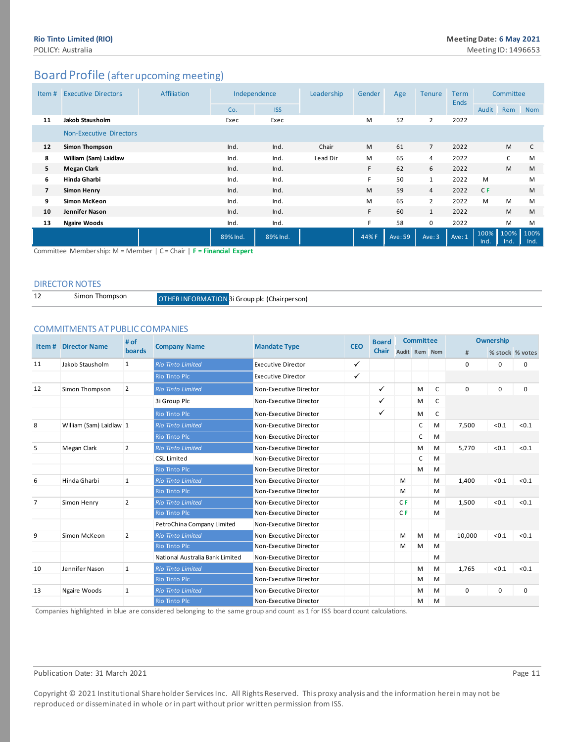# <span id="page-10-0"></span>Board Profile (after upcoming meeting)

| Item#          | <b>Executive Directors</b>     | <b>Affiliation</b> | Independence |            | Leadership | Gender | Age     | <b>Tenure</b>  | <b>Term</b><br><b>Ends</b> | Committee      |              |              |
|----------------|--------------------------------|--------------------|--------------|------------|------------|--------|---------|----------------|----------------------------|----------------|--------------|--------------|
|                |                                |                    | Co.          | <b>ISS</b> |            |        |         |                |                            | Audit          | Rem          | <b>Nom</b>   |
| 11             | <b>Jakob Stausholm</b>         |                    | Exec         | Exec       |            | M      | 52      | $\overline{2}$ | 2022                       |                |              |              |
|                | <b>Non-Executive Directors</b> |                    |              |            |            |        |         |                |                            |                |              |              |
| 12             | Simon Thompson                 |                    | Ind.         | Ind.       | Chair      | M      | 61      | $\overline{7}$ | 2022                       |                | M            | $\mathsf{C}$ |
| 8              | William (Sam) Laidlaw          |                    | Ind.         | Ind.       | Lead Dir   | M      | 65      | 4              | 2022                       |                | C            | M            |
| 5              | <b>Megan Clark</b>             |                    | Ind.         | Ind.       |            | F.     | 62      | 6              | 2022                       |                | M            | M            |
| 6              | Hinda Gharbi                   |                    | Ind.         | Ind.       |            | F      | 50      | $\mathbf{1}$   | 2022                       | M              |              | M            |
| $\overline{7}$ | <b>Simon Henry</b>             |                    | Ind.         | Ind.       |            | M      | 59      | $\overline{4}$ | 2022                       | C <sub>F</sub> |              | M            |
| 9              | Simon McKeon                   |                    | Ind.         | Ind.       |            | M      | 65      | $\overline{2}$ | 2022                       | M              | M            | M            |
| 10             | Jennifer Nason                 |                    | Ind.         | Ind.       |            | F.     | 60      | $\mathbf{1}$   | 2022                       |                | M            | M            |
| 13             | <b>Ngaire Woods</b>            |                    | Ind.         | Ind.       |            | F.     | 58      | 0              | 2022                       |                | M            | M            |
|                |                                | $\sim$<br>$\sim$   | 89% Ind.     | 89% Ind.   |            | 44% F  | Ave: 59 | Ave: 3         | Ave: 1                     | 100%<br>Ind.   | 100%<br>Ind. | 100%<br>Ind. |

Committee Membership: M = Member | C = Chair | **F = Financial Expert**

#### DIRECTOR NOTES

| <b>OTHED INEODMATE</b> |
|------------------------|
|                        |

10N <mark>3i Group plc (Chairperson)</mark>

#### COMMITMENTS AT PUBLIC COMPANIES

| Item# | <b>Director Name</b>    | # of           |                                 |                           | <b>CEO</b>   | <b>Board</b> | <b>Committee</b> |   |   | Ownership |             |                 |
|-------|-------------------------|----------------|---------------------------------|---------------------------|--------------|--------------|------------------|---|---|-----------|-------------|-----------------|
|       |                         | boards         | <b>Company Name</b>             | <b>Mandate Type</b>       |              |              | Audit Rem Nom    |   |   | #         |             | % stock % votes |
| 11    | Jakob Stausholm         | 1              | <b>Rio Tinto Limited</b>        | <b>Executive Director</b> | $\checkmark$ |              |                  |   |   | 0         | 0           | 0               |
|       |                         |                | <b>Rio Tinto Plc</b>            | <b>Executive Director</b> | ✓            |              |                  |   |   |           |             |                 |
| 12    | Simon Thompson          | $\overline{2}$ | <b>Rio Tinto Limited</b>        | Non-Executive Director    |              | ✓            |                  | M | C | 0         | $\mathbf 0$ | $\mathbf 0$     |
|       |                         |                | 3i Group Plc                    | Non-Executive Director    |              | ✓            |                  | М | C |           |             |                 |
|       |                         |                | <b>Rio Tinto Plc</b>            | Non-Executive Director    |              | ✓            |                  | M | C |           |             |                 |
| 8     | William (Sam) Laidlaw 1 |                | <b>Rio Tinto Limited</b>        | Non-Executive Director    |              |              |                  | C | M | 7,500     | < 0.1       | < 0.1           |
|       |                         |                | <b>Rio Tinto Plc</b>            | Non-Executive Director    |              |              |                  | C | M |           |             |                 |
| 5     | Megan Clark             | $\overline{2}$ | <b>Rio Tinto Limited</b>        | Non-Executive Director    |              |              |                  | М | M | 5,770     | < 0.1       | < 0.1           |
|       |                         |                | <b>CSL Limited</b>              | Non-Executive Director    |              |              |                  | C | M |           |             |                 |
|       |                         |                | <b>Rio Tinto Plc</b>            | Non-Executive Director    |              |              |                  | M | M |           |             |                 |
| 6     | Hinda Gharbi            | $\mathbf{1}$   | <b>Rio Tinto Limited</b>        | Non-Executive Director    |              |              | M                |   | M | 1,400     | < 0.1       | < 0.1           |
|       |                         |                | <b>Rio Tinto Plc</b>            | Non-Executive Director    |              |              | M                |   | M |           |             |                 |
| 7     | Simon Henry             | $\overline{2}$ | <b>Rio Tinto Limited</b>        | Non-Executive Director    |              |              | C <sub>F</sub>   |   | M | 1,500     | < 0.1       | < 0.1           |
|       |                         |                | <b>Rio Tinto Plc</b>            | Non-Executive Director    |              |              | C <sub>F</sub>   |   | M |           |             |                 |
|       |                         |                | PetroChina Company Limited      | Non-Executive Director    |              |              |                  |   |   |           |             |                 |
| 9     | Simon McKeon            | $\overline{2}$ | <b>Rio Tinto Limited</b>        | Non-Executive Director    |              |              | M                | M | M | 10,000    | < 0.1       | < 0.1           |
|       |                         |                | <b>Rio Tinto Plc</b>            | Non-Executive Director    |              |              | M                | Μ | M |           |             |                 |
|       |                         |                | National Australia Bank Limited | Non-Executive Director    |              |              |                  |   | M |           |             |                 |
| 10    | Jennifer Nason          | $\mathbf{1}$   | <b>Rio Tinto Limited</b>        | Non-Executive Director    |              |              |                  | м | M | 1,765     | < 0.1       | < 0.1           |
|       |                         |                | <b>Rio Tinto Plc</b>            | Non-Executive Director    |              |              |                  | м | M |           |             |                 |
| 13    | Ngaire Woods            | $\mathbf{1}$   | <b>Rio Tinto Limited</b>        | Non-Executive Director    |              |              |                  | м | M | 0         | 0           | $\mathbf 0$     |
|       |                         |                | <b>Rio Tinto Plc</b>            | Non-Executive Director    |              |              |                  | м | M |           |             |                 |

Companies highlighted in blue are considered belonging to the same group and count as 1 for ISS board count calculations.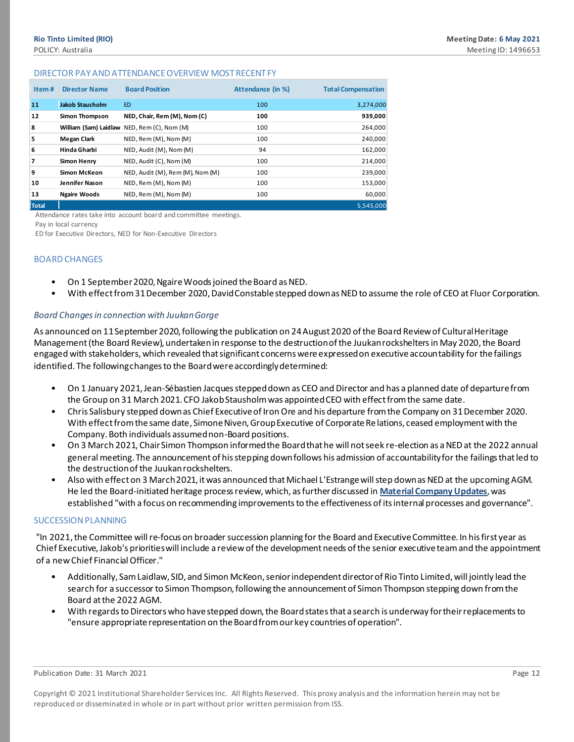#### DIRECTOR PAY AND ATTENDANCE OVERVIEW MOST RECENT FY

| Item# | <b>Director Name</b>   | <b>Board Position</b>                       | Attendance (in %) | <b>Total Compensation</b> |
|-------|------------------------|---------------------------------------------|-------------------|---------------------------|
| 11    | <b>Jakob Stausholm</b> | <b>ED</b>                                   | 100               | 3,274,000                 |
| 12    | Simon Thompson         | NED, Chair, Rem (M), Nom (C)                | 100               | 939,000                   |
| 8     |                        | William (Sam) Laidlaw NED, Rem (C), Nom (M) | 100               | 264,000                   |
| 5     | Megan Clark            | NED, Rem (M), Nom (M)                       | 100               | 240,000                   |
| 6     | Hinda Gharbi           | NED, Audit (M), Nom (M)                     | 94                | 162,000                   |
| 7     | <b>Simon Henry</b>     | NED, Audit (C), Nom (M)                     | 100               | 214,000                   |
| 9     | Simon McKeon           | NED, Audit (M), Rem (M), Nom (M)            | 100               | 239,000                   |
| 10    | Jennifer Nason         | NED, Rem (M), Nom (M)                       | 100               | 153,000                   |
| 13    | <b>Ngaire Woods</b>    | NED, Rem (M), Nom (M)                       | 100               | 60,000                    |
| Total |                        |                                             |                   | 5.545.000                 |

Attendance rates take into account board and committee meetings.

Pay in local currency

ED for Executive Directors, NED for Non-Executive Directors

#### BOARD CHANGES

- On 1 September 2020, Ngaire Woods joined the Board as NED.
- With effect from 31 December 2020, David Constable stepped down as NED to assume the role of CEO at Fluor Corporation.

#### *Board Changes in connection with Juukan Gorge*

As announced on 11 September 2020, following the publication on 24 August 2020 of the Board Review of Cultural Heritage Management (the Board Review), undertaken in response to the destruction of the Juukan rockshelters in May 2020, the Board engaged with stakeholders, which revealed that significant concerns were expressed on executive accountability for the failings identified. The following changes to the Board were accordingly determined:

- On 1 January 2021, Jean-Sébastien Jacques stepped down as CEO and Director and has a planned date of departure from the Group on 31 March 2021. CFO Jakob Stausholm was appointed CEO with effect from the same date.
- Chris Salisbury stepped down as Chief Executive of Iron Ore and his departure from the Company on 31 December 2020. With effect from the same date, Simone Niven, Group Executive of Corporate Relations, ceased employment with the Company. Both individuals assumed non-Board positions.
- On 3 March 2021, Chair Simon Thompson informed the Board that he will not seek re-election as a NED at the 2022 annual general meeting. The announcement of his stepping down follows his admission of accountability for the failings that led to the destruction of the Juukan rockshelters.
- Also with effect on 3 March 2021, it was announced that Michael L'Estrange will step down as NED at the upcoming AGM. He led the Board-initiated heritage process review, which, as further discussed in **Material Company Updates**, was established "with a focus on recommending improvements to the effectiveness of its internal processes and governance".

#### SUCCESSION PLANNING

"In 2021, the Committee will re-focus on broader succession planning for the Board and Executive Committee. In his first year as Chief Executive, Jakob's priorities will include a review of the development needs of the senior executive team and the appointment of a new Chief Financial Officer."

- Additionally, Sam Laidlaw, SID, and Simon McKeon, senior independent director of Rio Tinto Limited, will jointly lead the search for a successor to Simon Thompson, following the announcement of Simon Thompson stepping down from the Board at the 2022 AGM.
- With regards to Directors who have stepped down, the Board states that a search is underway for their replacements to "ensure appropriate representation on the Board from our key countries of operation".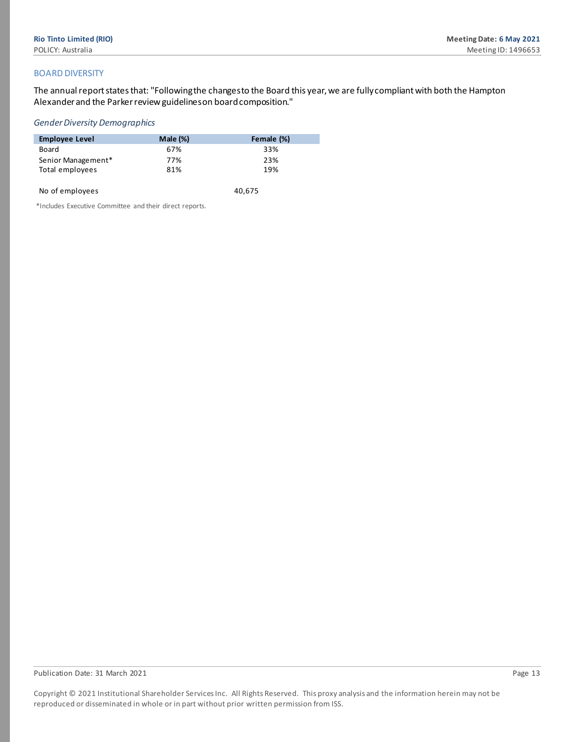#### BOARD DIVERSITY

The annual report states that: "Following the changes to the Board this year, we are fully compliant with both the Hampton Alexander and the Parker review guidelines on board composition."

#### *Gender Diversity Demographics*

| <b>Employee Level</b> | Male $(\%)$ | Female (%) |
|-----------------------|-------------|------------|
| Board                 | 67%         | 33%        |
| Senior Management*    | 77%         | 23%        |
| Total employees       | 81%         | 19%        |
|                       |             |            |

| No of employees | 40,675 |
|-----------------|--------|
|                 |        |

\*Includes Executive Committee and their direct reports.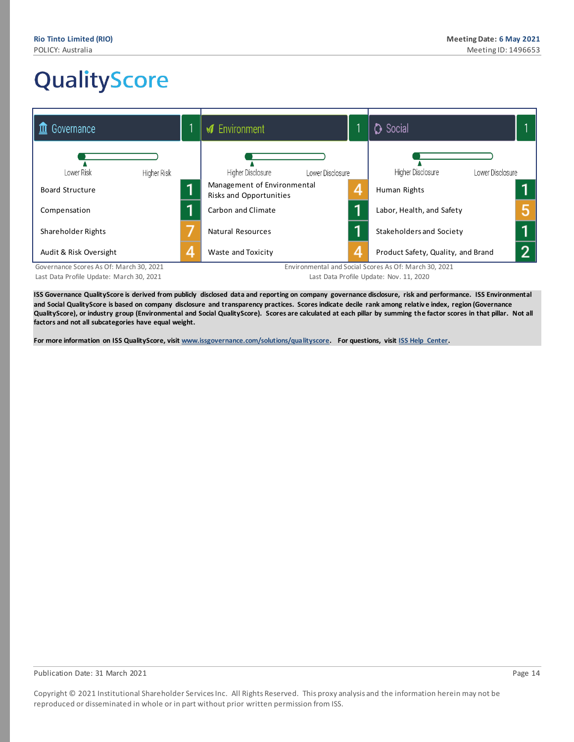# <span id="page-13-0"></span>QualityScore

| Governance                                                       |   | <b>√</b> Environment                                   |   | <b>C</b> Social                                                                             |  |
|------------------------------------------------------------------|---|--------------------------------------------------------|---|---------------------------------------------------------------------------------------------|--|
| Lower Risk<br>Higher Risk                                        |   | Higher Disclosure<br>Lower Disclosure                  |   | Higher Disclosure<br>Lower Disclosure                                                       |  |
| <b>Board Structure</b>                                           |   | Management of Environmental<br>Risks and Opportunities | 4 | Human Rights                                                                                |  |
| Compensation                                                     |   | Carbon and Climate                                     | я | Labor, Health, and Safety                                                                   |  |
| Shareholder Rights                                               |   | Natural Resources                                      | а | Stakeholders and Society                                                                    |  |
| Audit & Risk Oversight<br>Covernance Connor As Of March 20, 2021 | 4 | Waste and Toxicity                                     | 4 | Product Safety, Quality, and Brand<br>Environmental and Coolel Coores As Of: March 20, 2021 |  |

Governance Scores As Of: March 30, 2021 Last Data Profile Update: March 30, 2021

Environmental and Social Scores As Of: March 30, 2021 Last Data Profile Update: Nov. 11, 2020

ISS Governance QualityScore is derived from publicly disclosed data and reporting on company governance disclosure, risk and performance. ISS Environmental **and Social QualityScore is based on company disclosure and transparency practices. Scores indicate decile rank among relativ e index, region (Governance QualityScore), or industry group (Environmental and Social QualityScore). Scores are calculated at each pillar by summing the factor scores in that pillar. Not all factors and not all subcategories have equal weight.**

**For more information on ISS QualityScore, visi[t www.issgovernance.com/solutions/qualityscore.](http://www.issgovernance.com/solutions/qualityscore) For questions, visi[t ISS Help Center.](https://issgovernance.service-now.com/csp)**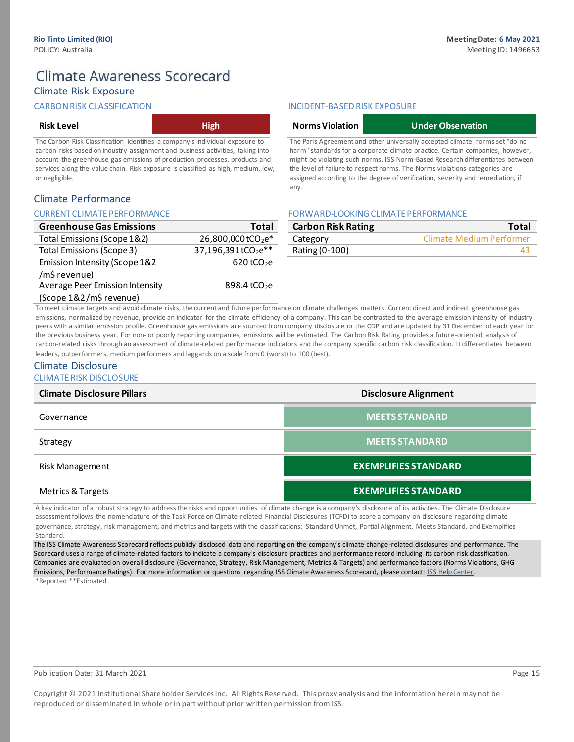# **Climate Awareness Scorecard**

# Climate Risk Exposure

#### CARBON RISK CLASSIFICATION

| <b>Risk Level</b> | <b>High</b> |
|-------------------|-------------|
|-------------------|-------------|

The Carbon Risk Classification identifies a company's individual exposure to carbon risks based on industry assignment and business activities, taking into account the greenhouse gas emissions of production processes, products and services along the value chain. Risk exposure is classified as high, medium, low, or negligible.

### Climate Performance

#### CURRENT CLIMATE PERFORMANCE

| <b>Greenhouse Gas Emissions</b>  | <b>Total</b>                   |
|----------------------------------|--------------------------------|
| Total Emissions (Scope 1&2)      | 26,800,000tCO <sub>2</sub> e*  |
| <b>Total Emissions (Scope 3)</b> | 37,196,391tCO <sub>2</sub> e** |
| Emission Intensity (Scope 1&2    | $620$ tCO <sub>2</sub> e       |
| /m\$ revenue)                    |                                |
| Average Peer Emission Intensity  | 898.4 tCO <sub>2</sub> e       |
| (Scope 1&2/m\$ revenue)          |                                |

#### INCIDENT-BASED RISK EXPOSURE

| <b>Norms Violation</b>                                                        | <b>Under Observation</b>                                                       |  |  |  |  |  |  |
|-------------------------------------------------------------------------------|--------------------------------------------------------------------------------|--|--|--|--|--|--|
|                                                                               | The Paris Agreement and other universally accepted climate norms set "do no    |  |  |  |  |  |  |
| harm" standards for a corporate climate practice. Certain companies, however, |                                                                                |  |  |  |  |  |  |
|                                                                               | might be violating such norms. ISS Norm-Based Research differentiates between  |  |  |  |  |  |  |
|                                                                               | the level of failure to respect norms. The Norms violations categories are     |  |  |  |  |  |  |
|                                                                               | assigned according to the degree of verification, severity and remediation, if |  |  |  |  |  |  |

any.

#### FORWARD-LOOKING CLIMATE PERFORMANCE

| <b>Carbon Risk Rating</b> | Total                    |
|---------------------------|--------------------------|
| Category                  | Climate Medium Performer |
| Rating (0-100)            |                          |

To meet climate targets and avoid climate risks, the current and future performance on climate challenges matters. Current direct and indirect greenhouse gas emissions, normalized by revenue, provide an indicator for the climate efficiency of a company. This can be contrasted to the average emission intensity of industry peers with a similar emission profile. Greenhouse gas emissions are sourced from company disclosure or the CDP and are updated by 31 December of each year for the previous business year. For non- or poorly reporting companies, emissions will be estimated. The Carbon Risk Rating provides a future-oriented analysis of carbon-related risks through an assessment of climate-related performance indicators and the company specific carbon risk classification. It differentiates between leaders, outperformers, medium performers and laggards on a scale from 0 (worst) to 100 (best).

#### Climate Disclosure

CLIMATE RISK DISCLOSURE

| <b>Climate Disclosure Pillars</b> | <b>Disclosure Alignment</b> |
|-----------------------------------|-----------------------------|
| Governance                        | <b>MEETS STANDARD</b>       |
| Strategy                          | <b>MEETS STANDARD</b>       |
| Risk Management                   | <b>EXEMPLIFIES STANDARD</b> |
| Metrics & Targets                 | <b>EXEMPLIFIES STANDARD</b> |

A key indicator of a robust strategy to address the risks and opportunities of climate change is a company's disclosure of its activities. The Climate Disclosure assessment follows the nomenclature of the Task Force on Climate-related Financial Disclosures (TCFD) to score a company on disclosure regarding climate governance, strategy, risk management, and metrics and targets with the classifications: Standard Unmet, Partial Alignment, Meets Standard, and Exemplifies Standard.

The ISS Climate Awareness Scorecard reflects publicly disclosed data and reporting on the company's climate change-related disclosures and performance. The Scorecard uses a range of climate-related factors to indicate a company's disclosure practices and performance record including its carbon risk classification. Companies are evaluated on overall disclosure (Governance, Strategy, Risk Management, Metrics & Targets) and performance factors (Norms Violations, GHG Emissions, Performance Ratings). For more information or questions regarding ISS Climate Awareness Scorecard, please contact[: ISS Help Center.](https://issgovernance.service-now.com/csp) \*Reported \*\*Estimated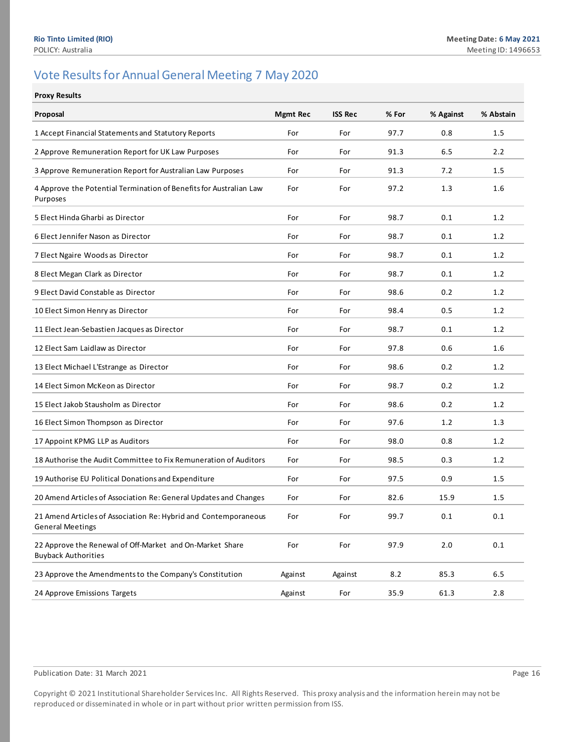# <span id="page-15-0"></span>Vote Results for Annual General Meeting 7 May 2020

#### **Proxy Results**

| Proposal                                                                                   | <b>Mgmt Rec</b> | <b>ISS Rec</b> | % For | % Against | % Abstain |
|--------------------------------------------------------------------------------------------|-----------------|----------------|-------|-----------|-----------|
| 1 Accept Financial Statements and Statutory Reports                                        | For             | For            | 97.7  | 0.8       | 1.5       |
| 2 Approve Remuneration Report for UK Law Purposes                                          | For             | For            | 91.3  | 6.5       | 2.2       |
| 3 Approve Remuneration Report for Australian Law Purposes                                  | For             | For            | 91.3  | 7.2       | 1.5       |
| 4 Approve the Potential Termination of Benefits for Australian Law<br>Purposes             | For             | For            | 97.2  | 1.3       | 1.6       |
| 5 Elect Hinda Gharbi as Director                                                           | For             | For            | 98.7  | 0.1       | 1.2       |
| 6 Elect Jennifer Nason as Director                                                         | For             | For            | 98.7  | 0.1       | 1.2       |
| 7 Elect Ngaire Woods as Director                                                           | For             | For            | 98.7  | 0.1       | 1.2       |
| 8 Elect Megan Clark as Director                                                            | For             | For            | 98.7  | 0.1       | 1.2       |
| 9 Elect David Constable as Director                                                        | For             | For            | 98.6  | 0.2       | 1.2       |
| 10 Elect Simon Henry as Director                                                           | For             | For            | 98.4  | 0.5       | 1.2       |
| 11 Elect Jean-Sebastien Jacques as Director                                                | For             | For            | 98.7  | 0.1       | 1.2       |
| 12 Elect Sam Laidlaw as Director                                                           | For             | For            | 97.8  | 0.6       | 1.6       |
| 13 Elect Michael L'Estrange as Director                                                    | For             | For            | 98.6  | 0.2       | 1.2       |
| 14 Elect Simon McKeon as Director                                                          | For             | For            | 98.7  | 0.2       | 1.2       |
| 15 Elect Jakob Stausholm as Director                                                       | For             | For            | 98.6  | 0.2       | 1.2       |
| 16 Elect Simon Thompson as Director                                                        | For             | For            | 97.6  | 1.2       | 1.3       |
| 17 Appoint KPMG LLP as Auditors                                                            | For             | For            | 98.0  | 0.8       | 1.2       |
| 18 Authorise the Audit Committee to Fix Remuneration of Auditors                           | For             | For            | 98.5  | 0.3       | 1.2       |
| 19 Authorise EU Political Donations and Expenditure                                        | For             | For            | 97.5  | 0.9       | 1.5       |
| 20 Amend Articles of Association Re: General Updates and Changes                           | For             | For            | 82.6  | 15.9      | 1.5       |
| 21 Amend Articles of Association Re: Hybrid and Contemporaneous<br><b>General Meetings</b> | For             | For            | 99.7  | 0.1       | 0.1       |
| 22 Approve the Renewal of Off-Market and On-Market Share<br><b>Buyback Authorities</b>     | For             | For            | 97.9  | 2.0       | 0.1       |
| 23 Approve the Amendments to the Company's Constitution                                    | Against         | Against        | 8.2   | 85.3      | 6.5       |
| 24 Approve Emissions Targets                                                               | Against         | For            | 35.9  | 61.3      | 2.8       |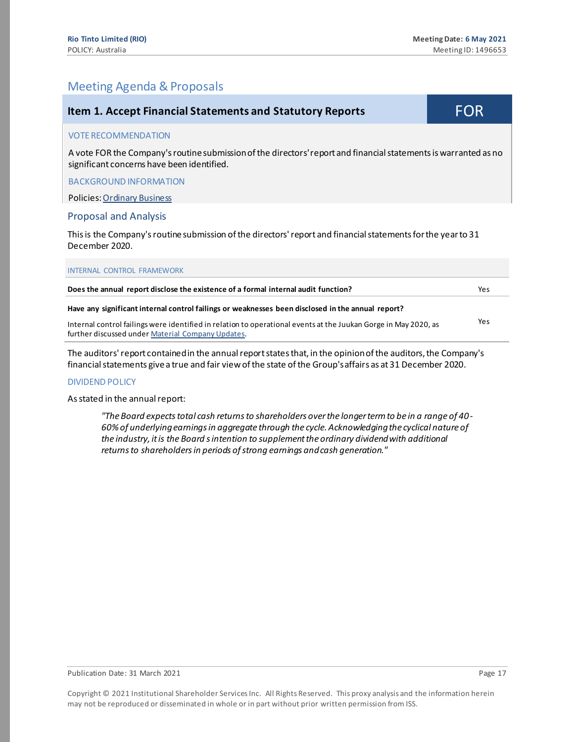# Meeting Agenda & Proposals

<span id="page-16-0"></span>

| <b>Item 1. Accept Financial Statements and Statutory Reports</b>                                                                                                     | <b>FOR</b> |
|----------------------------------------------------------------------------------------------------------------------------------------------------------------------|------------|
| <b>VOTE RECOMMENDATION</b>                                                                                                                                           |            |
| A vote FOR the Company's routine submission of the directors' report and financial statements is warranted as no<br>significant concerns have been identified.       |            |
| <b>BACKGROUND INFORMATION</b>                                                                                                                                        |            |
| <b>Policies: Ordinary Business</b>                                                                                                                                   |            |
| <b>Proposal and Analysis</b>                                                                                                                                         |            |
| This is the Company's routine submission of the directors' report and financial statements for the year to 31<br>December 2020.                                      |            |
| <b>INTERNAL CONTROL FRAMEWORK</b>                                                                                                                                    |            |
| Does the annual report disclose the existence of a formal internal audit function?                                                                                   | Yes        |
| Have any significant internal control failings or weaknesses been disclosed in the annual report?                                                                    |            |
| Internal control failings were identified in relation to operational events at the Juukan Gorge in May 2020, as<br>further discussed under Material Company Updates. | Yes        |

The auditors' report contained in the annual report states that, in the opinion of the auditors, the Company's financial statements give a true and fair view of the state of the Group'saffairs as at 31 December 2020.

#### DIVIDEND POLICY

#### As stated in the annual report:

*"The Board expects total cash returns to shareholders over the longer term to be in a range of 40- 60% of underlying earnings in aggregate through the cycle. Acknowledging the cyclical nature of the industry, it is the Board s intention to supplement the ordinary dividend with additional returns to shareholders in periods of strong earnings and cash generation."*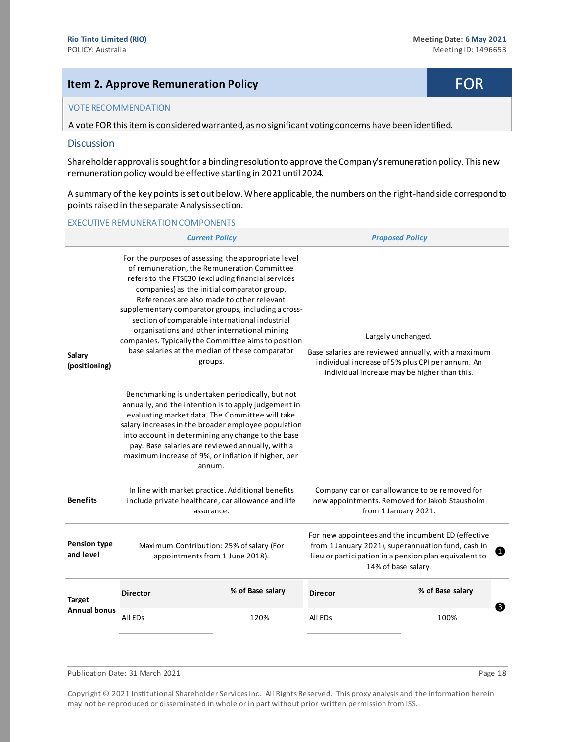# <span id="page-17-0"></span>**Item 2. Approve Remuneration Policy FOR**

#### VOTE RECOMMENDATION

A vote FOR this item is considered warranted, as no significant voting concerns have been identified.

#### **Discussion**

Shareholder approval is sought for a binding resolution to approve the Company'sremuneration policy. This new remuneration policy would be effective starting in 2021 until 2024.

A summary of the key points is set out below. Where applicable, the numbers on the right-hand side correspond to points raised in the separate Analysis section.

#### EXECUTIVE REMUNERATION COMPONENTS

|                                                                                                                                                                                                                                                                                                                                                                                                                                                                                                                                                                |                                                                                                                                                                                                                                                                                                                                                                                               | <b>Current Policy</b>                                                                                                 | <b>Proposed Policy</b> |                                                                                                                                                                                               |  |
|----------------------------------------------------------------------------------------------------------------------------------------------------------------------------------------------------------------------------------------------------------------------------------------------------------------------------------------------------------------------------------------------------------------------------------------------------------------------------------------------------------------------------------------------------------------|-----------------------------------------------------------------------------------------------------------------------------------------------------------------------------------------------------------------------------------------------------------------------------------------------------------------------------------------------------------------------------------------------|-----------------------------------------------------------------------------------------------------------------------|------------------------|-----------------------------------------------------------------------------------------------------------------------------------------------------------------------------------------------|--|
| For the purposes of assessing the appropriate level<br>of remuneration, the Remuneration Committee<br>refers to the FTSE30 (excluding financial services<br>companies) as the initial comparator group.<br>References are also made to other relevant<br>supplementary comparator groups, including a cross-<br>section of comparable international industrial<br>organisations and other international mining<br>companies. Typically the Committee aims to position<br>base salaries at the median of these comparator<br>Salary<br>groups.<br>(positioning) |                                                                                                                                                                                                                                                                                                                                                                                               |                                                                                                                       |                        | Largely unchanged.<br>Base salaries are reviewed annually, with a maximum<br>individual increase of 5% plus CPI per annum. An<br>individual increase may be higher than this.                 |  |
|                                                                                                                                                                                                                                                                                                                                                                                                                                                                                                                                                                | Benchmarking is undertaken periodically, but not<br>annually, and the intention is to apply judgement in<br>evaluating market data. The Committee will take<br>salary increases in the broader employee population<br>into account in determining any change to the base<br>pay. Base salaries are reviewed annually, with a<br>maximum increase of 9%, or inflation if higher, per<br>annum. |                                                                                                                       |                        |                                                                                                                                                                                               |  |
| <b>Benefits</b>                                                                                                                                                                                                                                                                                                                                                                                                                                                                                                                                                |                                                                                                                                                                                                                                                                                                                                                                                               | In line with market practice. Additional benefits<br>include private healthcare, car allowance and life<br>assurance. |                        | Company car or car allowance to be removed for<br>new appointments. Removed for Jakob Stausholm<br>from 1 January 2021.                                                                       |  |
| <b>Pension type</b><br>and level                                                                                                                                                                                                                                                                                                                                                                                                                                                                                                                               |                                                                                                                                                                                                                                                                                                                                                                                               | Maximum Contribution: 25% of salary (For<br>appointments from 1 June 2018).                                           |                        | For new appointees and the incumbent ED (effective<br>from 1 January 2021), superannuation fund, cash in<br>0<br>lieu or participation in a pension plan equivalent to<br>14% of base salary. |  |
| <b>Target</b>                                                                                                                                                                                                                                                                                                                                                                                                                                                                                                                                                  | <b>Director</b>                                                                                                                                                                                                                                                                                                                                                                               | % of Base salary                                                                                                      | <b>Direcor</b>         | % of Base salary                                                                                                                                                                              |  |
| <b>Annual bonus</b>                                                                                                                                                                                                                                                                                                                                                                                                                                                                                                                                            | All ED <sub>s</sub>                                                                                                                                                                                                                                                                                                                                                                           | 120%                                                                                                                  | All ED <sub>s</sub>    | ❸<br>100%                                                                                                                                                                                     |  |
|                                                                                                                                                                                                                                                                                                                                                                                                                                                                                                                                                                |                                                                                                                                                                                                                                                                                                                                                                                               |                                                                                                                       |                        |                                                                                                                                                                                               |  |

Publication Date: 31 March 2021 **Page 18** Page 18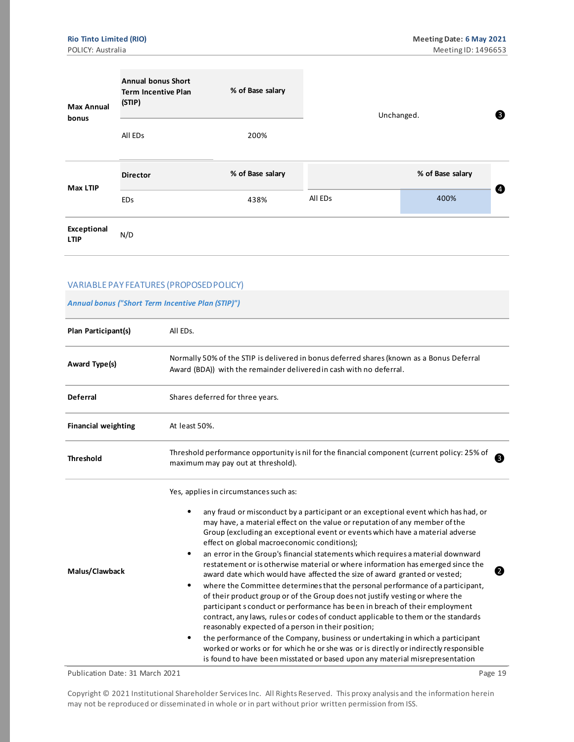| <b>Max Annual</b><br>bonus | <b>Annual bonus Short</b><br><b>Term Incentive Plan</b><br>(STIP) | % of Base salary | Unchanged. |                  | ❸ |  |
|----------------------------|-------------------------------------------------------------------|------------------|------------|------------------|---|--|
|                            | All ED <sub>S</sub>                                               | 200%             |            |                  |   |  |
| Max LTIP                   | <b>Director</b>                                                   | % of Base salary |            | % of Base salary |   |  |
|                            | <b>EDs</b>                                                        | 438%             | All EDs    | 400%             | ❹ |  |
| Exceptional<br><b>LTIP</b> | N/D                                                               |                  |            |                  |   |  |

#### VARIABLE PAY FEATURES (PROPOSED POLICY)

#### *Annual bonus ("Short Term Incentive Plan (STIP)")*

| Plan Participant(s)        | All EDs.                                                                                                                                                                                                                                                                                                                                                                                                                                                                                                                                                                                                                                                                                                                                                                                                                                                                                                                                                                                                                                                                                                                                                                                                                                                 |
|----------------------------|----------------------------------------------------------------------------------------------------------------------------------------------------------------------------------------------------------------------------------------------------------------------------------------------------------------------------------------------------------------------------------------------------------------------------------------------------------------------------------------------------------------------------------------------------------------------------------------------------------------------------------------------------------------------------------------------------------------------------------------------------------------------------------------------------------------------------------------------------------------------------------------------------------------------------------------------------------------------------------------------------------------------------------------------------------------------------------------------------------------------------------------------------------------------------------------------------------------------------------------------------------|
| Award Type(s)              | Normally 50% of the STIP is delivered in bonus deferred shares (known as a Bonus Deferral<br>Award (BDA)) with the remainder delivered in cash with no deferral.                                                                                                                                                                                                                                                                                                                                                                                                                                                                                                                                                                                                                                                                                                                                                                                                                                                                                                                                                                                                                                                                                         |
| <b>Deferral</b>            | Shares deferred for three years.                                                                                                                                                                                                                                                                                                                                                                                                                                                                                                                                                                                                                                                                                                                                                                                                                                                                                                                                                                                                                                                                                                                                                                                                                         |
| <b>Financial weighting</b> | At least 50%.                                                                                                                                                                                                                                                                                                                                                                                                                                                                                                                                                                                                                                                                                                                                                                                                                                                                                                                                                                                                                                                                                                                                                                                                                                            |
| <b>Threshold</b>           | Threshold performance opportunity is nil for the financial component (current policy: 25% of<br>❸<br>maximum may pay out at threshold).                                                                                                                                                                                                                                                                                                                                                                                                                                                                                                                                                                                                                                                                                                                                                                                                                                                                                                                                                                                                                                                                                                                  |
| Malus/Clawback             | Yes, applies in circumstances such as:<br>any fraud or misconduct by a participant or an exceptional event which has had, or<br>may have, a material effect on the value or reputation of any member of the<br>Group (excluding an exceptional event or events which have a material adverse<br>effect on global macroeconomic conditions);<br>an error in the Group's financial statements which requires a material downward<br>restatement or is otherwise material or where information has emerged since the<br>0<br>award date which would have affected the size of award granted or vested;<br>where the Committee determines that the personal performance of a participant,<br>of their product group or of the Group does not justify vesting or where the<br>participant s conduct or performance has been in breach of their employment<br>contract, any laws, rules or codes of conduct applicable to them or the standards<br>reasonably expected of a person in their position;<br>the performance of the Company, business or undertaking in which a participant<br>worked or works or for which he or she was or is directly or indirectly responsible<br>is found to have been misstated or based upon any material misrepresentation |

Publication Date: 31 March 2021 **Page 19** Page 19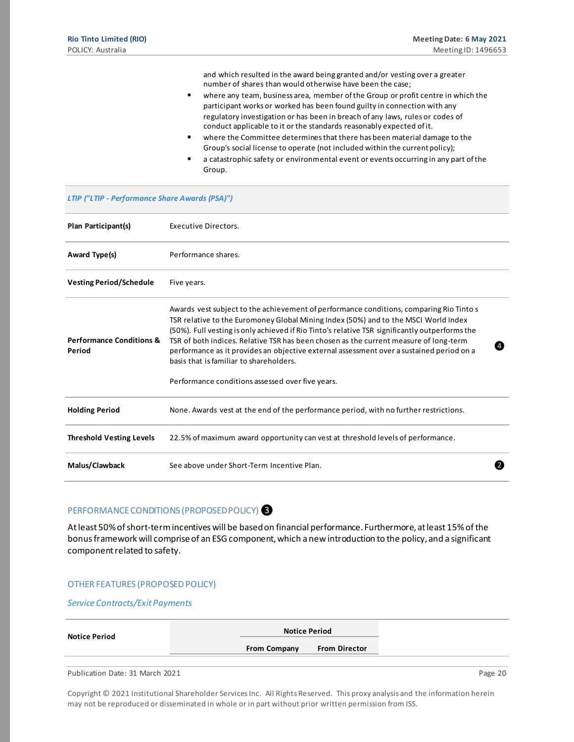and which resulted in the award being granted and/or vesting over a greater number of shares than would otherwise have been the case;

- where any team, business area, member of the Group or profit centre in which the participant works or worked has been found guilty in connection with any regulatory investigation or has been in breach of any laws, rules or codes of conduct applicable to it or the standards reasonably expected of it.
- where the Committee determines that there has been material damage to the Group's social license to operate (not included within the current policy);
- a catastrophic safety or environmental event or events occurring in any part of the Group.

| <b>LTIP ("LTIP - Performance Share Awards (PSA)")</b> |                                                                                                                                                                                                                                                                                                                                                                                                                                                                                                                                    |
|-------------------------------------------------------|------------------------------------------------------------------------------------------------------------------------------------------------------------------------------------------------------------------------------------------------------------------------------------------------------------------------------------------------------------------------------------------------------------------------------------------------------------------------------------------------------------------------------------|
| Plan Participant(s)                                   | Executive Directors.                                                                                                                                                                                                                                                                                                                                                                                                                                                                                                               |
| Award Type(s)                                         | Performance shares.                                                                                                                                                                                                                                                                                                                                                                                                                                                                                                                |
| <b>Vesting Period/Schedule</b>                        | Five years.                                                                                                                                                                                                                                                                                                                                                                                                                                                                                                                        |
| <b>Performance Conditions &amp;</b><br>Period         | Awards vest subject to the achievement of performance conditions, comparing Rio Tinto s<br>TSR relative to the Euromoney Global Mining Index (50%) and to the MSCI World Index<br>(50%). Full vesting is only achieved if Rio Tinto's relative TSR significantly outperforms the<br>TSR of both indices. Relative TSR has been chosen as the current measure of long-term<br>$\overline{4}$<br>performance as it provides an objective external assessment over a sustained period on a<br>basis that is familiar to shareholders. |
|                                                       | Performance conditions assessed over five years.                                                                                                                                                                                                                                                                                                                                                                                                                                                                                   |
| <b>Holding Period</b>                                 | None. Awards vest at the end of the performance period, with no further restrictions.                                                                                                                                                                                                                                                                                                                                                                                                                                              |
| <b>Threshold Vesting Levels</b>                       | 22.5% of maximum award opportunity can vest at threshold levels of performance.                                                                                                                                                                                                                                                                                                                                                                                                                                                    |
| Malus/Clawback                                        | See above under Short-Term Incentive Plan.<br>$\overline{2}$                                                                                                                                                                                                                                                                                                                                                                                                                                                                       |

#### PERFORMANCE CONDITIONS (PROPOSED POLICY)<sup>3</sup>

At least 50% of short-term incentives will be based on financial performance. Furthermore, at least 15% of the bonus framework will comprise of an ESG component, which a new introduction to the policy, and a significant component related to safety.

#### OTHER FEATURES (PROPOSED POLICY)

*Service Contracts/Exit Payments*

| <b>Notice Period</b> | <b>Notice Period</b> |                      |  |
|----------------------|----------------------|----------------------|--|
|                      | <b>From Company</b>  | <b>From Director</b> |  |
|                      |                      |                      |  |

Publication Date: 31 March 2021 **Page 20** Page 20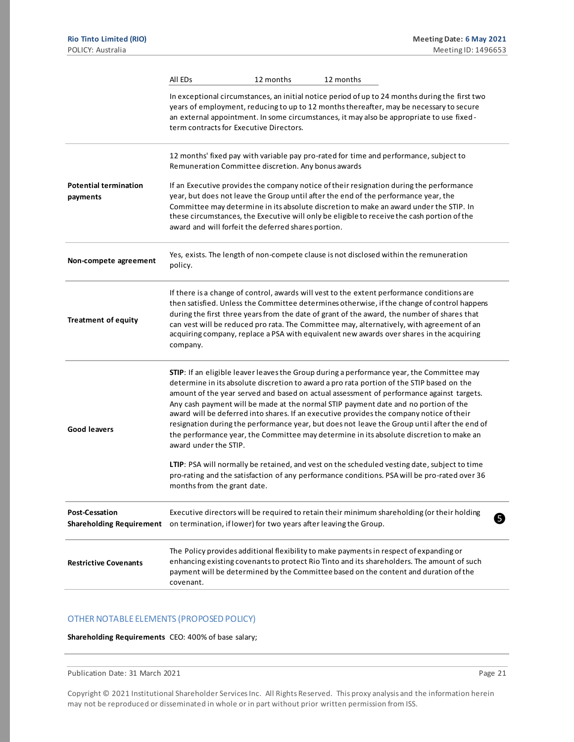|                                                          | All EDs                                                          | 12 months | 12 months                                                                                                                                                                                                                                                                                                                                                                                                                                                                                                                                                                                                                                                        |
|----------------------------------------------------------|------------------------------------------------------------------|-----------|------------------------------------------------------------------------------------------------------------------------------------------------------------------------------------------------------------------------------------------------------------------------------------------------------------------------------------------------------------------------------------------------------------------------------------------------------------------------------------------------------------------------------------------------------------------------------------------------------------------------------------------------------------------|
|                                                          | term contracts for Executive Directors.                          |           | In exceptional circumstances, an initial notice period of up to 24 months during the first two<br>years of employment, reducing to up to 12 months thereafter, may be necessary to secure<br>an external appointment. In some circumstances, it may also be appropriate to use fixed-                                                                                                                                                                                                                                                                                                                                                                            |
|                                                          | Remuneration Committee discretion. Any bonus awards              |           | 12 months' fixed pay with variable pay pro-rated for time and performance, subject to                                                                                                                                                                                                                                                                                                                                                                                                                                                                                                                                                                            |
| <b>Potential termination</b><br>payments                 | award and will forfeit the deferred shares portion.              |           | If an Executive provides the company notice of their resignation during the performance<br>year, but does not leave the Group until after the end of the performance year, the<br>Committee may determine in its absolute discretion to make an award under the STIP. In<br>these circumstances, the Executive will only be eligible to receive the cash portion of the                                                                                                                                                                                                                                                                                          |
| Non-compete agreement                                    | policy.                                                          |           | Yes, exists. The length of non-compete clause is not disclosed within the remuneration                                                                                                                                                                                                                                                                                                                                                                                                                                                                                                                                                                           |
| <b>Treatment of equity</b>                               | company.                                                         |           | If there is a change of control, awards will vest to the extent performance conditions are<br>then satisfied. Unless the Committee determines otherwise, if the change of control happens<br>during the first three years from the date of grant of the award, the number of shares that<br>can vest will be reduced pro rata. The Committee may, alternatively, with agreement of an<br>acquiring company, replace a PSA with equivalent new awards over shares in the acquiring                                                                                                                                                                                |
| <b>Good leavers</b>                                      | award under the STIP.                                            |           | STIP: If an eligible leaver leaves the Group during a performance year, the Committee may<br>determine in its absolute discretion to award a pro rata portion of the STIP based on the<br>amount of the year served and based on actual assessment of performance against targets.<br>Any cash payment will be made at the normal STIP payment date and no portion of the<br>award will be deferred into shares. If an executive provides the company notice of their<br>resignation during the performance year, but does not leave the Group until after the end of<br>the performance year, the Committee may determine in its absolute discretion to make an |
|                                                          | months from the grant date.                                      |           | LTIP: PSA will normally be retained, and vest on the scheduled vesting date, subject to time<br>pro-rating and the satisfaction of any performance conditions. PSA will be pro-rated over 36                                                                                                                                                                                                                                                                                                                                                                                                                                                                     |
| <b>Post-Cessation</b><br><b>Shareholding Requirement</b> | on termination, if lower) for two years after leaving the Group. |           | Executive directors will be required to retain their minimum shareholding (or their holding<br>6                                                                                                                                                                                                                                                                                                                                                                                                                                                                                                                                                                 |
| <b>Restrictive Covenants</b>                             | covenant.                                                        |           | The Policy provides additional flexibility to make payments in respect of expanding or<br>enhancing existing covenants to protect Rio Tinto and its shareholders. The amount of such<br>payment will be determined by the Committee based on the content and duration of the                                                                                                                                                                                                                                                                                                                                                                                     |

#### OTHER NOTABLE ELEMENTS (PROPOSED POLICY)

**Shareholding Requirements** CEO: 400% of base salary;

Publication Date: 31 March 2021 **Page 21** Page 21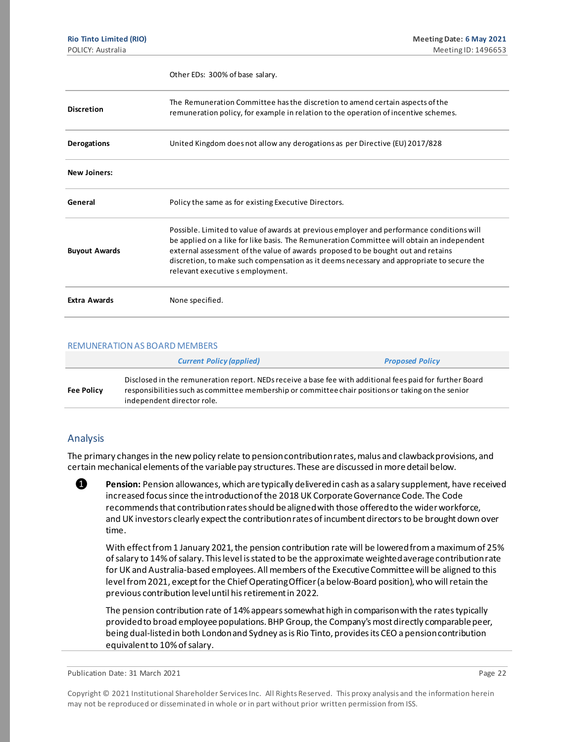|                      | Other EDs: 300% of base salary.                                                                                                                                                                                                                                                                                                                                                                              |
|----------------------|--------------------------------------------------------------------------------------------------------------------------------------------------------------------------------------------------------------------------------------------------------------------------------------------------------------------------------------------------------------------------------------------------------------|
| <b>Discretion</b>    | The Remuneration Committee has the discretion to amend certain aspects of the<br>remuneration policy, for example in relation to the operation of incentive schemes.                                                                                                                                                                                                                                         |
| <b>Derogations</b>   | United Kingdom does not allow any derogations as per Directive (EU) 2017/828                                                                                                                                                                                                                                                                                                                                 |
| <b>New Joiners:</b>  |                                                                                                                                                                                                                                                                                                                                                                                                              |
| General              | Policy the same as for existing Executive Directors.                                                                                                                                                                                                                                                                                                                                                         |
| <b>Buyout Awards</b> | Possible. Limited to value of awards at previous employer and performance conditions will<br>be applied on a like for like basis. The Remuneration Committee will obtain an independent<br>external assessment of the value of awards proposed to be bought out and retains<br>discretion, to make such compensation as it deems necessary and appropriate to secure the<br>relevant executive s employment. |
| <b>Extra Awards</b>  | None specified.                                                                                                                                                                                                                                                                                                                                                                                              |

#### REMUNERATION AS BOARD MEMBERS

|                   | <b>Current Policy (applied)</b>                                                                                                                                                                                                               | <b>Proposed Policy</b> |
|-------------------|-----------------------------------------------------------------------------------------------------------------------------------------------------------------------------------------------------------------------------------------------|------------------------|
| <b>Fee Policy</b> | Disclosed in the remuneration report. NEDs receive a base fee with additional fees paid for further Board<br>responsibilities such as committee membership or committee chair positions or taking on the senior<br>independent director role. |                        |

#### Analysis

The primary changes in the new policy relate to pension contribution rates, malus and clawback provisions, and certain mechanical elements of the variable pay structures. These are discussed in more detail below.

**O** Pension: Pension allowances, which are typically delivered in cash as a salary supplement, have received increased focus since the introduction of the 2018 UK Corporate Governance Code. The Code recommends that contribution rates should be aligned with those offered to the wider workforce, and UK investors clearly expect the contribution rates of incumbent directors to be brought down over time.

With effect from 1 January 2021, the pension contribution rate will be lowered from a maximum of 25% of salary to 14% of salary. This level is stated to be the approximate weighted average contribution rate for UK and Australia-based employees. All members of the Executive Committee will be aligned to this level from 2021, except for the Chief Operating Officer (a below-Board position), who will retain the previous contribution level until his retirement in 2022.

The pension contribution rate of 14% appears somewhat high in comparison with the rates typically provided to broad employee populations. BHP Group, the Company's most directly comparable peer, being dual-listed in both London and Sydney as is Rio Tinto, provides its CEO a pension contribution equivalent to 10% of salary.

Publication Date: 31 March 2021 **Page 22**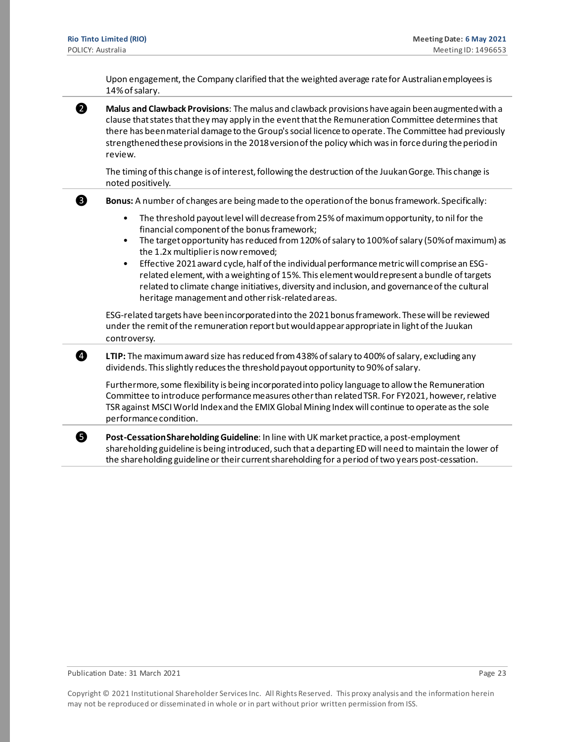Upon engagement, the Company clarified that the weighted average rate for Australian employees is 14% of salary.

❷ **Malus and Clawback Provisions**: The malus and clawback provisions have again been augmented with a clause that states that they may apply in the event that the Remuneration Committee determines that there has been material damage to the Group's social licence to operate. The Committee had previously strengthened these provisions in the 2018 version of the policy which was in force during the period in review.

The timing of this change is of interest, following the destruction of the Juukan Gorge. This change is noted positively.

❸ **Bonus:** A number of changes are being made to the operation of the bonus framework. Specifically:

- The threshold payout level will decrease from 25% of maximum opportunity, to nil for the financial component of the bonus framework;
- The target opportunity has reduced from 120% of salary to 100% of salary (50% of maximum) as the 1.2x multiplier is now removed;
- Effective 2021 award cycle, half of the individual performance metric will comprise an ESGrelated element, with a weighting of 15%. This element would represent a bundle of targets related to climate change initiatives, diversity and inclusion, and governance of the cultural heritage management and other risk-related areas.

ESG-related targets have been incorporated into the 2021 bonus framework. These will be reviewed under the remit of the remuneration report but would appear appropriate in light of the Juukan controversy.

❹ **LTIP:** The maximum award size has reduced from 438% of salary to 400% of salary, excluding any dividends. This slightly reduces the threshold payout opportunity to 90% of salary.

Furthermore, some flexibility is being incorporated into policy language to allow the Remuneration Committee to introduce performance measures other than related TSR. For FY2021, however, relative TSR against MSCI World Index and the EMIX Global Mining Index will continue to operate as the sole performance condition.

❺ **Post-Cessation Shareholding Guideline**: In line with UK market practice, a post-employment shareholding guideline is being introduced, such that a departing ED will need to maintain the lower of the shareholding guideline or their current shareholding for a period of two years post-cessation.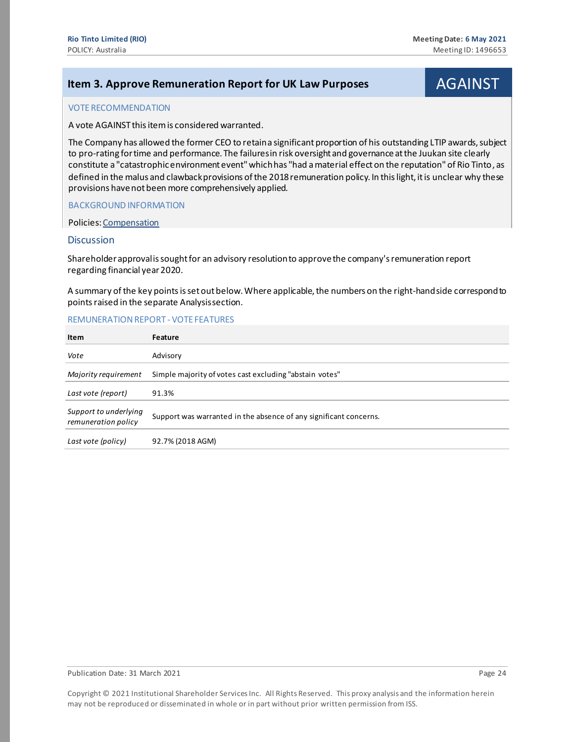# <span id="page-23-0"></span>**Item 3. Approve Remuneration Report for UK Law Purposes AGAINST**

#### VOTE RECOMMENDATION

A vote AGAINST this item is considered warranted.

The Company has allowed the former CEO to retain a significant proportion of his outstanding LTIP awards, subject to pro-rating for time and performance. The failures in risk oversight and governance at the Juukan site clearly constitute a "catastrophic environment event" which has "had a material effect on the reputation" of Rio Tinto, as defined in the malus and clawback provisions of the 2018 remuneration policy. In this light, it is unclear why these provisions have not been more comprehensively applied.

BACKGROUND INFORMATION

Policies[: Compensation](https://www.governanceexchange.com/index2.php?x=mtx&i=475)

#### **Discussion**

Shareholder approval is sought for an advisory resolution to approve the company'sremuneration report regarding financial year 2020.

A summary of the key points is set out below. Where applicable, the numbers on the right-hand side correspond to points raised in the separate Analysis section.

#### REMUNERATION REPORT - VOTE FEATURES

| Item                                         | Feature                                                           |
|----------------------------------------------|-------------------------------------------------------------------|
| Vote                                         | Advisory                                                          |
| Majority requirement                         | Simple majority of votes cast excluding "abstain votes"           |
| Last vote (report)                           | 91.3%                                                             |
| Support to underlying<br>remuneration policy | Support was warranted in the absence of any significant concerns. |
| Last vote (policy)                           | 92.7% (2018 AGM)                                                  |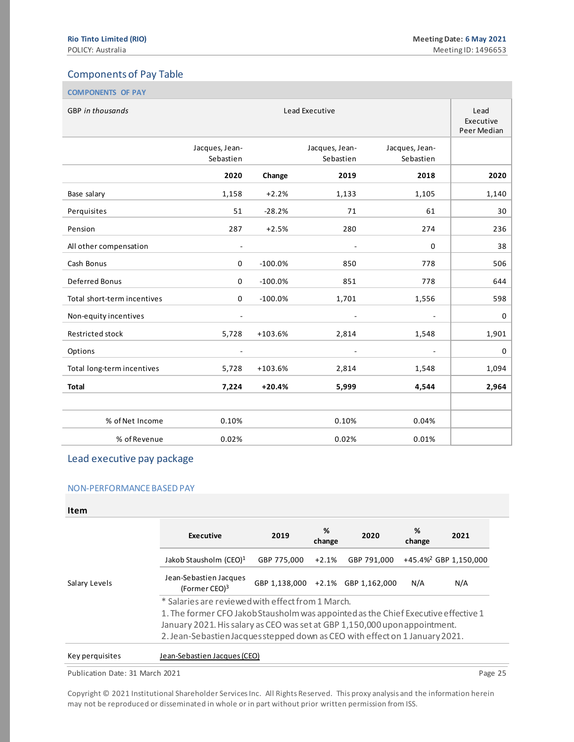# Components of Pay Table

| <b>COMPONENTS OF PAY</b>    |                             |                                  |                             |                             |       |
|-----------------------------|-----------------------------|----------------------------------|-----------------------------|-----------------------------|-------|
| <b>GBP</b> in thousands     |                             | Lead<br>Executive<br>Peer Median |                             |                             |       |
|                             | Jacques, Jean-<br>Sebastien |                                  | Jacques, Jean-<br>Sebastien | Jacques, Jean-<br>Sebastien |       |
|                             | 2020                        | Change                           | 2019                        | 2018                        | 2020  |
| Base salary                 | 1,158                       | $+2.2%$                          | 1,133                       | 1,105                       | 1,140 |
| Perquisites                 | 51                          | $-28.2%$                         | 71                          | 61                          | 30    |
| Pension                     | 287                         | $+2.5%$                          | 280                         | 274                         | 236   |
| All other compensation      | $\overline{\phantom{a}}$    |                                  | $\overline{\phantom{a}}$    | $\Omega$                    | 38    |
| Cash Bonus                  | $\mathbf 0$                 | $-100.0%$                        | 850                         | 778                         | 506   |
| Deferred Bonus              | $\mathbf 0$                 | $-100.0%$                        | 851                         | 778                         | 644   |
| Total short-term incentives | $\mathbf 0$                 | $-100.0%$                        | 1,701                       | 1,556                       | 598   |
| Non-equity incentives       | $\overline{\phantom{a}}$    |                                  | $\overline{\phantom{a}}$    | $\overline{\phantom{a}}$    | 0     |
| Restricted stock            | 5,728                       | $+103.6%$                        | 2,814                       | 1,548                       | 1,901 |
| Options                     |                             |                                  | $\overline{\phantom{a}}$    |                             | 0     |
| Total long-term incentives  | 5,728                       | $+103.6%$                        | 2,814                       | 1,548                       | 1,094 |
| <b>Total</b>                | 7,224                       | $+20.4%$                         | 5,999                       | 4,544                       | 2,964 |
|                             |                             |                                  |                             |                             |       |
| % of Net Income             | 0.10%                       |                                  | 0.10%                       | 0.04%                       |       |
| % of Revenue                | 0.02%                       |                                  | 0.02%                       | 0.01%                       |       |

#### Lead executive pay package

#### NON-PERFORMANCE BASED PAY

#### **Item**

|                 | Executive                                                                                                                               | 2019        | %<br>change | 2020                              | %<br>change | 2021                              |
|-----------------|-----------------------------------------------------------------------------------------------------------------------------------------|-------------|-------------|-----------------------------------|-------------|-----------------------------------|
|                 | Jakob Stausholm (CEO) <sup>1</sup>                                                                                                      | GBP 775,000 | $+2.1%$     | GBP 791,000                       |             | +45.4% <sup>2</sup> GBP 1,150,000 |
| Salary Levels   | Jean-Sebastien Jacques<br>(Former CEO) $3$                                                                                              |             |             | GBP 1.138.000 +2.1% GBP 1.162.000 | N/A         | N/A                               |
|                 | * Salaries are reviewed with effect from 1 March.<br>1. The former CFO Jakob Stausholm was appointed as the Chief Executive effective 1 |             |             |                                   |             |                                   |
|                 | January 2021. His salary as CEO was set at GBP 1,150,000 upon appointment.                                                              |             |             |                                   |             |                                   |
|                 | 2. Jean-Sebastien Jacques stepped down as CEO with effect on 1 January 2021.                                                            |             |             |                                   |             |                                   |
| Key perquisites | Jean-Sebastien Jacques (CEO)                                                                                                            |             |             |                                   |             |                                   |

#### Publication Date: 31 March 2021 **Page 25** Page 25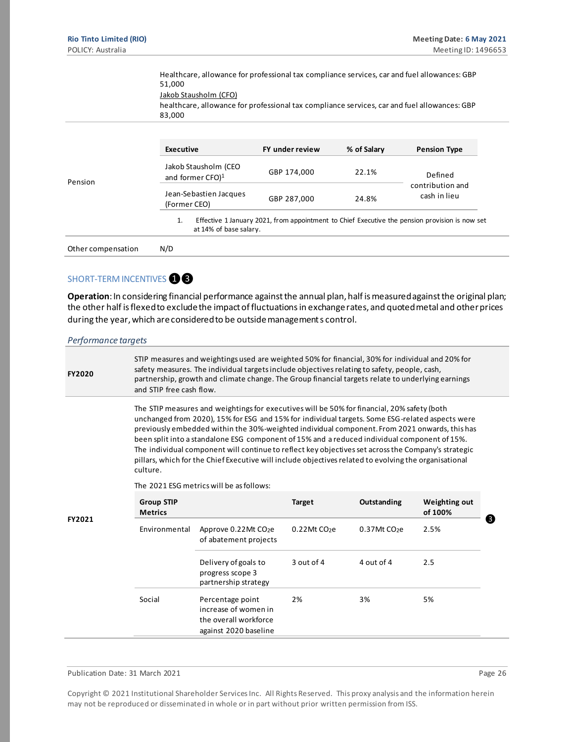Healthcare, allowance for professional tax compliance services, car and fuel allowances: GBP 51,000 Jakob Stausholm (CFO) healthcare, allowance for professional tax compliance services, car and fuel allowances: GBP 83,000 Pension **Executive FY under review % of Salary Pension Type** Jakob Stausholm (CEO and former CFO)<sup>1</sup> GBP 174,000 22.1% Defined contribution and Jean-Sebastien Jacques<br>
GBP 287,000 24.8% Cash in lieu (Former CEO) 1. Effective 1 January 2021, from appointment to Chief Executive the pension provision is now set at 14% of base salary. Other compensation N/D

## SHORT-TERM INCENTIVES **18**

**Operation**: In considering financial performance against the annual plan, half is measured against the original plan; the other half is flexed to exclude the impact of fluctuations in exchange rates, and quoted metal and other prices during the year, which are considered to be outside management s control.

*Performance targets* **FY2020** STIP measures and weightings used are weighted 50% for financial, 30% for individual and 20% for safety measures. The individual targets include objectives relating to safety, people, cash, partnership, growth and climate change. The Group financial targets relate to underlying earnings and STIP free cash flow. **FY2021** The STIP measures and weightings for executives will be 50% for financial, 20% safety (both unchanged from 2020), 15% for ESG and 15% for individual targets. Some ESG-related aspects were previously embedded within the 30%-weighted individual component. From 2021 onwards, this has been split into a standalone ESG component of 15% and a reduced individual component of 15%. The individual component will continue to reflect key objectives set across the Company's strategic pillars, which for the Chief Executive will include objectives related to evolving the organisational culture. The 2021 ESG metrics will be as follows: **Group STIP Metrics Target Outstanding Weighting out of 100%** Environmental Approve 0.22Mt CO<sub>2</sub>e of abatement projects 0.22Mt CO<sub>2</sub>e 0.37Mt CO<sub>2</sub>e 2.5% Delivery of goals to progress scope 3 partnership strategy 3 out of 4 4 out of 4 2.5 Social Percentage point increase of women in the overall workforce against 2020 baseline 2% 3% 5% ❸

Publication Date: 31 March 2021 **Page 26** and 2021 **Page 26** and 2021 **Page 26** and 2021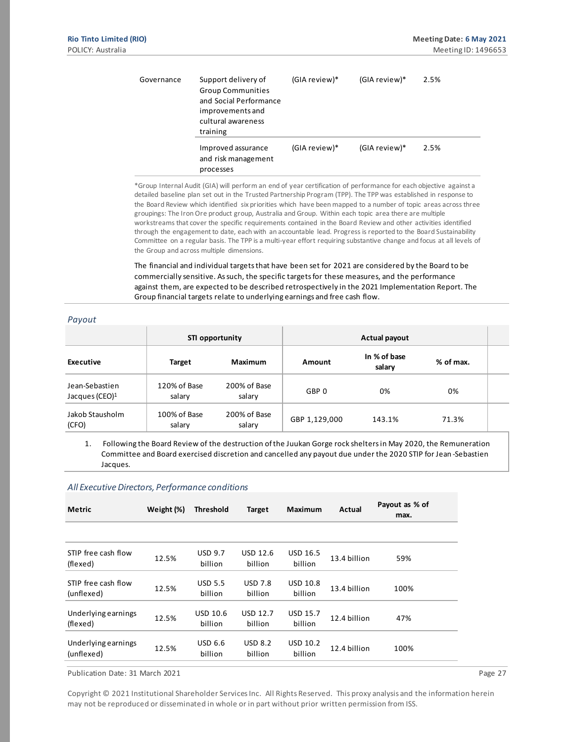*Payout*

| Governance | Support delivery of<br><b>Group Communities</b><br>and Social Performance<br>improvements and<br>cultural awareness<br>training | (GIA review)* | (GIA review)* | 2.5% |
|------------|---------------------------------------------------------------------------------------------------------------------------------|---------------|---------------|------|
|            | Improved assurance<br>and risk management<br>processes                                                                          | (GIA review)* | (GIA review)* | 2.5% |

\*Group Internal Audit (GIA) will perform an end of year certification of performance for each objective against a detailed baseline plan set out in the Trusted Partnership Program (TPP). The TPP was established in response to the Board Review which identified six priorities which have been mapped to a number of topic areas across three groupings: The Iron Ore product group, Australia and Group. Within each topic area there are multiple workstreams that cover the specific requirements contained in the Board Review and other activities identified through the engagement to date, each with an accountable lead. Progress is reported to the Board Sustainability Committee on a regular basis. The TPP is a multi-year effort requiring substantive change and focus at all levels of the Group and across multiple dimensions.

The financial and individual targets that have been set for 2021 are considered by the Board to be commercially sensitive. As such, the specific targets for these measures, and the performance against them, are expected to be described retrospectively in the 2021 Implementation Report. The Group financial targets relate to underlying earnings and free cash flow.

| ruyuu                                        |                        |                        |                  |                        |           |  |
|----------------------------------------------|------------------------|------------------------|------------------|------------------------|-----------|--|
|                                              | STI opportunity        |                        |                  | Actual payout          |           |  |
| Executive                                    | Target                 | Maximum                | Amount           | In % of base<br>salary | % of max. |  |
| Jean-Sebastien<br>Jacques (CEO) <sup>1</sup> | 120% of Base<br>salary | 200% of Base<br>salary | GBP <sub>0</sub> | 0%                     | 0%        |  |
| Jakob Stausholm<br>(CFO)                     | 100% of Base<br>salary | 200% of Base<br>salary | GBP 1,129,000    | 143.1%                 | 71.3%     |  |

1. Following the Board Review of the destruction of the Juukan Gorge rock shelters in May 2020, the Remuneration Committee and Board exercised discretion and cancelled any payout due under the 2020 STIP for Jean -Sebastien Jacques.

#### *All Executive Directors, Performance conditions*

| <b>Metric</b>                     | Weight (%) | <b>Threshold</b>           | <b>Target</b>              | Maximum                    | Actual       | Payout as % of<br>max. |
|-----------------------------------|------------|----------------------------|----------------------------|----------------------------|--------------|------------------------|
|                                   |            |                            |                            |                            |              |                        |
| STIP free cash flow<br>(flexed)   | 12.5%      | <b>USD 9.7</b><br>billion  | <b>USD 12.6</b><br>billion | <b>USD 16.5</b><br>billion | 13.4 billion | 59%                    |
| STIP free cash flow<br>(unflexed) | 12.5%      | <b>USD 5.5</b><br>billion  | <b>USD 7.8</b><br>billion  | <b>USD 10.8</b><br>billion | 13.4 billion | 100%                   |
| Underlying earnings<br>(flexed)   | 12.5%      | <b>USD 10.6</b><br>billion | <b>USD 12.7</b><br>billion | <b>USD 15.7</b><br>billion | 12.4 billion | 47%                    |
| Underlying earnings<br>(unflexed) | 12.5%      | <b>USD 6.6</b><br>billion  | <b>USD 8.2</b><br>billion  | USD 10.2<br>billion        | 12.4 billion | 100%                   |

Publication Date: 31 March 2021 **Page 27 Page 27**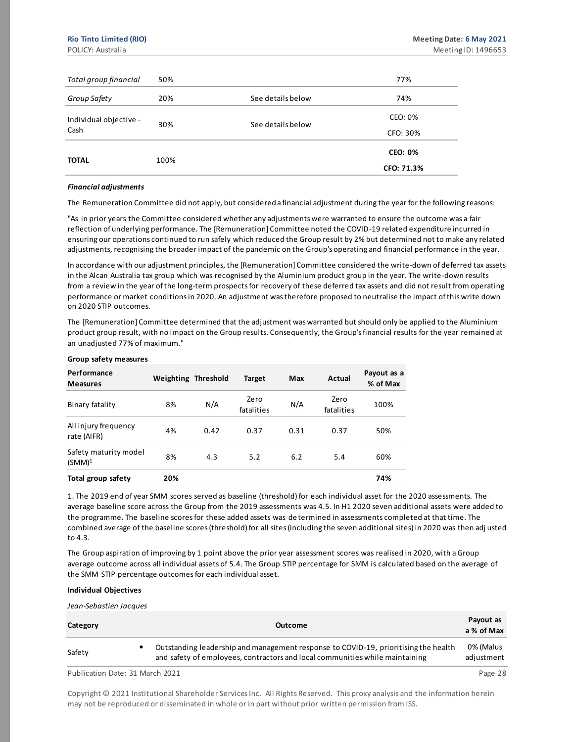| Total group financial  | 50%  |                   | 77%            |
|------------------------|------|-------------------|----------------|
| Group Safety           | 20%  | See details below | 74%            |
| Individual objective - | 30%  | See details below | CEO: 0%        |
| Cash                   |      |                   | CFO: 30%       |
| <b>TOTAL</b>           | 100% |                   | <b>CEO: 0%</b> |
|                        |      |                   | CFO: 71.3%     |

#### *Financial adjustments*

The Remuneration Committee did not apply, but considered a financial adjustment during the year for the following reasons:

"As in prior years the Committee considered whether any adjustments were warranted to ensure the outcome was a fair reflection of underlying performance. The [Remuneration] Committee noted the COVID-19 related expenditure incurred in ensuring our operations continued to run safely which reduced the Group result by 2% but determined not to make any related adjustments, recognising the broader impact of the pandemic on the Group's operating and financial performance in the year.

In accordance with our adjustment principles, the [Remuneration] Committee considered the write-down of deferred tax assets in the Alcan Australia tax group which was recognised by the Aluminium product group in the year. The write -down results from a review in the year of the long-term prospects for recovery of these deferred tax assets and did not result from operating performance or market conditions in 2020. An adjustment was therefore proposed to neutralise the impact of this write down on 2020 STIP outcomes.

The [Remuneration] Committee determined that the adjustment was warranted but should only be applied to the Aluminium product group result, with no impact on the Group results. Consequently, the Group's financial results for the year remained at an unadjusted 77% of maximum."

| Performance<br><b>Measures</b>              |     | Weighting Threshold | <b>Target</b>      | Max  | Actual             | Payout as a<br>% of Max |
|---------------------------------------------|-----|---------------------|--------------------|------|--------------------|-------------------------|
| Binary fatality                             | 8%  | N/A                 | Zero<br>fatalities | N/A  | Zero<br>fatalities | 100%                    |
| All injury frequency<br>rate (AIFR)         | 4%  | 0.42                | 0.37               | 0.31 | 0.37               | 50%                     |
| Safety maturity model<br>(SMM) <sup>1</sup> | 8%  | 4.3                 | 5.2                | 6.2  | 5.4                | 60%                     |
| Total group safety                          | 20% |                     |                    |      |                    | 74%                     |

#### **Group safety measures**

1. The 2019 end of year SMM scores served as baseline (threshold) for each individual asset for the 2020 assessments. The average baseline score across the Group from the 2019 assessments was 4.5. In H1 2020 seven additional assets were added to the programme. The baseline scores for these added assets was de termined in assessments completed at that time. The combined average of the baseline scores (threshold) for all sites (including the seven additional sites) in 2020 was then adj usted to 4.3.

The Group aspiration of improving by 1 point above the prior year assessment scores was realised in 2020, with a Group average outcome across all individual assets of 5.4. The Group STIP percentage for SMM is calculated based on the average of the SMM STIP percentage outcomes for each individual asset.

#### **Individual Objectives**

*Jean-Sebastien Jacques*

| Category                        | <b>Outcome</b>                                                                                                                                                      | Payout as<br>a % of Max |
|---------------------------------|---------------------------------------------------------------------------------------------------------------------------------------------------------------------|-------------------------|
| Safety                          | Outstanding leadership and management response to COVID-19, prioritising the health<br>and safety of employees, contractors and local communities while maintaining | 0% (Malus<br>adjustment |
| Publication Date: 31 March 2021 |                                                                                                                                                                     | Page 28                 |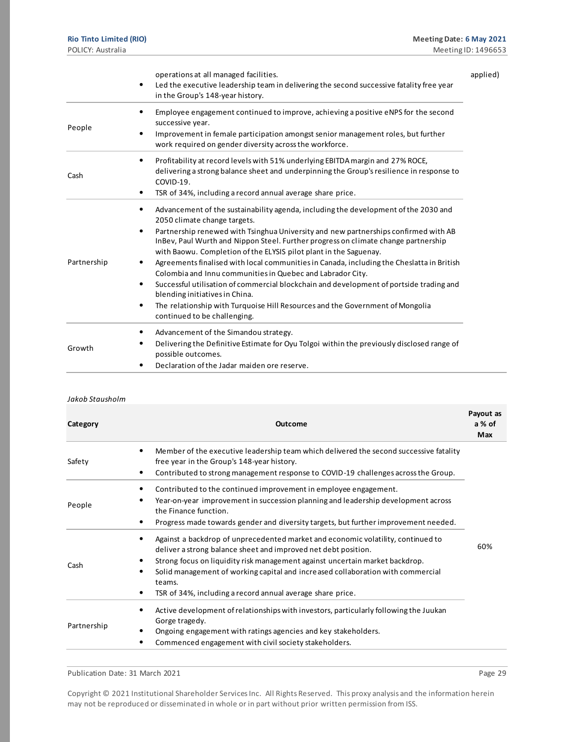|             | operations at all managed facilities.<br>Led the executive leadership team in delivering the second successive fatality free year<br>٠<br>in the Group's 148-year history.                                                                                                                                                                                                                                                                                                                                                                                                                                                                                                                                                                                                                         | applied) |
|-------------|----------------------------------------------------------------------------------------------------------------------------------------------------------------------------------------------------------------------------------------------------------------------------------------------------------------------------------------------------------------------------------------------------------------------------------------------------------------------------------------------------------------------------------------------------------------------------------------------------------------------------------------------------------------------------------------------------------------------------------------------------------------------------------------------------|----------|
| People      | Employee engagement continued to improve, achieving a positive eNPS for the second<br>successive year.<br>Improvement in female participation amongst senior management roles, but further<br>work required on gender diversity across the workforce.                                                                                                                                                                                                                                                                                                                                                                                                                                                                                                                                              |          |
| Cash        | Profitability at record levels with 51% underlying EBITDA margin and 27% ROCE,<br>٠<br>delivering a strong balance sheet and underpinning the Group's resilience in response to<br>COVID-19.<br>TSR of 34%, including a record annual average share price.                                                                                                                                                                                                                                                                                                                                                                                                                                                                                                                                         |          |
| Partnership | Advancement of the sustainability agenda, including the development of the 2030 and<br>٠<br>2050 climate change targets.<br>Partnership renewed with Tsinghua University and new partnerships confirmed with AB<br>٠<br>InBev, Paul Wurth and Nippon Steel. Further progress on climate change partnership<br>with Baowu. Completion of the ELYSIS pilot plant in the Saguenay.<br>Agreements finalised with local communities in Canada, including the Cheslatta in British<br>Colombia and Innu communities in Quebec and Labrador City.<br>Successful utilisation of commercial blockchain and development of portside trading and<br>٠<br>blending initiatives in China.<br>The relationship with Turquoise Hill Resources and the Government of Mongolia<br>٠<br>continued to be challenging. |          |
| Growth      | Advancement of the Simandou strategy.<br>Delivering the Definitive Estimate for Oyu Tolgoi within the previously disclosed range of<br>possible outcomes.<br>Declaration of the Jadar maiden ore reserve.                                                                                                                                                                                                                                                                                                                                                                                                                                                                                                                                                                                          |          |

#### *Jakob Stausholm*

| Category    | <b>Outcome</b>                                                                                                                                                                                                                                                                                                                                                                                          | Payout as<br>a % of<br>Max |
|-------------|---------------------------------------------------------------------------------------------------------------------------------------------------------------------------------------------------------------------------------------------------------------------------------------------------------------------------------------------------------------------------------------------------------|----------------------------|
| Safety      | Member of the executive leadership team which delivered the second successive fatality<br>٠<br>free year in the Group's 148-year history.<br>Contributed to strong management response to COVID-19 challenges across the Group.<br>٠                                                                                                                                                                    |                            |
| People      | Contributed to the continued improvement in employee engagement.<br>٠<br>Year-on-year improvement in succession planning and leadership development across<br>٠<br>the Finance function.<br>Progress made towards gender and diversity targets, but further improvement needed.<br>٠                                                                                                                    |                            |
| Cash        | Against a backdrop of unprecedented market and economic volatility, continued to<br>٠<br>deliver a strong balance sheet and improved net debt position.<br>Strong focus on liquidity risk management against uncertain market backdrop.<br>Solid management of working capital and increased collaboration with commercial<br>٠<br>teams.<br>TSR of 34%, including a record annual average share price. | 60%                        |
| Partnership | Active development of relationships with investors, particularly following the Juukan<br>٠<br>Gorge tragedy.<br>Ongoing engagement with ratings agencies and key stakeholders.<br>Commenced engagement with civil society stakeholders.<br>٠                                                                                                                                                            |                            |

Publication Date: 31 March 2021 **Page 29** Page 29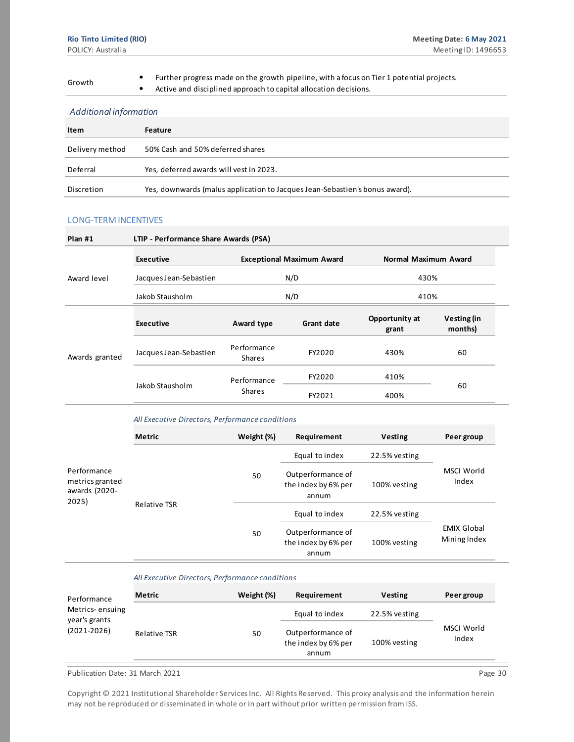Further progress made on the growth pipeline, with a focus on Tier 1 potential projects.<br> **Growth** e Active and disciplined approach to capital allocation decisions

• Active and disciplined approach to capital allocation decisions.

#### *Additional information*

| Item            | Feature                                                                     |
|-----------------|-----------------------------------------------------------------------------|
| Delivery method | 50% Cash and 50% deferred shares                                            |
| Deferral        | Yes, deferred awards will vest in 2023.                                     |
| Discretion      | Yes, downwards (malus application to Jacques Jean-Sebastien's bonus award). |

#### LONG-TERM INCENTIVES

| $Plan$ #1<br>LTIP - Performance Share Awards (PSA) |                        |                              |                                  |                         |                        |  |
|----------------------------------------------------|------------------------|------------------------------|----------------------------------|-------------------------|------------------------|--|
|                                                    | <b>Executive</b>       |                              | <b>Exceptional Maximum Award</b> | Normal Maximum Award    |                        |  |
| Award level                                        | Jacques Jean-Sebastien |                              | N/D                              | 430%                    |                        |  |
|                                                    | Jakob Stausholm        |                              | N/D                              |                         | 410%                   |  |
|                                                    | <b>Executive</b>       | Award type                   | Grant date                       | Opportunity at<br>grant | Vesting (in<br>months) |  |
| Awards granted                                     | Jacques Jean-Sebastien | Performance<br><b>Shares</b> | FY2020                           | 430%                    | 60                     |  |
|                                                    |                        | Performance                  | FY2020                           | 410%                    |                        |  |
|                                                    | Jakob Stausholm        | <b>Shares</b>                | FY2021                           | 400%                    | 60                     |  |

#### *All Executive Directors, Performance conditions*

|                                                          | <b>Metric</b>       | Weight (%) | Requirement                                       | <b>Vesting</b> | Peer group                         |  |
|----------------------------------------------------------|---------------------|------------|---------------------------------------------------|----------------|------------------------------------|--|
|                                                          |                     |            | Equal to index                                    | 22.5% vesting  |                                    |  |
| Performance<br>metrics granted<br>awards (2020-<br>2025) |                     | 50         | Outperformance of<br>the index by 6% per<br>annum | 100% vesting   | MSCI World<br>Index                |  |
|                                                          | <b>Relative TSR</b> |            | Equal to index                                    | 22.5% vesting  |                                    |  |
|                                                          |                     | 50         | Outperformance of<br>the index by 6% per<br>annum | 100% vesting   | <b>EMIX Global</b><br>Mining Index |  |

#### *All Executive Directors, Performance conditions*

| Performance                      | <b>Metric</b> | Weight (%) | Requirement                                       | <b>Vesting</b> | Peer group          |
|----------------------------------|---------------|------------|---------------------------------------------------|----------------|---------------------|
| Metrics-ensuing<br>year's grants |               |            | Equal to index                                    | 22.5% vesting  |                     |
| $(2021 - 2026)$                  | Relative TSR  | 50         | Outperformance of<br>the index by 6% per<br>annum | 100% vesting   | MSCI World<br>Index |

Publication Date: 31 March 2021 **Page 30** Page 30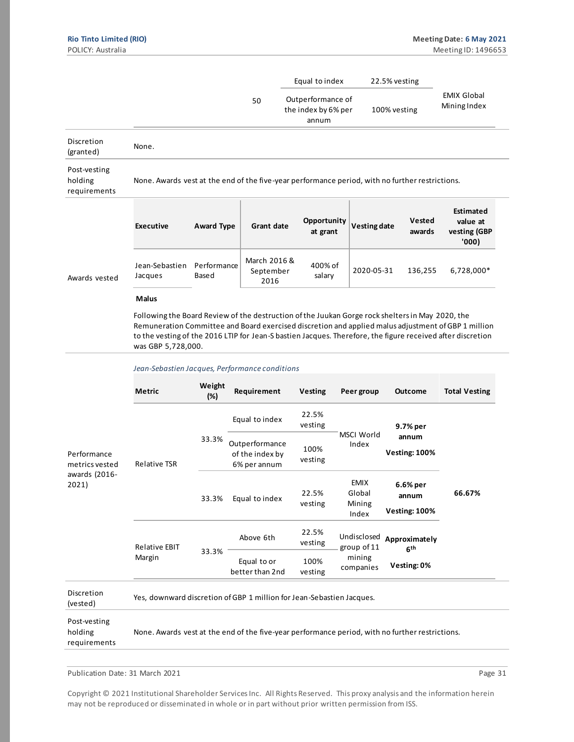|                                         |                                                                                                 |                      |                                   | Equal to index                                                                                   | 22.5% vesting       |                  |                                                |
|-----------------------------------------|-------------------------------------------------------------------------------------------------|----------------------|-----------------------------------|--------------------------------------------------------------------------------------------------|---------------------|------------------|------------------------------------------------|
|                                         |                                                                                                 | 50                   |                                   | Outperformance of<br>the index by 6% per<br>annum                                                | 100% vesting        |                  | <b>EMIX Global</b><br>Mining Index             |
| Discretion<br>(granted)                 | None.                                                                                           |                      |                                   |                                                                                                  |                     |                  |                                                |
| Post-vesting<br>holding<br>requirements | None. Awards vest at the end of the five-year performance period, with no further restrictions. |                      |                                   |                                                                                                  |                     |                  |                                                |
|                                         | <b>Executive</b>                                                                                | <b>Award Type</b>    | <b>Grant date</b>                 | Opportunity<br>at grant                                                                          | <b>Vesting date</b> | Vested<br>awards | Estimated<br>value at<br>vesting (GBP<br>'000) |
| Awards vested                           | Jean-Sebastien<br>Jacques                                                                       | Performance<br>Based | March 2016 &<br>September<br>2016 | 400% of<br>salary                                                                                | 2020-05-31          | 136,255          | 6,728,000*                                     |
|                                         | <b>Malus</b>                                                                                    |                      |                                   | Following the Board Review of the destruction of the Juukan Gorge rock shelters in May 2020, the |                     |                  |                                                |

Following the Board Review of the destruction of the Juukan Gorge rock shelters in May 2020, the Remuneration Committee and Board exercised discretion and applied malus adjustment of GBP 1 million to the vesting of the 2016 LTIP for Jean-S bastien Jacques. Therefore, the figure received after discretion was GBP 5,728,000.

#### *Jean-Sebastien Jacques, Performance conditions*

|                                                         | Metric                                  | Weight<br>$(\%)$               | Requirement                                                           | Vesting                                           | Peer group                               | <b>Outcome</b>                                                                                                                                                                                                                    | <b>Total Vesting</b> |
|---------------------------------------------------------|-----------------------------------------|--------------------------------|-----------------------------------------------------------------------|---------------------------------------------------|------------------------------------------|-----------------------------------------------------------------------------------------------------------------------------------------------------------------------------------------------------------------------------------|----------------------|
| Performance<br>metrics vested<br>awards (2016-<br>2021) |                                         |                                | Equal to index                                                        | 22.5%<br>vesting                                  |                                          | 9.7% per<br>annum<br><b>Vesting: 100%</b><br>6.6% per<br>annum<br><b>Vesting: 100%</b>                                                                                                                                            |                      |
|                                                         | <b>Relative TSR</b>                     | 33.3%                          | Outperformance<br>of the index by<br>6% per annum                     | 100%<br>vesting                                   | <b>MSCI World</b><br>Index               |                                                                                                                                                                                                                                   |                      |
|                                                         |                                         | 33.3%                          | Equal to index                                                        | 22.5%<br>vesting                                  | <b>EMIX</b><br>Global<br>Mining<br>Index |                                                                                                                                                                                                                                   | 66.67%               |
|                                                         | <b>Relative EBIT</b><br>33.3%<br>Margin | Above 6th                      | 22.5%<br>vesting                                                      | Undisclosed<br>group of 11<br>mining<br>companies | Approximately<br>6 <sup>th</sup>         |                                                                                                                                                                                                                                   |                      |
|                                                         |                                         | Equal to or<br>better than 2nd | 100%<br>vesting                                                       |                                                   | Vesting: 0%                              |                                                                                                                                                                                                                                   |                      |
| Discretion<br>(vested)                                  |                                         |                                | Yes, downward discretion of GBP 1 million for Jean-Sebastien Jacques. |                                                   |                                          |                                                                                                                                                                                                                                   |                      |
| Post-vesting                                            |                                         |                                | $\mathbf{r}$                                                          |                                                   |                                          | $\mathcal{L}$ and the state of the state of the state of the state of the state of the state of the state of the state of the state of the state of the state of the state of the state of the state of the state of the state of |                      |

holding requirements None. Awards vest at the end of the five-year performance period, with no further restrictions.

Publication Date: 31 March 2021 **Page 31**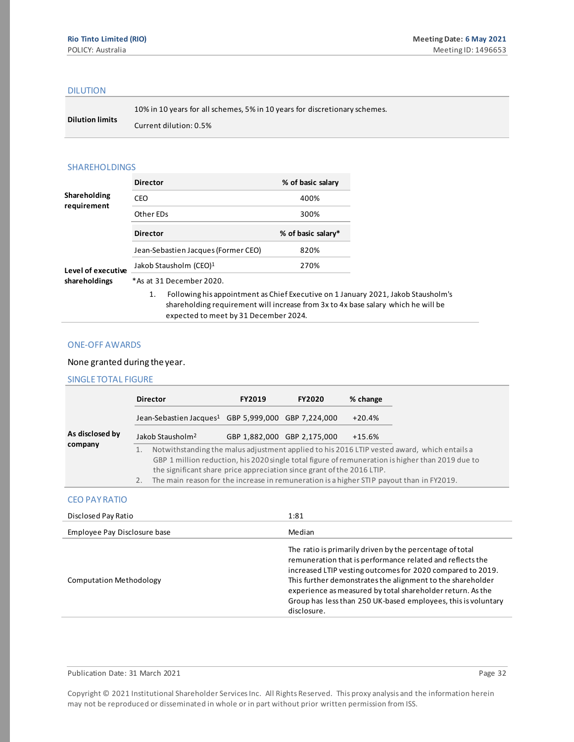#### DILUTION

**Dilution limits** 10% in 10 years for all schemes, 5% in 10 years for discretionary schemes. Current dilution: 0.5%

#### SHAREHOLDINGS

|                    | <b>Director</b>                     | % of basic salary  |
|--------------------|-------------------------------------|--------------------|
| Shareholding       | CEO                                 | 400%               |
| requirement        | Other EDs                           | 300%               |
|                    | <b>Director</b>                     | % of basic salary* |
|                    | Jean-Sebastien Jacques (Former CEO) | 820%               |
| Level of executive | Jakob Stausholm (CEO) <sup>1</sup>  | 270%               |
| shareholdings      | *As at 31 December 2020.            |                    |
|                    |                                     |                    |

1. Following his appointment as Chief Executive on 1 January 2021, Jakob Stausholm's shareholding requirement will increase from 3x to 4x base salary which he will be expected to meet by 31 December 2024.

#### ONE-OFF AWARDS

#### None granted during the year.

#### SINGLE TOTAL FIGURE

|          | <b>Director</b>                                                                                                                                                    | <b>FY2019</b> | <b>FY2020</b>               | % change |                                                                                                                                                                                                 |
|----------|--------------------------------------------------------------------------------------------------------------------------------------------------------------------|---------------|-----------------------------|----------|-------------------------------------------------------------------------------------------------------------------------------------------------------------------------------------------------|
|          | Jean-Sebastien Jacques <sup>1</sup> GBP 5,999,000 GBP 7,224,000                                                                                                    |               |                             | $+20.4%$ |                                                                                                                                                                                                 |
|          | Jakob Stausholm <sup>2</sup>                                                                                                                                       |               | GBP 1,882,000 GBP 2,175,000 | $+15.6%$ |                                                                                                                                                                                                 |
| 1.<br>2. | the significant share price appreciation since grant of the 2016 LTIP.<br>The main reason for the increase in remuneration is a higher STIP payout than in FY2019. |               |                             |          | Notwithstanding the malus adjustment applied to his 2016 LTIP vested award, which entails a<br>GBP 1 million reduction, his 2020 single total figure of remuneration is higher than 2019 due to |

#### CEO PAY RATIO

| Disclosed Pay Ratio            | 1:81                                                                                                                                                                                                                                                                                                                                                                                            |
|--------------------------------|-------------------------------------------------------------------------------------------------------------------------------------------------------------------------------------------------------------------------------------------------------------------------------------------------------------------------------------------------------------------------------------------------|
| Employee Pay Disclosure base   | Median                                                                                                                                                                                                                                                                                                                                                                                          |
| <b>Computation Methodology</b> | The ratio is primarily driven by the percentage of total<br>remuneration that is performance related and reflects the<br>increased LTIP vesting outcomes for 2020 compared to 2019.<br>This further demonstrates the alignment to the shareholder<br>experience as measured by total shareholder return. As the<br>Group has less than 250 UK-based employees, this is voluntary<br>disclosure. |

#### Publication Date: 31 March 2021 **Page 32** Page 32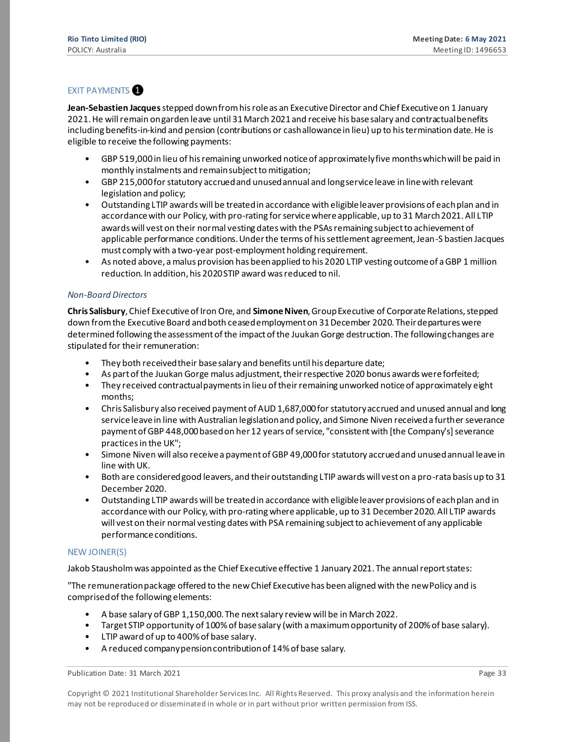#### **EXIT PAYMENTS**

**Jean-Sebastien Jacques**stepped down from his role as an Executive Director and Chief Executive on 1 January 2021. He will remain on garden leave until 31 March 2021 and receive his base salary and contractual benefits including benefits-in-kind and pension (contributions or cash allowance in lieu) up to his termination date. He is eligible to receive the following payments:

- GBP 519,000 in lieu of his remaining unworked notice of approximately five months which will be paid in monthly instalments and remain subject to mitigation;
- GBP 215,000 for statutory accrued and unused annual and long service leave in line with relevant legislation and policy;
- Outstanding LTIP awards will be treated in accordance with eligible leaver provisions of each plan and in accordance with our Policy, with pro-rating for service where applicable, up to 31 March 2021. All LTIP awards will vest on their normal vesting dates with the PSAs remaining subject to achievement of applicable performance conditions. Under the terms of his settlement agreement, Jean-S bastien Jacques must comply with a two-year post-employment holding requirement.
- As noted above, a malus provision has been applied to his 2020 LTIP vesting outcome of a GBP 1 million reduction. In addition, his 2020 STIP award was reduced to nil.

#### *Non-Board Directors*

**Chris Salisbury**, Chief Executive of Iron Ore, and **Simone Niven**, Group Executive of Corporate Relations, stepped down from the Executive Board and both ceased employment on 31 December 2020. Their departures were determined following the assessment of the impact of the Juukan Gorge destruction. The following changes are stipulated for their remuneration:

- They both received their base salary and benefits until his departure date;
- As part of the Juukan Gorge malus adjustment, their respective 2020 bonus awards were forfeited;
- They received contractual payments in lieu of their remaining unworked notice of approximately eight months;
- Chris Salisbury also received payment of AUD 1,687,000 for statutory accrued and unused annual and long service leave in line with Australian legislation and policy, and Simone Niven received a further severance payment of GBP 448,000 based on her 12 years of service, "consistent with [the Company's] severance practices in the UK";
- Simone Niven will also receive a payment of GBP 49,000 for statutory accrued and unused annual leave in line with UK.
- Both are considered good leavers, and their outstanding LTIP awards will vest on a pro-rata basis up to 31 December 2020.
- Outstanding LTIP awards will be treated in accordance with eligible leaver provisions of each plan and in accordance with our Policy, with pro-rating where applicable, up to 31 December 2020. All LTIP awards will vest on their normal vesting dates with PSA remaining subject to achievement of any applicable performance conditions.

#### NEW JOINER(S)

Jakob Stausholm was appointed as the Chief Executive effective 1 January 2021. The annual report states:

"The remuneration package offered to the new Chief Executive has been aligned with the new Policy and is comprised of the following elements:

- A base salary of GBP 1,150,000. The next salary review will be in March 2022.
- Target STIP opportunity of 100% of base salary (with a maximum opportunity of 200% of base salary).
- LTIP award of up to 400% of base salary.
- A reduced company pension contribution of 14% of base salary.

Publication Date: 31 March 2021 **Page 33** Page 33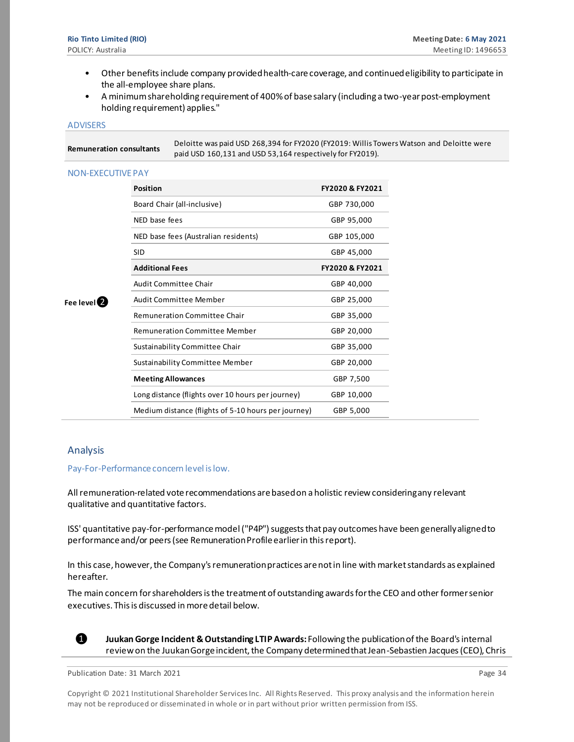- Other benefits include company provided health-care coverage, and continued eligibility to participate in the all-employee share plans.
- A minimum shareholding requirement of 400% of base salary (including a two-year post-employment holding requirement) applies."

#### ADVISERS

L

| Remuneration consultants | Deloitte was paid USD 268,394 for FY2020 (FY2019: Willis Towers Watson and Deloitte were<br>paid USD 160,131 and USD 53,164 respectively for FY2019). |
|--------------------------|-------------------------------------------------------------------------------------------------------------------------------------------------------|
| <b>NON-EXECUTIVE PAY</b> |                                                                                                                                                       |

| FY2020 & FY2021                                                  |
|------------------------------------------------------------------|
| GBP 730,000                                                      |
| GBP 95,000                                                       |
| GBP 105,000                                                      |
| GBP 45,000                                                       |
| FY2020 & FY2021                                                  |
| GBP 40,000                                                       |
| GBP 25,000                                                       |
| GBP 35,000                                                       |
| GBP 20,000                                                       |
| GBP 35,000                                                       |
| GBP 20,000                                                       |
| GBP 7,500                                                        |
| GBP 10,000                                                       |
| Medium distance (flights of 5-10 hours per journey)<br>GBP 5,000 |
|                                                                  |

#### Analysis

**Fee level**❷

Pay-For-Performance concern level is low.

All remuneration-related vote recommendations are based on a holistic review considering any relevant qualitative and quantitative factors.

ISS' quantitative pay-for-performance model ("P4P") suggests that pay outcomes have been generally aligned to performance and/or peers (see Remuneration Profile earlier in this report).

In this case, however, the Company'sremuneration practices are not in line with market standards as explained hereafter.

The main concern for shareholders is the treatment of outstanding awards for the CEO and other former senior executives. This is discussed in more detail below.



❶ **Juukan Gorge Incident & Outstanding LTIP Awards:** Following the publication of the Board's internal review on the Juukan Gorge incident, the Company determined that Jean-Sebastien Jacques (CEO), Chris

Publication Date: 31 March 2021 **Page 34** Page 34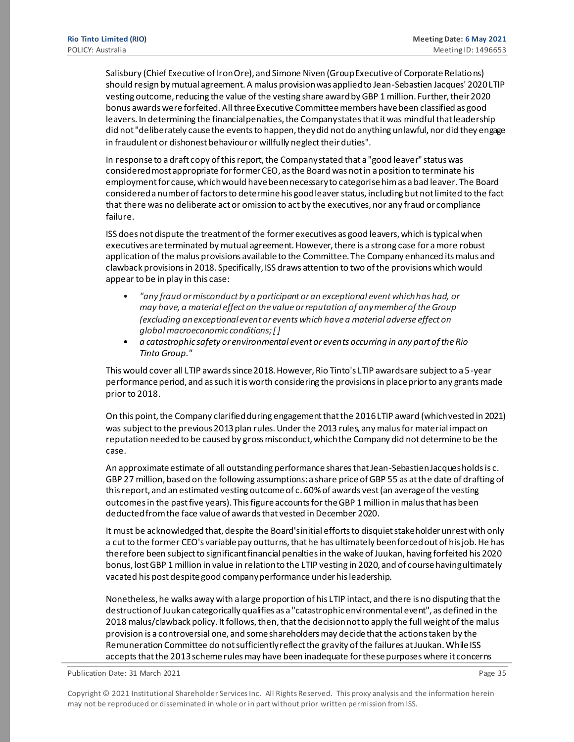Salisbury (Chief Executive of Iron Ore), and Simone Niven (Group Executive of Corporate Relations) should resign by mutual agreement. A malus provision was applied to Jean-Sebastien Jacques' 2020 LTIP vesting outcome, reducing the value of the vesting share award by GBP 1 million. Further, their 2020 bonus awards were forfeited. All three Executive Committee members have been classified as good leavers. In determining the financial penalties, the Company states that it was mindful that leadership did not "deliberately cause the events to happen, they did not do anything unlawful, nor did they engage in fraudulent or dishonest behaviour or willfully neglect their duties".

In response to a draft copy of this report, the Company stated that a "good leaver" status was considered most appropriate for former CEO, as the Board was not in a position to terminate his employment for cause, which would have been necessary to categorise him as a bad leaver. The Board considered a number of factors to determine his good leaver status, including but not limited to the fact that there was no deliberate act or omission to act by the executives, nor any fraud or compliance failure.

ISS does not dispute the treatment of the former executives as good leavers, which is typical when executives are terminated by mutual agreement. However, there is a strong case for a more robust application of the malus provisions available to the Committee. The Company enhanced its malus and clawback provisions in 2018. Specifically, ISS draws attention to two of the provisions which would appear to be in play in this case:

- *"any fraud or misconduct by a participant or an exceptional event which has had, or may have, a material effect on the value or reputation of any member of the Group (excluding an exceptionalevent or events which have a material adverse effect on global macroeconomic conditions; [ ]*
- *a catastrophic safety or environmental event or events occurring in any part of the Rio Tinto Group."*

This would cover all LTIP awards since 2018. However, Rio Tinto's LTIP awards are subject to a 5-year performance period, and as such it is worth considering the provisions in place prior to any grants made prior to 2018.

On this point, the Company clarified during engagement that the 2016 LTIP award (which vested in 2021) was subject to the previous 2013 plan rules. Under the 2013 rules, any malus for material impact on reputation needed to be caused by gross misconduct, which the Company did not determine to be the case.

An approximate estimate of all outstanding performance shares that Jean-Sebastien Jacques holds is c. GBP 27 million, based on the following assumptions: a share price of GBP 55 as at the date of drafting of this report, and an estimated vesting outcome of c. 60% of awards vest (an average of the vesting outcomes in the past five years). This figure accounts for the GBP 1 million in malus that has been deducted from the face value of awards that vested in December 2020.

It must be acknowledged that, despite the Board's initial efforts to disquiet stakeholder unrest with only a cut to the former CEO's variable pay outturns, that he has ultimately been forced out of his job. He has therefore been subject to significant financial penalties in the wake of Juukan, having forfeited his 2020 bonus, lost GBP 1 million in value in relation to the LTIP vesting in 2020, and of course having ultimately vacated his post despite good company performance under his leadership.

Nonetheless, he walks away with a large proportion of his LTIP intact, and there is no disputing that the destruction of Juukan categorically qualifies as a "catastrophic environmental event", as defined in the 2018 malus/clawback policy. It follows, then, that the decision not to apply the full weight of the malus provision is a controversial one, and some shareholders may decide that the actions taken by the Remuneration Committee do not sufficiently reflect the gravity of the failures at Juukan. While ISS accepts that the 2013 scheme rules may have been inadequate for these purposes where it concerns

Publication Date: 31 March 2021 **Page 35** Page 35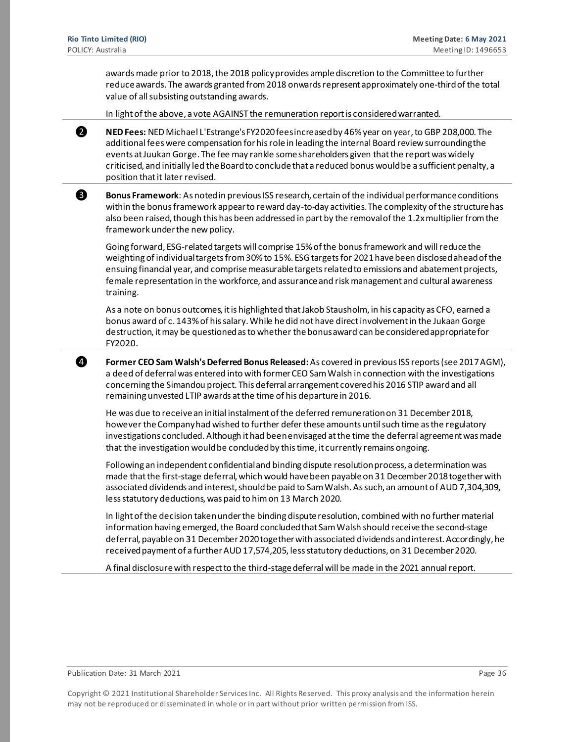awards made prior to 2018, the 2018 policy provides ample discretion to the Committee to further reduce awards. The awards granted from 2018 onwards represent approximately one-third of the total value of all subsisting outstanding awards.

In light of the above, a vote AGAINST the remuneration report is considered warranted.



❷ **NED Fees:** NED Michael L'Estrange's FY2020 fees increased by 46% year on year, to GBP 208,000. The additional fees were compensation for his role in leading the internal Board review surrounding the events at Juukan Gorge. The fee may rankle some shareholders given that the report was widely criticised, and initially led the Board to conclude that a reduced bonus would be a sufficient penalty, a position that it later revised.



**8** Bonus Framework: As noted in previous ISS research, certain of the individual performance conditions within the bonus framework appear to reward day-to-day activities. The complexity of the structure has also been raised, though this has been addressed in part by the removal of the 1.2x multiplier from the framework under the new policy.

Going forward, ESG-related targets will comprise 15% of the bonus framework and will reduce the weighting of individual targets from 30% to 15%. ESG targets for 2021 have been disclosed ahead of the ensuing financial year, and comprise measurable targets related to emissions and abatement projects, female representation in the workforce, and assurance and risk management and cultural awareness training.

As a note on bonus outcomes, it is highlighted that Jakob Stausholm, in his capacity as CFO, earned a bonus award of c. 143% of his salary. While he did not have direct involvement in the Jukaan Gorge destruction, it may be questioned as to whether the bonus award can be considered appropriate for FY2020.

❹ **Former CEO Sam Walsh's Deferred Bonus Released:** As covered in previous ISS reports (see 2017 AGM), a deed of deferral was entered into with former CEO Sam Walsh in connection with the investigations concerning the Simandou project. This deferral arrangement covered his 2016 STIP award and all remaining unvested LTIP awards at the time of his departure in 2016.

He was due to receive an initial instalment of the deferred remuneration on 31 December 2018, however the Company had wished to further defer these amounts until such time as the regulatory investigations concluded. Although it had been envisaged at the time the deferral agreement was made that the investigation would be concluded by this time, it currently remains ongoing.

Following an independent confidential and binding dispute resolution process, a determination was made that the first-stage deferral, which would have been payable on 31 December 2018 together with associated dividends and interest, should be paid to Sam Walsh. As such, an amount of AUD 7,304,309, less statutory deductions, was paid to him on 13 March 2020.

In light of the decision taken under the binding dispute resolution, combined with no further material information having emerged, the Board concluded that Sam Walsh should receive the second-stage deferral, payable on 31 December 2020 together with associated dividends and interest. Accordingly, he received payment of a further AUD 17,574,205, less statutory deductions, on 31 December 2020.

A final disclosure with respect to the third-stage deferral will be made in the 2021 annual report.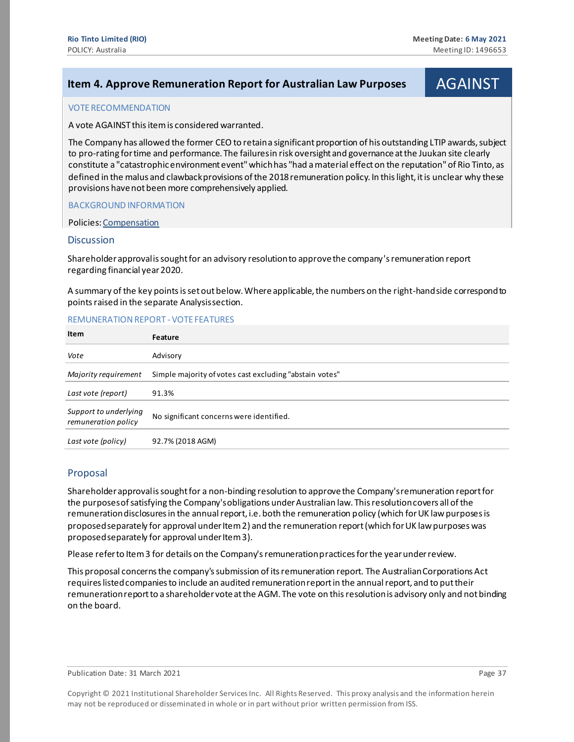# <span id="page-36-0"></span>**Item 4. Approve Remuneration Report for Australian Law Purposes | AGAINST**

#### VOTE RECOMMENDATION

A vote AGAINST this item is considered warranted.

The Company has allowed the former CEO to retain a significant proportion of his outstanding LTIP awards, subject to pro-rating for time and performance. The failures in risk oversight and governance at the Juukan site clearly constitute a "catastrophic environment event" which has "had a material effect on the reputation" of Rio Tinto, as defined in the malus and clawback provisions of the 2018 remuneration policy. In this light, it is unclear why these provisions have not been more comprehensively applied.

BACKGROUND INFORMATION

Policies[: Compensation](https://www.governanceexchange.com/index2.php?x=mtx&i=475)

#### **Discussion**

Shareholder approval is sought for an advisory resolution to approve the company's remuneration report regarding financial year 2020.

A summary of the key points is set out below. Where applicable, the numbers on the right-hand side correspond to points raised in the separate Analysis section.

#### REMUNERATION REPORT - VOTE FEATURES

| Item                                         | Feature                                                 |
|----------------------------------------------|---------------------------------------------------------|
| Vote                                         | Advisory                                                |
| Majority requirement                         | Simple majority of votes cast excluding "abstain votes" |
| Last vote (report)                           | 91.3%                                                   |
| Support to underlying<br>remuneration policy | No significant concerns were identified.                |
| Last vote (policy)                           | 92.7% (2018 AGM)                                        |

#### Proposal

Shareholder approval is sought for a non-binding resolution to approve the Company's remuneration report for the purposes of satisfying the Company's obligations under Australian law. This resolution covers all of the remuneration disclosures in the annual report, i.e. both the remuneration policy (which for UK law purposes is proposed separately for approval under Item 2) and the remuneration report (which for UK law purposes was proposed separately for approval under Item 3).

Please refer to Item 3 for details on the Company's remuneration practices for the year under review.

This proposal concerns the company's submission of its remuneration report. The Australian Corporations Act requires listed companies to include an audited remuneration report in the annual report, and to put their remuneration report to a shareholder vote at the AGM. The vote on this resolution is advisory only and not binding on the board.

Publication Date: 31 March 2021 **Page 37** Page 37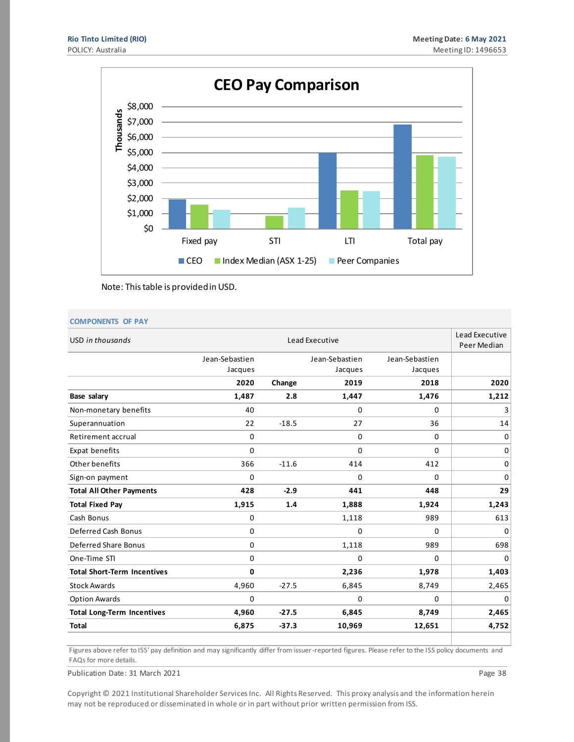

Note: This table is provided in USD.

#### **COMPONENTS OF PAY**

| USD in thousands                   |                | Lead Executive<br>Peer Median |                |                |          |
|------------------------------------|----------------|-------------------------------|----------------|----------------|----------|
|                                    | Jean-Sebastien |                               | Jean-Sebastien | Jean-Sebastien |          |
|                                    | Jacques        |                               | Jacques        | Jacques        |          |
|                                    | 2020           | Change                        | 2019           | 2018           | 2020     |
| Base salary                        | 1,487          | 2.8                           | 1,447          | 1,476          | 1,212    |
| Non-monetary benefits              | 40             |                               | 0              | 0              | 3        |
| Superannuation                     | 22             | $-18.5$                       | 27             | 36             | 14       |
| Retirement accrual                 | 0              |                               | 0              | 0              | 0        |
| Expat benefits                     | 0              |                               | $\mathbf 0$    | 0              | 0        |
| Other benefits                     | 366            | $-11.6$                       | 414            | 412            | 0        |
| Sign-on payment                    | 0              |                               | $\mathbf 0$    | 0              | 0        |
| <b>Total All Other Payments</b>    | 428            | $-2.9$                        | 441            | 448            | 29       |
| <b>Total Fixed Pay</b>             | 1,915          | 1.4                           | 1,888          | 1,924          | 1,243    |
| Cash Bonus                         | 0              |                               | 1,118          | 989            | 613      |
| Deferred Cash Bonus                | 0              |                               | $\mathbf 0$    | 0              | 0        |
| <b>Deferred Share Bonus</b>        | 0              |                               | 1,118          | 989            | 698      |
| One-Time STI                       | 0              |                               | $\mathbf 0$    | 0              | 0        |
| <b>Total Short-Term Incentives</b> | 0              |                               | 2,236          | 1,978          | 1,403    |
| <b>Stock Awards</b>                | 4,960          | $-27.5$                       | 6,845          | 8,749          | 2,465    |
| <b>Option Awards</b>               | 0              |                               | 0              | 0              | $\Omega$ |
| <b>Total Long-Term Incentives</b>  | 4,960          | $-27.5$                       | 6,845          | 8,749          | 2,465    |
| <b>Total</b>                       | 6,875          | $-37.3$                       | 10,969         | 12,651         | 4,752    |

Figures above refer to ISS' pay definition and may significantly differ from issuer-reported figures. Please refer to the ISS policy documents and FAQs for more details.

Publication Date: 31 March 2021 **Page 38** Page 38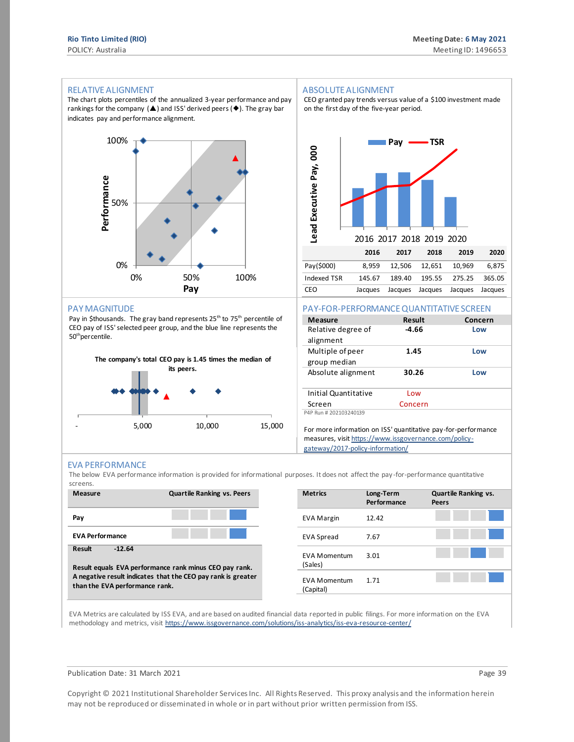#### RELATIVE ALIGNMENT

The chart plots percentiles of the annualized 3-year performance and pay rankings for the company  $(\triangle)$  and ISS' derived peers ( $\blacklozenge$ ). The gray bar indicates pay and performance alignment.



#### PAY MAGNITUDE

Pay in \$thousands. The gray band represents 25<sup>th</sup> to 75<sup>th</sup> percentile of CEO pay of ISS' selected peer group, and the blue line represents the 50<sup>th</sup>percentile.



#### ABSOLUTE ALIGNMENT

CEO granted pay trends versus value of a \$100 investment made on the first day of the five-year period.



#### PAY-FOR-PERFORMANCE QUANTITATIVE SCREEN

| <b>Measure</b>         | Result  | Concern |
|------------------------|---------|---------|
| Relative degree of     | -4.66   | Low     |
| alignment              |         |         |
| Multiple of peer       | 1.45    | Low     |
| group median           |         |         |
| Absolute alignment     | 30.26   | Low     |
|                        |         |         |
| Initial Quantitative   | Low     |         |
| Screen                 | Concern |         |
| P4P Run # 202103240139 |         |         |
|                        |         |         |

For more information on ISS' quantitative pay-for-performance measures, visi[t https://www.issgovernance.com/policy](https://www.issgovernance.com/policy-gateway/2017-policy-information/)[gateway/2017-policy-information/](https://www.issgovernance.com/policy-gateway/2017-policy-information/)

#### EVA PERFORMANCE

The below EVA performance information is provided for informational purposes. It does not affect the pay -for-performance quantitative screens.



| <b>Metrics</b>                   | Long-Term<br>Performance | <b>Quartile Ranking vs.</b><br>Peers |
|----------------------------------|--------------------------|--------------------------------------|
| <b>EVA Margin</b>                | 12.42                    |                                      |
| <b>EVA Spread</b>                | 7.67                     |                                      |
| <b>FVA Momentum</b><br>(Sales)   | 3.01                     |                                      |
| <b>EVA Momentum</b><br>(Capital) | 1.71                     |                                      |

EVA Metrics are calculated by ISS EVA, and are based on audited financial data reported in public filings. For more information on the EVA methodology and metrics, visit https://www.issgovernance.com/solutions/iss-analytics/iss-eva-resource-center/

#### Publication Date: 31 March 2021 **Page 39**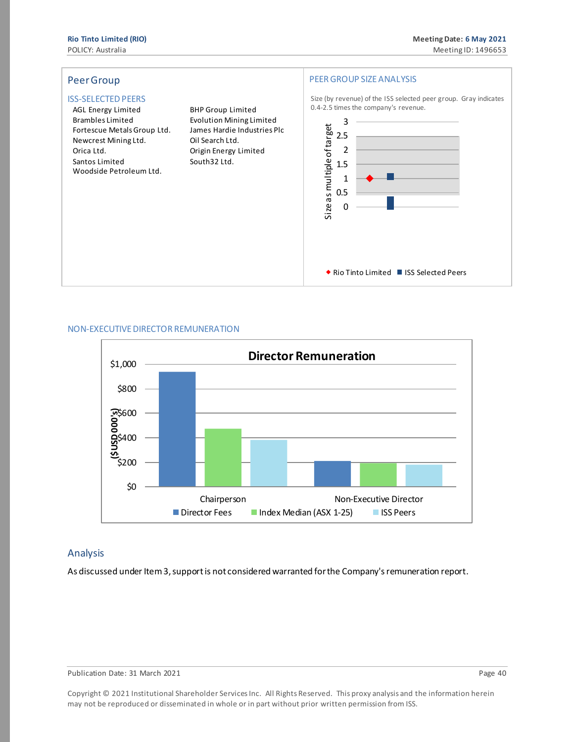

#### NON-EXECUTIVE DIRECTOR REMUNERATION



#### Analysis

As discussed under Item 3, support is not considered warranted for the Company's remuneration report.

Publication Date: 31 March 2021 **Page 40** Page 40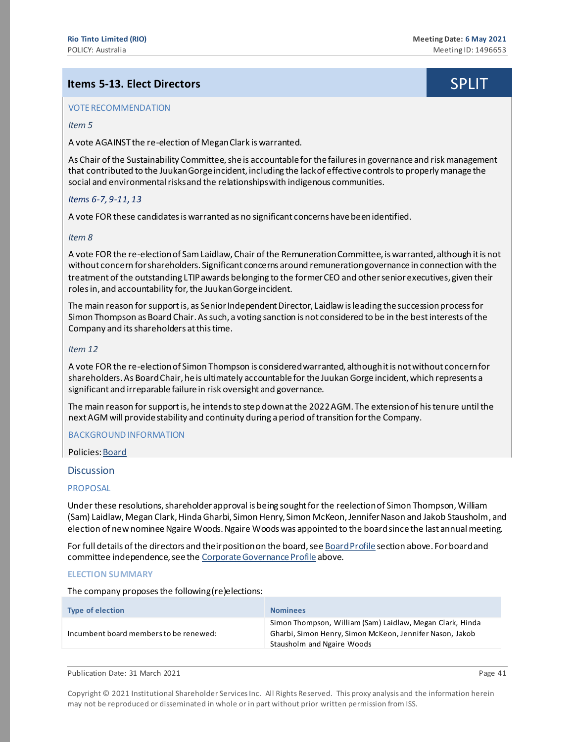# <span id="page-40-0"></span>**Items 5-13. Elect Directors** SPLIT

#### VOTE RECOMMENDATION

#### *Item 5*

A vote AGAINST the re-election of Megan Clark is warranted.

As Chair of the Sustainability Committee, she is accountable for the failures in governance and risk management that contributed to the Juukan Gorge incident, including the lack of effective controls to properly manage the social and environmental risks and the relationships with indigenous communities.

#### *Items 6-7, 9-11, 13*

A vote FOR these candidates is warranted as no significant concerns have been identified.

#### *Item 8*

A vote FOR the re-election of Sam Laidlaw, Chair of the Remuneration Committee, is warranted, although it is not without concern for shareholders. Significant concerns around remuneration governance in connection with the treatment of the outstanding LTIP awards belonging to the former CEO and other senior executives, given their roles in, and accountability for, the Juukan Gorge incident.

The main reason for support is, as Senior Independent Director, Laidlaw is leading the succession process for Simon Thompson as Board Chair. As such, a voting sanction is not considered to be in the best interests of the Company and its shareholders at this time.

#### *Item 12*

A vote FOR the re-election of Simon Thompson is considered warranted, although it is not without concern for shareholders. As Board Chair, he is ultimately accountable for the Juukan Gorge incident, which represents a significant and irreparable failure in risk oversight and governance.

The main reason for support is, he intends to step down at the 2022 AGM. The extension of his tenure until the next AGM will provide stability and continuity during a period of transition for the Company.

#### BACKGROUND INFORMATION

Policies[: Board](https://www.governanceexchange.com/index2.php?x=mtx&i=276)

#### **Discussion**

#### **PROPOSAL**

Under these resolutions, shareholder approval is being sought for the reelection of Simon Thompson, William (Sam) Laidlaw, Megan Clark, Hinda Gharbi, Simon Henry, Simon McKeon, Jennifer Nason and Jakob Stausholm, and election of new nominee Ngaire Woods. Ngaire Woods was appointed to the board since the last annual meeting*.*

For full details of the directors and their position on the board, se[e Board Profile](#page-10-0) section above. For board and committee independence, see th[e Corporate Governance Profile](#page-8-0) above.

#### **ELECTION SUMMARY**

The company proposes the following (re)elections:

| <b>Type of election</b>                | <b>Nominees</b>                                                                                                                                     |
|----------------------------------------|-----------------------------------------------------------------------------------------------------------------------------------------------------|
| Incumbent board members to be renewed: | Simon Thompson, William (Sam) Laidlaw, Megan Clark, Hinda<br>Gharbi, Simon Henry, Simon McKeon, Jennifer Nason, Jakob<br>Stausholm and Ngaire Woods |

| Publication Date: 31 March 2021 | Page 41 |
|---------------------------------|---------|
|---------------------------------|---------|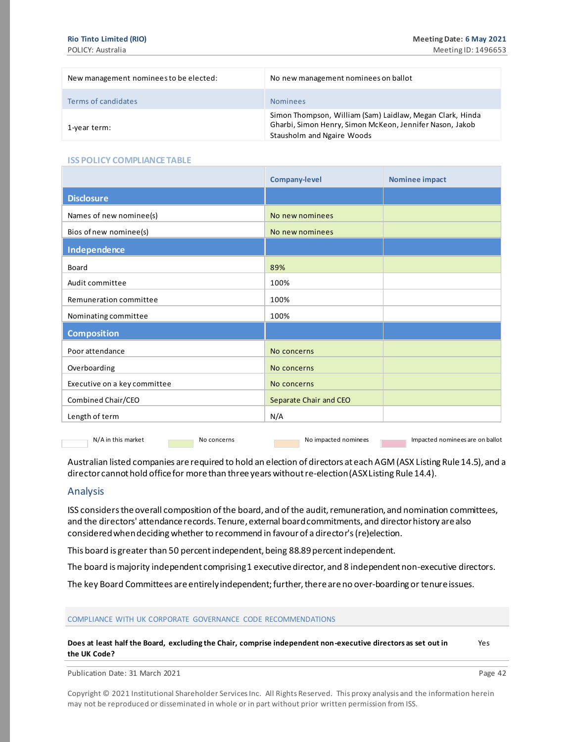| New management nominees to be elected: | No new management nominees on ballot                                                                                                                |
|----------------------------------------|-----------------------------------------------------------------------------------------------------------------------------------------------------|
| Terms of candidates                    | <b>Nominees</b>                                                                                                                                     |
| 1-year term:                           | Simon Thompson, William (Sam) Laidlaw, Megan Clark, Hinda<br>Gharbi, Simon Henry, Simon McKeon, Jennifer Nason, Jakob<br>Stausholm and Ngaire Woods |

#### **ISS POLICY COMPLIANCE TABLE**

| Separate Chair and CEO |
|------------------------|
|                        |
|                        |

N/A in this market No concerns No impacted nominees Impacted nominees are on ballot

Australian listed companies are required to hold an election of directors at each AGM (ASX Listing Rule 14.5), and a director cannot hold office for more than three years without re-election (ASX Listing Rule 14.4).

#### Analysis

ISS considers the overall composition of the board, and of the audit, remuneration, and nomination committees, and the directors' attendance records. Tenure, external board commitments, and director history are also considered when deciding whether to recommend in favour of a director's (re)election.

This board is greater than 50 percent independent, being 88.89percent independent.

The board is majority independent comprising 1 executive director, and 8 independent non-executive directors.

The key Board Committees are entirely independent; further, there are no over-boarding or tenure issues.

#### COMPLIANCE WITH UK CORPORATE GOVERNANCE CODE RECOMMENDATIONS

**Does at least half the Board, excluding the Chair, comprise independent non-executive directors as set out in the UK Code?**

Publication Date: 31 March 2021 **Page 42** 

Copyright © 2021 Institutional Shareholder Services Inc. All Rights Reserved. This proxy analysis and the information herein may not be reproduced or disseminated in whole or in part without prior written permission from ISS.

Yes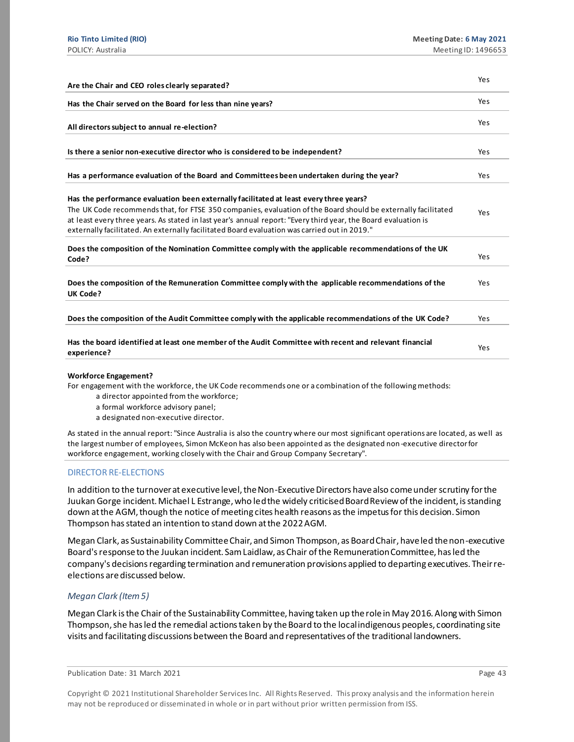| Are the Chair and CEO roles clearly separated?                                                                                                                                                                                                                                                                                                                                                                            | Yes |
|---------------------------------------------------------------------------------------------------------------------------------------------------------------------------------------------------------------------------------------------------------------------------------------------------------------------------------------------------------------------------------------------------------------------------|-----|
| Has the Chair served on the Board for less than nine years?                                                                                                                                                                                                                                                                                                                                                               | Yes |
| All directors subject to annual re-election?                                                                                                                                                                                                                                                                                                                                                                              | Yes |
| Is there a senior non-executive director who is considered to be independent?                                                                                                                                                                                                                                                                                                                                             | Yes |
| Has a performance evaluation of the Board and Committees been undertaken during the year?                                                                                                                                                                                                                                                                                                                                 | Yes |
| Has the performance evaluation been externally facilitated at least every three years?<br>The UK Code recommends that, for FTSE 350 companies, evaluation of the Board should be externally facilitated<br>at least every three years. As stated in last year's annual report: "Every third year, the Board evaluation is<br>externally facilitated. An externally facilitated Board evaluation was carried out in 2019." | Yes |
| Does the composition of the Nomination Committee comply with the applicable recommendations of the UK<br>Code?                                                                                                                                                                                                                                                                                                            | Yes |
| Does the composition of the Remuneration Committee comply with the applicable recommendations of the<br><b>UK Code?</b>                                                                                                                                                                                                                                                                                                   | Yes |
| Does the composition of the Audit Committee comply with the applicable recommendations of the UK Code?                                                                                                                                                                                                                                                                                                                    | Yes |
| Has the board identified at least one member of the Audit Committee with recent and relevant financial<br>experience?                                                                                                                                                                                                                                                                                                     | Yes |

#### **Workforce Engagement?**

For engagement with the workforce, the UK Code recommends one or a combination of the following methods:

- a director appointed from the workforce;
- a formal workforce advisory panel;

a designated non-executive director.

As stated in the annual report: "Since Australia is also the country where our most significant operations are located, as well as the largest number of employees, Simon McKeon has also been appointed as the designated non -executive director for workforce engagement, working closely with the Chair and Group Company Secretary".

#### DIRECTOR RE-ELECTIONS

In addition to the turnover at executive level, the Non-Executive Directors have also come under scrutiny for the Juukan Gorge incident. Michael L Estrange, who led the widely criticised Board Review of the incident, is standing down at the AGM, though the notice of meeting cites health reasons as the impetus for this decision. Simon Thompson has stated an intention to stand down at the 2022 AGM.

Megan Clark, as Sustainability Committee Chair, and Simon Thompson, as Board Chair, have led the non-executive Board's response to the Juukan incident. Sam Laidlaw, as Chair of the Remuneration Committee, has led the company's decisions regarding termination and remuneration provisions applied to departing executives. Their reelections are discussed below.

### *Megan Clark (Item 5)*

Megan Clark is the Chair of the Sustainability Committee, having taken up the role in May 2016. Along with Simon Thompson, she has led the remedial actions taken by the Board to the local indigenous peoples, coordinating site visits and facilitating discussions between the Board and representatives of the traditional landowners.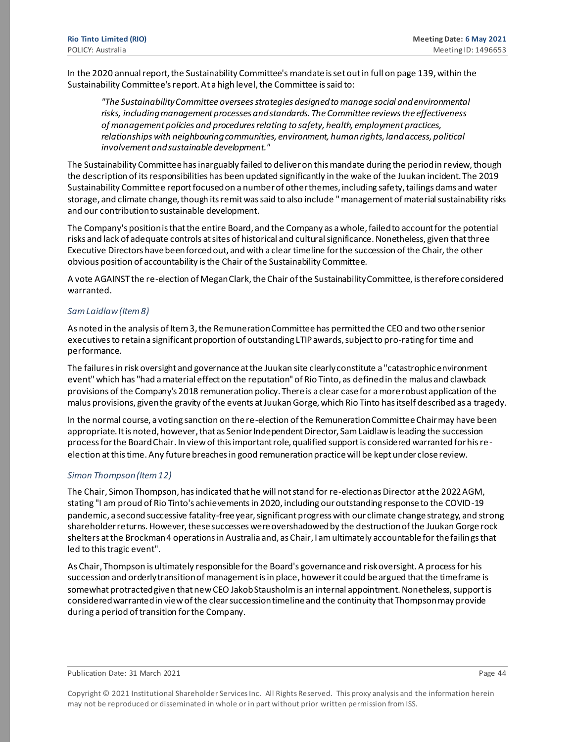In the 2020 annual report, the Sustainability Committee's mandate is set out in full on page 139, within the Sustainability Committee's report. At a high level, the Committee is said to:

*"The Sustainability Committee oversees strategies designed to manage social and environmental risks, including management processes and standards. The Committee reviews the effectiveness of management policies and procedures relating to safety, health, employment practices, relationships with neighbouring communities, environment, human rights, land access, political involvement and sustainable development."*

The Sustainability Committee has inarguably failed to deliver on this mandate during the period in review, though the description of its responsibilities has been updated significantly in the wake of the Juukan incident. The 2019 Sustainability Committee report focused on a number of other themes, including safety, tailings dams and water storage, and climate change, though its remit was said to also include " management of material sustainability risks and our contribution to sustainable development.

The Company's position is that the entire Board, and the Company as a whole, failed to account for the potential risks and lack of adequate controls at sites of historical and cultural significance. Nonetheless, given that three Executive Directors have been forced out, and with a clear timeline for the succession of the Chair, the other obvious position of accountability is the Chair of the Sustainability Committee.

A vote AGAINST the re-election of Megan Clark, the Chair of the Sustainability Committee, is therefore considered warranted.

#### *Sam Laidlaw (Item 8)*

As noted in the analysis of Item 3, the Remuneration Committee has permitted the CEO and two other senior executives to retain a significant proportion of outstanding LTIP awards, subject to pro-rating for time and performance.

The failures in risk oversight and governance at the Juukan site clearly constitute a "catastrophic environment event" which has "had a material effect on the reputation" of Rio Tinto, as defined in the malus and clawback provisions of the Company's 2018 remuneration policy. There is a clear case for a more robust application of the malus provisions, given the gravity of the events at Juukan Gorge, which Rio Tinto has itself described as a tragedy.

In the normal course, a voting sanction on the re-election of the Remuneration Committee Chair may have been appropriate. It is noted, however, that as Senior Independent Director, Sam Laidlaw is leading the succession process for the Board Chair. In view of this important role, qualified support is considered warranted for his reelection at this time. Any future breaches in good remuneration practice will be kept under close review.

#### *Simon Thompson (Item 12)*

The Chair, Simon Thompson, has indicated that he will not stand for re-election as Director at the 2022 AGM, stating "I am proud of Rio Tinto's achievements in 2020, including our outstanding response to the COVID-19 pandemic, a second successive fatality-free year, significant progress with our climate change strategy, and strong shareholder returns. However, these successes were overshadowed by the destruction of the Juukan Gorge rock shelters at the Brockman 4 operations in Australia and, as Chair, I am ultimately accountable for the failings that led to this tragic event".

As Chair, Thompson is ultimately responsible for the Board's governance and risk oversight. A process for his succession and orderly transition of management is in place, however it could be argued that the timeframe is somewhat protracted given that new CEO Jakob Stausholm is an internal appointment. Nonetheless, support is considered warranted in view of the clear succession timeline and the continuity that Thompson may provide during a period of transition for the Company.

Publication Date: 31 March 2021 **Page 44** Page 44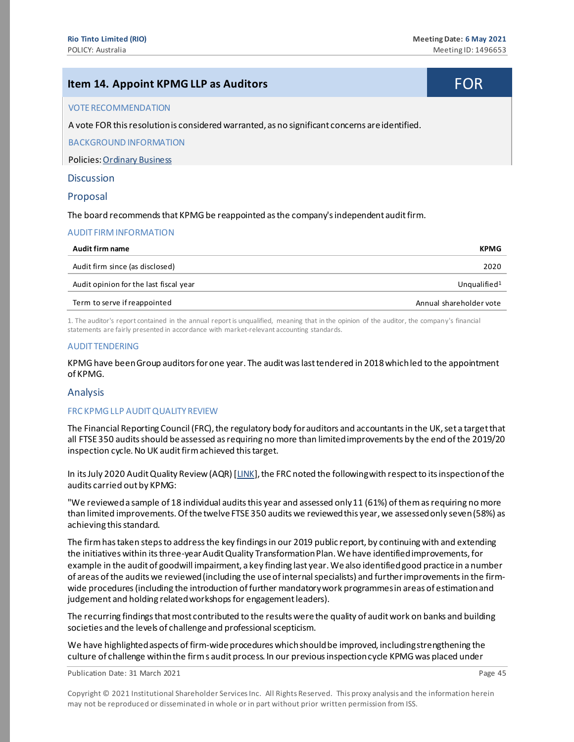# <span id="page-44-0"></span>**Item 14. Appoint KPMG LLP as Auditors** FOR VOTE RECOMMENDATION A vote FOR this resolution is considered warranted, as no significant concerns are identified. BACKGROUND INFORMATION Policies[: Ordinary Business](https://www.governanceexchange.com/index2.php?x=mtx&i=333) **Discussion**

#### Proposal

The board recommends that KPMG be reappointed as the company's independent audit firm.

#### AUDIT FIRM INFORMATION

| Audit firm name                        | <b>KPMG</b>              |
|----------------------------------------|--------------------------|
| Audit firm since (as disclosed)        | 2020                     |
| Audit opinion for the last fiscal year | Unqualified <sup>1</sup> |
| Term to serve if reappointed           | Annual shareholder vote  |

1. The auditor's report contained in the annual report is unqualified, meaning that in the opinion of the auditor, the company's financial statements are fairly presented in accordance with market-relevant accounting standards.

#### AUDIT TENDERING

KPMG have been Group auditors for one year. The audit was last tendered in 2018 which led to the appointment of KPMG.

#### Analysis

#### FRC KPMG LLP AUDIT QUALITY REVIEW

The Financial Reporting Council (FRC), the regulatory body for auditors and accountants in the UK, set a target that all FTSE 350 audits should be assessed as requiring no more than limited improvements by the end of the 2019/20 inspection cycle. No UK audit firm achieved this target.

In its July 2020 Audit Quality Review (AQR) [\[LINK](https://www.frc.org.uk/getattachment/92f70791-bf5d-465a-8b6d-d9978fcf3a5a/KPMG_-Audit-Quality-Inspection-Jul-2020.pdf)], the FRC noted the following with respect to its inspection of the audits carried out by KPMG:

"We reviewed a sample of 18 individual audits this year and assessed only 11 (61%) of them as requiring no more than limited improvements. Of the twelve FTSE 350 audits we reviewed this year, we assessed only seven (58%) as achieving this standard.

The firm has taken steps to address the key findings in our 2019 public report, by continuing with and extending the initiatives within its three-year Audit Quality Transformation Plan. We have identified improvements, for example in the audit of goodwill impairment, a key finding last year.Wealso identifiedgood practicein a number of areas ofthe audits we reviewed(including the useof internalspecialists) and furtherimprovementsin the firmwide procedures(including the introduction of further mandatorywork programmesin areas of estimationand judgement and holding related workshops for engagement leaders).

The recurring findings that most contributed to the results were the quality of audit work on banks and building societies and the levels of challenge and professional scepticism.

We have highlighted aspects of firm-wide procedures which should be improved, including strengthening the culture of challenge withinthe firms audit process. In our previousinspectioncycle KPMGwas placed under

Publication Date: 31 March 2021 **Page 45** Page 45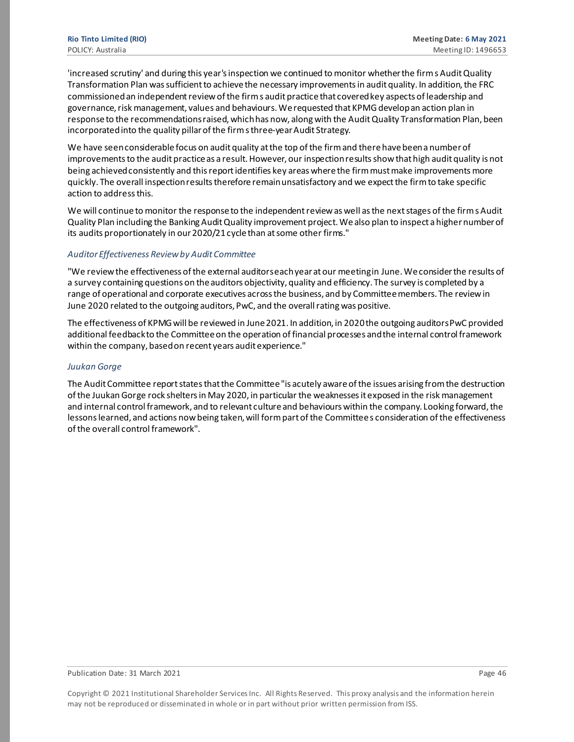'increased scrutiny' and during this year'sinspection we continued to monitor whetherthe firms AuditQuality Transformation Plan wassufficientto achieve the necessary improvementsin audit quality. In addition,the FRC commissionedan independentreviewofthe firms audit practicethat coveredkey aspects of leadership and governance, risk management, values and behaviours. We requested that KPMG develop an action plan in response to the recommendationsraised,whichhas now, along with the AuditQuality Transformation Plan, been incorporated into the quality pillar of the firms three-year Audit Strategy.

We have seen considerable focus on audit quality at the top of the firm and there have been a number of improvements to the audit practice as a result. However, our inspection results show that high audit quality is not being achieved consistently and this report identifies key areas where the firm must make improvements more quickly. The overall inspection results therefore remain unsatisfactory and we expect the firm to take specific action to addressthis.

We will continue to monitor the response to the independent review as well as the next stages of the firm s Audit Quality Plan including the Banking AuditQuality improvement project.Wealso plan to inspect a highernumberof its audits proportionately in our 2020/21 cycle than at some other firms."

#### *Auditor Effectiveness Review by Audit Committee*

"We review the effectiveness of the external auditors each year at our meeting in June. We consider the results of a survey containing questions on the auditors objectivity, quality and efficiency. The survey is completed by a range of operational and corporate executives across the business, and by Committee members. The review in June 2020 related to the outgoing auditors, PwC, and the overall rating was positive.

The effectiveness of KPMG will be reviewed in June 2021. In addition, in 2020 the outgoing auditors PwC provided additional feedback to the Committee on the operation of financial processes and the internal control framework within the company, based on recent years audit experience."

#### *Juukan Gorge*

The Audit Committee report states that the Committee "is acutely aware of the issues arising from the destruction of the Juukan Gorge rock shelters in May 2020, in particular the weaknesses it exposed in the risk management and internal control framework, and to relevant culture and behaviours within the company. Looking forward, the lessons learned, and actions now being taken, will form part of the Committee s consideration of the effectiveness of the overall control framework".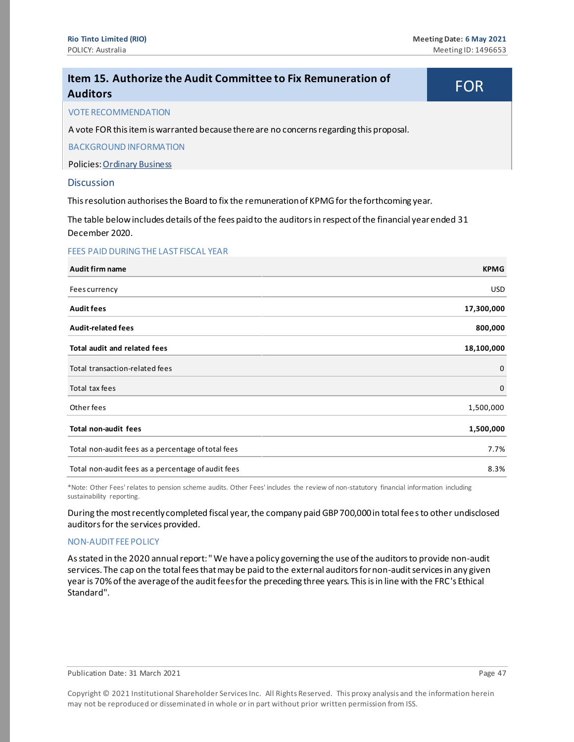<span id="page-46-0"></span>

| Item 15. Authorize the Audit Committee to Fix Remuneration of<br><b>Auditors</b>                                              | FOR         |
|-------------------------------------------------------------------------------------------------------------------------------|-------------|
| <b>VOTE RECOMMENDATION</b>                                                                                                    |             |
| A vote FOR this item is warranted because there are no concerns regarding this proposal.                                      |             |
| <b>BACKGROUND INFORMATION</b>                                                                                                 |             |
| Policies: Ordinary Business                                                                                                   |             |
| <b>Discussion</b>                                                                                                             |             |
| This resolution authorises the Board to fix the remuneration of KPMG for the forthcoming year.                                |             |
| The table below includes details of the fees paid to the auditors in respect of the financial year ended 31<br>December 2020. |             |
| FEES PAID DURING THE LAST FISCAL YEAR                                                                                         |             |
| Audit firm name                                                                                                               | <b>KPMG</b> |
| Fees currency                                                                                                                 | <b>USD</b>  |
| <b>Audit fees</b>                                                                                                             | 17,300,000  |
| <b>Audit-related fees</b>                                                                                                     | 800,000     |
| Total audit and related fees                                                                                                  | 18,100,000  |
| Total transaction-related fees                                                                                                | 0           |
| Total tax fees                                                                                                                | 0           |
| Other fees                                                                                                                    | 1,500,000   |
| <b>Total non-audit fees</b>                                                                                                   | 1,500,000   |
| Total non-audit fees as a percentage of total fees                                                                            | 7.7%        |
| Total non-audit fees as a percentage of audit fees                                                                            | 8.3%        |

\*Note: Other Fees' relates to pension scheme audits. Other Fees' includes the review of non-statutory financial information including sustainability reporting.

During the most recently completed fiscal year, the company paid GBP 700,000 in total fees to other undisclosed auditors for the services provided.

#### NON-AUDIT FEE POLICY

As stated in the 2020 annual report: " We have a policy governing the use of the auditors to provide non-audit services. The cap on the total fees that may be paid to the external auditors for non-audit services in any given year is 70% of the average of the audit fees for the preceding three years. This is in line with the FRC's Ethical Standard".

Publication Date: 31 March 2021 **Page 47 Page 47**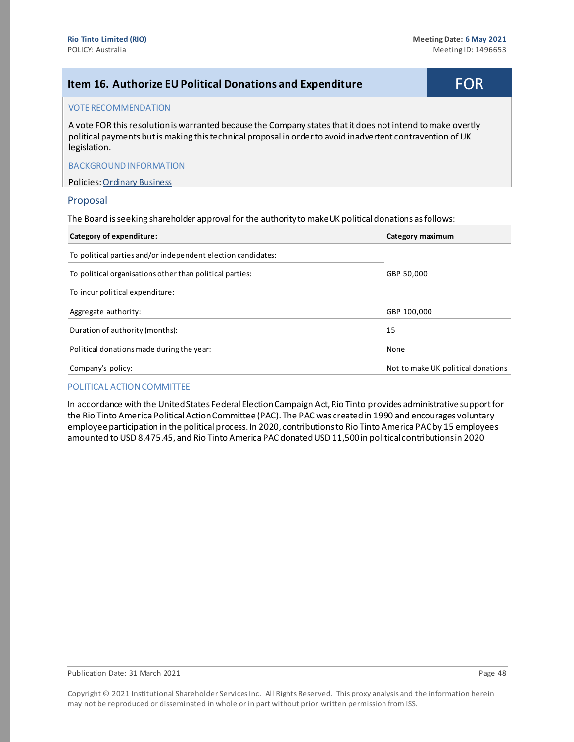<span id="page-47-0"></span>

| Item 16. Authorize EU Political Donations and Expenditure                                                                                                                                                                                | <b>FOR</b> |
|------------------------------------------------------------------------------------------------------------------------------------------------------------------------------------------------------------------------------------------|------------|
| <b>VOTE RECOMMENDATION</b>                                                                                                                                                                                                               |            |
| A vote FOR this resolution is warranted because the Company states that it does not intend to make overtly<br>political payments but is making this technical proposal in order to avoid inadvertent contravention of UK<br>legislation. |            |
| <b>BACKGROUND INFORMATION</b>                                                                                                                                                                                                            |            |
| <b>Policies: Ordinary Business</b>                                                                                                                                                                                                       |            |
| Proposal                                                                                                                                                                                                                                 |            |

The Board is seeking shareholder approval for the authority to makeUK political donations as follows:

| Category of expenditure:                                     | Category maximum                   |  |
|--------------------------------------------------------------|------------------------------------|--|
| To political parties and/or independent election candidates: |                                    |  |
| To political organisations other than political parties:     | GBP 50,000                         |  |
| To incur political expenditure:                              |                                    |  |
| Aggregate authority:                                         | GBP 100,000                        |  |
| Duration of authority (months):                              | 15                                 |  |
| Political donations made during the year:                    | None                               |  |
| Company's policy:                                            | Not to make UK political donations |  |

#### POLITICAL ACTION COMMITTEE

In accordance with the United States Federal Election Campaign Act, Rio Tinto provides administrative support for the Rio Tinto America Political Action Committee (PAC). The PAC was created in 1990 and encourages voluntary employee participation in the political process. In 2020, contributions to Rio Tinto America PAC by 15 employees amounted to USD 8,475.45, and Rio Tinto America PAC donated USD 11,500 in political contributions in 2020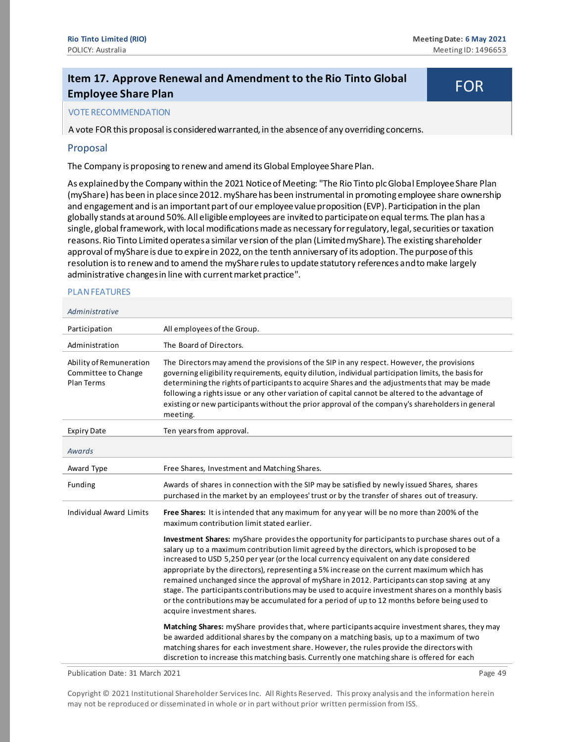# <span id="page-48-0"></span>**Item 17. Approve Renewal and Amendment to the Rio Tinto Global Employee Share Plan** FOR

#### VOTE RECOMMENDATION

A vote FOR this proposal is considered warranted, in the absence of any overriding concerns.

#### Proposal

The Company is proposing to renew and amend its Global Employee Share Plan.

As explained by the Company within the 2021 Notice of Meeting: "The Rio Tinto plc Global Employee Share Plan (myShare) has been in place since 2012. myShare has been instrumental in promoting employee share ownership and engagement and is an important part of our employee value proposition (EVP). Participation in the plan globally stands at around 50%. All eligible employees are invited to participate on equal terms. The plan has a single, global framework, with local modifications made as necessary for regulatory, legal, securities or taxation reasons. Rio Tinto Limited operates a similar version of the plan (Limited myShare). The existing shareholder approval of myShare is due to expire in 2022, on the tenth anniversary of its adoption. The purpose of this resolution is to renew and to amend the myShare rules to update statutory references and to make largely administrative changes in line with current market practice".

#### PLAN FEATURES

#### *Administrative*

| Participation                                                       | All employees of the Group.                                                                                                                                                                                                                                                                                                                                                                                                                                                                                                                                                                                                                                                                                                  |
|---------------------------------------------------------------------|------------------------------------------------------------------------------------------------------------------------------------------------------------------------------------------------------------------------------------------------------------------------------------------------------------------------------------------------------------------------------------------------------------------------------------------------------------------------------------------------------------------------------------------------------------------------------------------------------------------------------------------------------------------------------------------------------------------------------|
| Administration                                                      | The Board of Directors.                                                                                                                                                                                                                                                                                                                                                                                                                                                                                                                                                                                                                                                                                                      |
| Ability of Remuneration<br>Committee to Change<br><b>Plan Terms</b> | The Directors may amend the provisions of the SIP in any respect. However, the provisions<br>governing eligibility requirements, equity dilution, individual participation limits, the basis for<br>determining the rights of participants to acquire Shares and the adjustments that may be made<br>following a rights issue or any other variation of capital cannot be altered to the advantage of<br>existing or new participants without the prior approval of the company's shareholders in general<br>meeting.                                                                                                                                                                                                        |
| <b>Expiry Date</b>                                                  | Ten years from approval.                                                                                                                                                                                                                                                                                                                                                                                                                                                                                                                                                                                                                                                                                                     |
| Awards                                                              |                                                                                                                                                                                                                                                                                                                                                                                                                                                                                                                                                                                                                                                                                                                              |
| Award Type                                                          | Free Shares, Investment and Matching Shares.                                                                                                                                                                                                                                                                                                                                                                                                                                                                                                                                                                                                                                                                                 |
| Funding                                                             | Awards of shares in connection with the SIP may be satisfied by newly issued Shares, shares<br>purchased in the market by an employees' trust or by the transfer of shares out of treasury.                                                                                                                                                                                                                                                                                                                                                                                                                                                                                                                                  |
| <b>Individual Award Limits</b>                                      | Free Shares: It is intended that any maximum for any year will be no more than 200% of the<br>maximum contribution limit stated earlier.                                                                                                                                                                                                                                                                                                                                                                                                                                                                                                                                                                                     |
|                                                                     | Investment Shares: myShare provides the opportunity for participants to purchase shares out of a<br>salary up to a maximum contribution limit agreed by the directors, which is proposed to be<br>increased to USD 5,250 per year (or the local currency equivalent on any date considered<br>appropriate by the directors), representing a 5% increase on the current maximum which has<br>remained unchanged since the approval of myShare in 2012. Participants can stop saving at any<br>stage. The participants contributions may be used to acquire investment shares on a monthly basis<br>or the contributions may be accumulated for a period of up to 12 months before being used to<br>acquire investment shares. |
|                                                                     | Matching Shares: myShare provides that, where participants acquire investment shares, they may<br>be awarded additional shares by the company on a matching basis, up to a maximum of two<br>matching shares for each investment share. However, the rules provide the directors with<br>discretion to increase this matching basis. Currently one matching share is offered for each                                                                                                                                                                                                                                                                                                                                        |

Publication Date: 31 March 2021 **Page 49** Page 49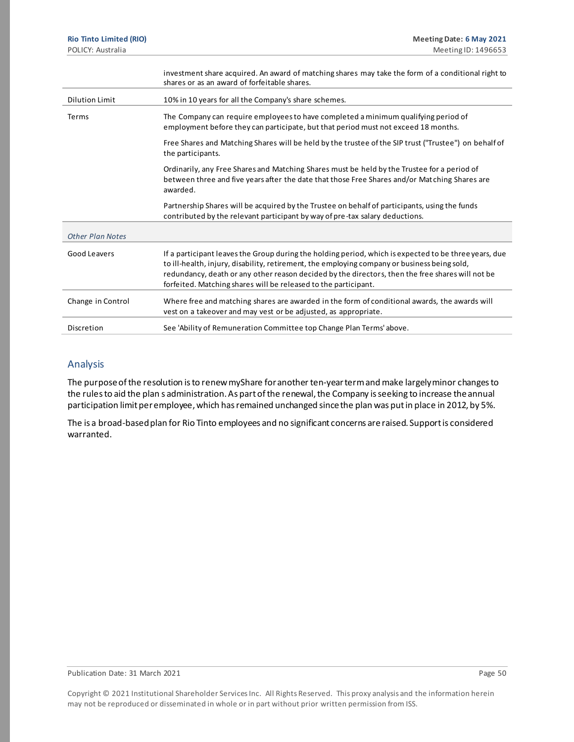|                         | investment share acquired. An award of matching shares may take the form of a conditional right to<br>shares or as an award of forfeitable shares.                                                                                                                                                                                                                           |
|-------------------------|------------------------------------------------------------------------------------------------------------------------------------------------------------------------------------------------------------------------------------------------------------------------------------------------------------------------------------------------------------------------------|
| <b>Dilution Limit</b>   | 10% in 10 years for all the Company's share schemes.                                                                                                                                                                                                                                                                                                                         |
| Terms                   | The Company can require employees to have completed a minimum qualifying period of<br>employment before they can participate, but that period must not exceed 18 months.                                                                                                                                                                                                     |
|                         | Free Shares and Matching Shares will be held by the trustee of the SIP trust ("Trustee") on behalf of<br>the participants.                                                                                                                                                                                                                                                   |
|                         | Ordinarily, any Free Shares and Matching Shares must be held by the Trustee for a period of<br>between three and five years after the date that those Free Shares and/or Matching Shares are<br>awarded.                                                                                                                                                                     |
|                         | Partnership Shares will be acquired by the Trustee on behalf of participants, using the funds<br>contributed by the relevant participant by way of pre-tax salary deductions.                                                                                                                                                                                                |
| <b>Other Plan Notes</b> |                                                                                                                                                                                                                                                                                                                                                                              |
| Good Leavers            | If a participant leaves the Group during the holding period, which is expected to be three years, due<br>to ill-health, injury, disability, retirement, the employing company or business being sold,<br>redundancy, death or any other reason decided by the directors, then the free shares will not be<br>forfeited. Matching shares will be released to the participant. |
| Change in Control       | Where free and matching shares are awarded in the form of conditional awards, the awards will<br>vest on a takeover and may vest or be adjusted, as appropriate.                                                                                                                                                                                                             |
| Discretion              | See 'Ability of Remuneration Committee top Change Plan Terms' above.                                                                                                                                                                                                                                                                                                         |

#### Analysis

The purpose of the resolution is to renew myShare for another ten-year term and make largely minor changes to the rules to aid the plan s administration. As part of the renewal, the Company is seeking to increase the annual participation limit per employee, which has remained unchanged since the plan was put in place in 2012, by 5%.

The is a broad-based plan for Rio Tinto employees and no significant concerns are raised. Support is considered warranted.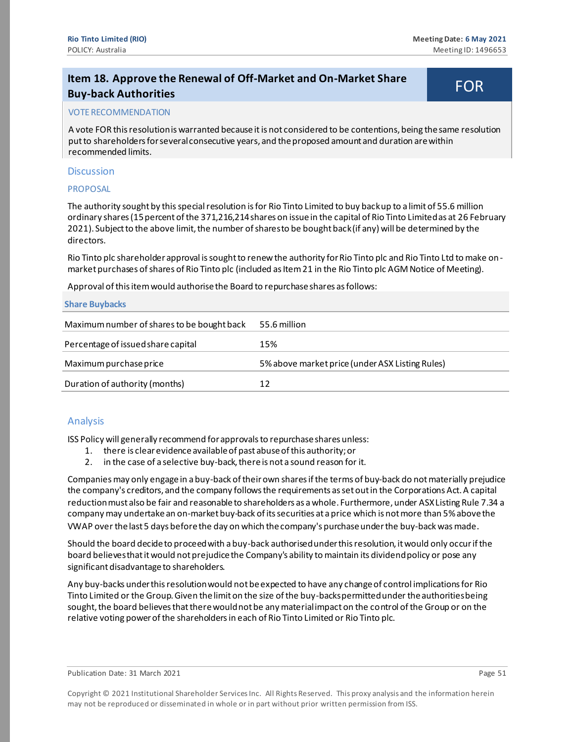# <span id="page-50-0"></span>**Item 18. Approve the Renewal of Off-Market and On-Market Share Buy-back Authorities** FOR

#### VOTE RECOMMENDATION

A vote FOR this resolution is warranted because it is not considered to be contentions, being the same resolution put to shareholders for several consecutive years, and the proposed amount and duration are within recommended limits.

#### **Discussion**

#### **PROPOSAL**

The authority sought by this special resolution is for Rio Tinto Limited to buy back up to a limit of 55.6 million ordinary shares (15 percent of the 371,216,214 shares on issue in the capital of Rio Tinto Limited as at 26 February 2021). Subject to the above limit, the number of shares to be bought back (if any) will be determined by the directors.

Rio Tinto plc shareholder approval is sought to renew the authority for Rio Tinto plc and Rio Tinto Ltd to make onmarket purchases of shares of Rio Tinto plc (included as Item 21 in the Rio Tinto plc AGM Notice of Meeting).

Approval of this item would authorise the Board to repurchase shares as follows:

#### **Share Buybacks**

| Maximum number of shares to be bought back | 55.6 million                                    |
|--------------------------------------------|-------------------------------------------------|
| Percentage of issued share capital         | 15%                                             |
| Maximum purchase price                     | 5% above market price (under ASX Listing Rules) |
| Duration of authority (months)             | 12                                              |

#### Analysis

ISS Policy will generally recommend for approvals to repurchase shares unless:

- 1. there is clear evidence available of past abuse of this authority; or
- 2. in the case of a selective buy-back, there is not a sound reason for it.

Companies may only engage in a buy-back of their own shares if the terms of buy-back do not materially prejudice the company's creditors, and the company follows the requirements as set out in the Corporations Act. A capital reduction must also be fair and reasonable to shareholders as a whole. Furthermore, under ASX Listing Rule 7.34 a company may undertake an on-market buy-back of its securities at a price which is not more than 5% above the VWAP over the last 5 days before the day on which the company's purchase under the buy-back was made.

Should the board decide to proceed with a buy-back authorised under this resolution, it would only occur if the board believes that it would not prejudice the Company's ability to maintain its dividend policy or pose any significant disadvantage to shareholders.

Any buy-backs under this resolution would not be expected to have any change of control implications for Rio Tinto Limited or the Group. Given the limit on the size of the buy-backs permitted under the authorities being sought, the board believes that there would not be any material impact on the control of the Group or on the relative voting power of the shareholders in each of Rio Tinto Limited or Rio Tinto plc.

Publication Date: 31 March 2021 **Page 51** Page 51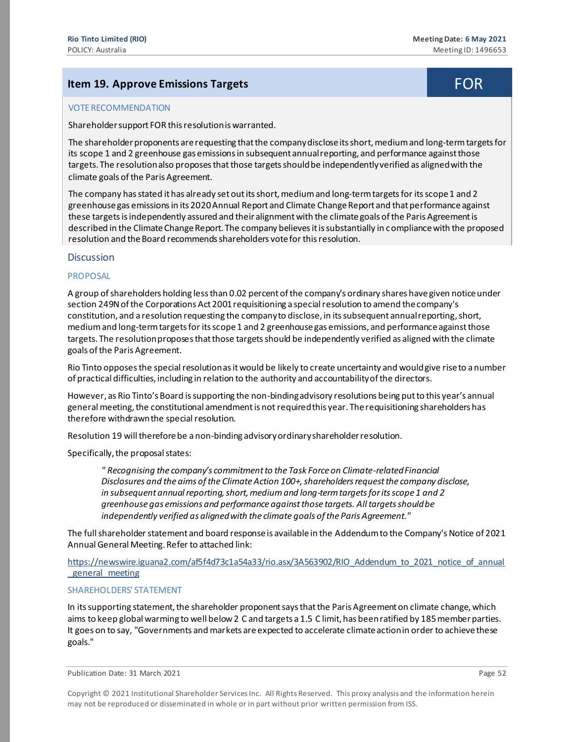## <span id="page-51-0"></span>**Item 19. Approve Emissions Targets** FOR **FOR**

#### VOTE RECOMMENDATION

Shareholder support FOR this resolution is warranted.

The shareholder proponents are requesting that the company disclose its short, medium and long-term targets for its scope 1 and 2 greenhouse gas emissions in subsequent annual reporting, and performance against those targets. The resolution also proposes that those targets should be independently verified as aligned with the climate goals of the Paris Agreement.

The company has stated it has already set out its short, medium and long-term targets for its scope 1 and 2 greenhouse gas emissions in its 2020 Annual Report and Climate Change Report and that performance against these targets is independently assured and their alignment with the climate goals of the Paris Agreement is described in the Climate Change Report. The company believes it is substantially in compliance with the proposed resolution and the Board recommends shareholders vote for this resolution.

#### **Discussion**

#### PROPOSAL

A group of shareholders holding less than 0.02 percent of the company's ordinary shares have given notice under section 249N of the Corporations Act 2001 requisitioning a special resolution to amend the company's constitution, and a resolution requesting the company to disclose, in its subsequent annual reporting, short, medium and long-term targets for its scope 1 and 2 greenhouse gas emissions, and performance against those targets. The resolution proposes that those targets should be independently verified as aligned with the climate goals of the Paris Agreement.

Rio Tinto opposes the special resolution as it would be likely to create uncertainty and would give rise to a number of practical difficulties, including in relation to the authority and accountability of the directors.

However, as Rio Tinto's Board is supporting the non-bindingadvisory resolutions being put to this year's annual general meeting, the constitutional amendment is notrequired this year. The requisitioning shareholders has therefore withdrawn the special resolution.

Resolution 19 will therefore be a non-binding advisory ordinary shareholder resolution.

Specifically, the proposal states:

*" Recognising the company's commitment to the Task Force on Climate-related Financial*  Disclosures and the aims of the Climate Action 100+, shareholders request the company disclose, *in subsequent annual reporting, short, medium and long-term targets for its scope 1 and 2 greenhouse gas emissions and performance against those targets. All targets should be independently verified as aligned with the climate goals of the Paris Agreement."*

The full shareholder statement and board response is available in the Addendum to the Company's Notice of 2021 Annual General Meeting. Refer to attached link:

[https://newswire.iguana2.com/af5f4d73c1a54a33/rio.asx/3A563902/RIO\\_Addendum\\_to\\_2021\\_notice\\_of\\_annual](https://newswire.iguana2.com/af5f4d73c1a54a33/rio.asx/3A563902/RIO_Addendum_to_2021_notice_of_annual_general_meeting) [\\_general\\_meeting](https://newswire.iguana2.com/af5f4d73c1a54a33/rio.asx/3A563902/RIO_Addendum_to_2021_notice_of_annual_general_meeting)

#### SHAREHOLDERS' STATEMENT

In its supporting statement, the shareholder proponent says that the Paris Agreement on climate change, which aims to keep global warming to well below 2 C and targets a 1.5 C limit, has been ratified by 185 member parties. It goes on to say, "Governments and markets are expected to accelerate climate action in order to achieve these goals."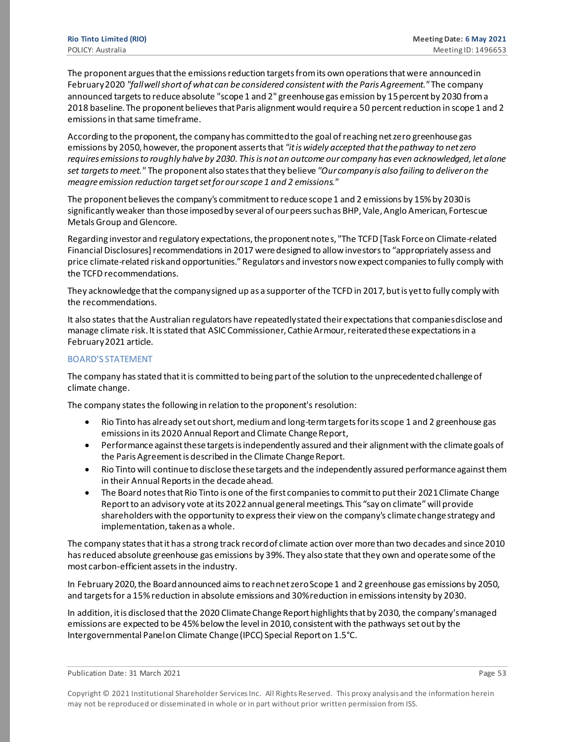The proponent argues that the emissions reduction targetsfrom its own operations that were announced in February 2020 *"fall well short of what can be considered consistent with the Paris Agreement."* The company announced targets to reduce absolute "scope 1 and 2" greenhouse gas emission by 15 percent by 2030 from a 2018 baseline. The proponent believes that Paris alignment would require a 50 percent reduction in scope 1 and 2 emissions in that same timeframe.

According to the proponent, the company has committed to the goal of reaching net zero greenhouse gas emissions by 2050, however, the proponent asserts that *"it is widely accepted that the pathway to net zero requires emissions to roughly halve by 2030. This is not an outcome our company has even acknowledged, let alone set targets to meet."* The proponent also states that they believe *"Our company is also failing to deliver on the meagre emission reduction target set for our scope 1 and 2 emissions."*

The proponent believes the company's commitment to reduce scope 1 and 2 emissions by 15% by 2030 is significantly weaker than those imposed by several of our peers such as BHP, Vale, Anglo American, Fortescue Metals Group and Glencore.

Regarding investor and regulatory expectations, the proponent notes, "The TCFD [Task Force on Climate-related Financial Disclosures] recommendationsin 2017 were designed to allow investors to "appropriately assess and price climate-related risk and opportunities." Regulators and investors now expect companies to fully comply with the TCFD recommendations.

They acknowledge that the company signed up as a supporter of the TCFD in 2017, but is yet to fully comply with the recommendations.

It also states that the Australian regulators have repeatedly stated their expectations that companies disclose and manage climate risk. It is stated that ASIC Commissioner, Cathie Armour, reiterated these expectations in a February 2021 article.

#### BOARD'S STATEMENT

The company has stated that it is committed to being part of the solution to the unprecedented challenge of climate change.

The company states the following in relation to the proponent's resolution:

- Rio Tinto has already set out short, medium and long-term targets for its scope 1 and 2 greenhouse gas emissions in its 2020 Annual Report and Climate Change Report,
- Performance against these targets is independently assured and their alignment with the climate goals of the Paris Agreement is described in the Climate Change Report.
- Rio Tinto will continue to disclose these targets and the independently assured performance against them in their Annual Reports in the decade ahead.
- The Board notes that Rio Tinto is one of the first companies to commit to put their 2021 Climate Change Report to an advisory vote at its 2022 annual general meetings. This "say on climate" will provide shareholders with the opportunity to express their view on the company's climate change strategy and implementation, taken as a whole.

The company states that it has a strong track record of climate action over more than two decades and since 2010 hasreduced absolute greenhouse gas emissions by 39%. They also state that they own and operate some of the most carbon-efficient assets in the industry.

In February 2020, the Board announced aims to reach net zero Scope 1 and 2 greenhouse gas emissions by 2050, and targets for a 15% reduction in absolute emissions and 30% reduction in emissions intensity by 2030.

In addition, it is disclosed that the 2020 Climate Change Report highlights that by 2030, the company's managed emissions are expected to be 45% below the level in 2010, consistent with the pathways set out by the Intergovernmental Panel on Climate Change (IPCC) Special Report on 1.5°C.

Publication Date: 31 March 2021 **Page 53**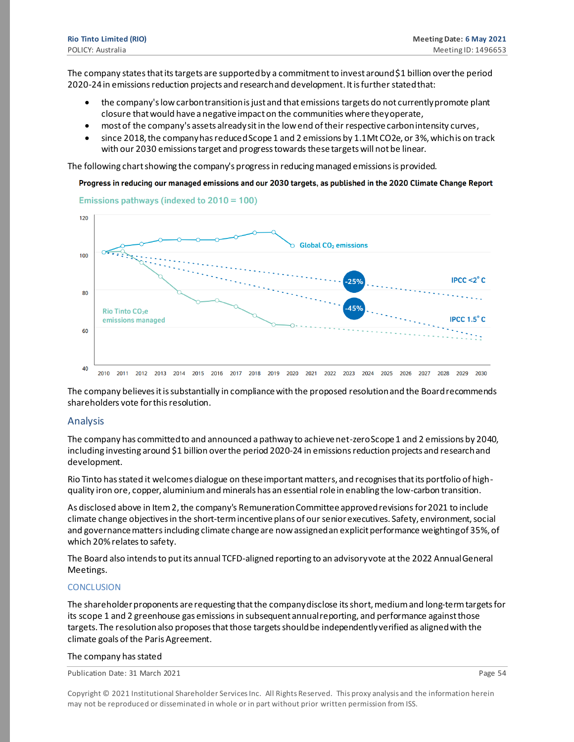The company states that its targets are supported by a commitment to invest around \$1 billion over the period 2020-24 in emissions reduction projects and research and development. It is further stated that:

- the company's low carbon transition is just and that emissions targets do not currently promote plant closure that would have a negative impact on the communities where they operate,
- most of the company's assets already sit in the low end of their respective carbon intensity curves,
- since 2018, the company has reduced Scope 1 and 2 emissions by 1.1Mt CO2e, or 3%, which is on track with our 2030 emissions target and progress towards these targets will not be linear.

The following chart showing the company's progress in reducing managed emissions is provided.

Progress in reducing our managed emissions and our 2030 targets, as published in the 2020 Climate Change Report



Emissions pathways (indexed to 2010 = 100)

The company believes it is substantially in compliance with the proposed resolutionand the Board recommends shareholders vote for this resolution.

#### Analysis

The company has committed to and announced a pathway to achieve net-zero Scope 1 and 2 emissions by 2040, including investing around \$1 billion over the period 2020-24 in emissions reduction projects and research and development.

Rio Tinto has stated it welcomes dialogue on these important matters, and recognises that its portfolio of highquality iron ore, copper, aluminium and minerals has an essential role in enabling the low-carbon transition.

As disclosed above in Item 2, the company's Remuneration Committee approved revisions for 2021 to include climate change objectives in the short-termincentive plans of our senior executives. Safety, environment, social and governance matters including climate change are now assigned an explicit performance weighting of 35%, of which 20% relates to safety.

The Board also intends to put its annual TCFD-aligned reporting to an advisory vote at the 2022 Annual General Meetings.

#### **CONCLUSION**

The shareholder proponents are requesting that the company disclose its short, medium and long-term targets for its scope 1 and 2 greenhouse gas emissions in subsequent annual reporting, and performance against those targets. The resolution also proposes that those targets should be independently verified as aligned with the climate goals of the Paris Agreement.

#### The company has stated

Publication Date: 31 March 2021 **Page 54** Page 54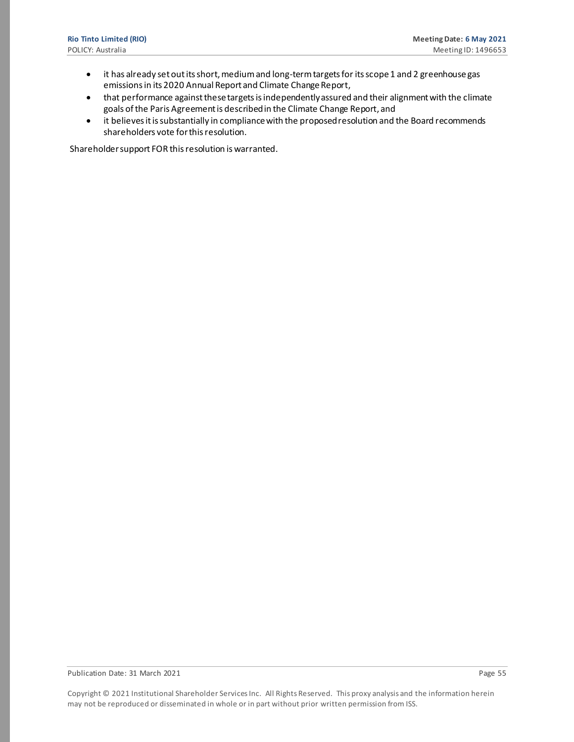- it has already set outits short, medium and long-term targets for its scope 1 and 2 greenhouse gas emissions in its 2020 Annual Report and Climate Change Report,
- that performance against these targets is independently assured and their alignment with the climate goals of the Paris Agreement is described in the Climate Change Report, and
- it believes it is substantially in compliance with the proposed resolution and the Board recommends shareholders vote for this resolution.

Shareholder support FOR this resolution is warranted.

Publication Date: 31 March 2021 **Page 55** and 2021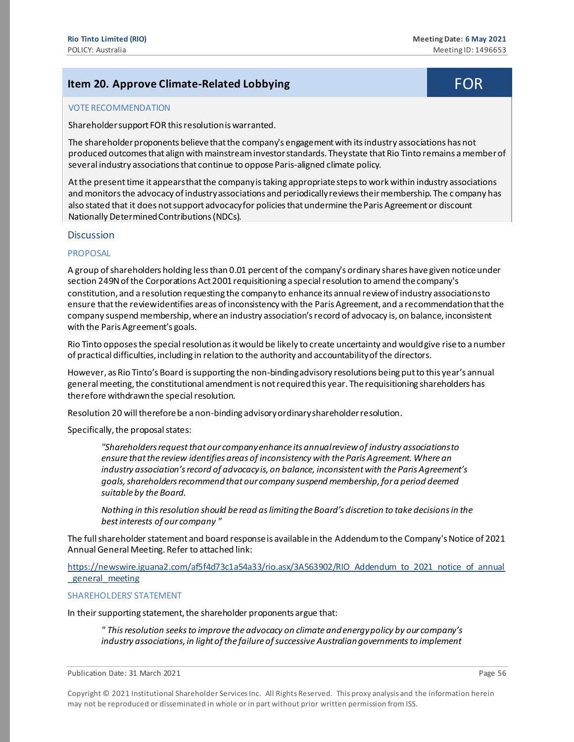# <span id="page-55-0"></span>**Item 20. Approve Climate-Related Lobbying The Contract of Top Related Lobbying**

#### VOTE RECOMMENDATION

Shareholder support FOR this resolution is warranted.

The shareholder proponents believe that the company's engagement with its industry associations has not produced outcomes that align with mainstream investor standards. They state that Rio Tinto remains a member of several industry associations that continue to oppose Paris-aligned climate policy.

At the present time it appears that the company is taking appropriate steps to work within industry associations and monitors the advocacy of industry associations and periodically reviews their membership. The company has also stated that it does not support advocacy for policies that undermine the Paris Agreement or discount Nationally Determined Contributions (NDCs).

#### **Discussion**

#### PROPOSAL

A group of shareholders holding less than 0.01 percent of the company's ordinary shares have given notice under section 249N of the Corporations Act 2001 requisitioning a special resolution to amend the company's constitution, and a resolution requesting the company to enhance its annual review of industry associations to ensure that the review identifies areas of inconsistency with the Paris Agreement, and a recommendation that the company suspend membership, where an industry association's record of advocacy is, on balance, inconsistent with the Paris Agreement's goals.

Rio Tinto opposes the special resolution as it would be likely to create uncertainty and would give rise to a number of practical difficulties, including in relation to the authority and accountability of the directors.

However, as Rio Tinto's Board is supporting the non-binding advisory resolutions being put to this year's annual general meeting, the constitutional amendment is not required this year. The requisitioning shareholders has therefore withdrawn the special resolution.

Resolution 20 will therefore be a non-binding advisory ordinary shareholder resolution.

Specifically, the proposal states:

*"Shareholders request that our company enhance its annual review of industry associations to ensure that the review identifies areas of inconsistency with the Paris Agreement. Where an industry association's record of advocacy is, on balance, inconsistent with the Paris Agreement's goals, shareholders recommend that our company suspend membership, for a period deemed suitable by the Board.*

*Nothing in this resolution should be read as limiting the Board's discretion to take decisions in the best interests of our company "*

The full shareholder statement and board response is available in the Addendum to the Company's Notice of 2021 Annual General Meeting. Refer to attached link:

[https://newswire.iguana2.com/af5f4d73c1a54a33/rio.asx/3A563902/RIO\\_Addendum\\_to\\_2021\\_notice\\_of\\_annual](https://newswire.iguana2.com/af5f4d73c1a54a33/rio.asx/3A563902/RIO_Addendum_to_2021_notice_of_annual_general_meeting) general meeting

#### SHAREHOLDERS' STATEMENT

In their supporting statement, the shareholder proponents argue that:

*" This resolution seeks to improve the advocacy on climate and energy policy by our company's*  industry associations, in light of the failure of successive Australian governments to implement

Publication Date: 31 March 2021 **Page 56** and 2021 **Page 56** and 2021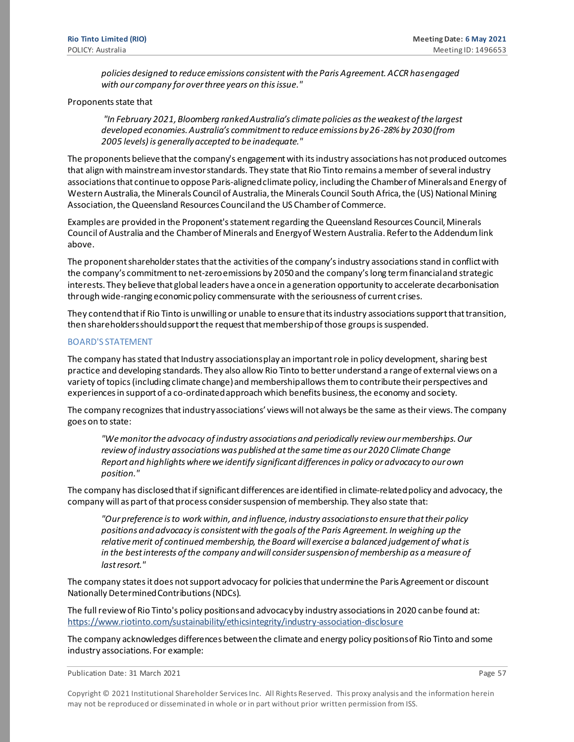*policies designed to reduce emissions consistent with the Paris Agreement. ACCR has engaged with our company for over three years on this issue."*

#### Proponents state that

*"In February 2021, Bloomberg ranked Australia's climate policies as the weakest of the largest developed economies. Australia's commitment to reduce emissions by 26-28% by 2030 (from 2005 levels) is generally accepted to be inadequate."*

The proponents believe that the company's engagement with its industry associations has not produced outcomes that align with mainstream investor standards. They state that Rio Tinto remains a member of several industry associations that continue to oppose Paris-aligned climate policy, including the Chamber of Minerals and Energy of Western Australia, the Minerals Council of Australia, the Minerals Council South Africa, the (US) National Mining Association, the Queensland Resources Council and the US Chamber of Commerce.

Examples are provided in the Proponent's statement regarding the Queensland Resources Council, Minerals Council of Australia and the Chamber of Minerals and Energy of Western Australia. Refer to the Addendum link above.

The proponent shareholder states that the activities of the company's industry associationsstand in conflict with the company's commitment to net-zero emissions by 2050 and the company's long term financial and strategic interests. They believe that global leaders have a once in a generation opportunity to accelerate decarbonisation through wide-ranging economic policy commensurate with the seriousness of current crises.

They contend that if Rio Tinto is unwilling or unable to ensure that its industry associations support that transition, then shareholders should support the request that membership of those groups is suspended.

#### BOARD'S STATEMENT

The company has stated that Industry associations play an important role in policy development, sharing best practice and developing standards. They also allow Rio Tinto to better understand a range of external views on a variety of topics (including climate change) and membership allows them to contribute their perspectives and experiences in support of a co-ordinated approach which benefits business, the economy and society.

The company recognizes that industry associations' views will not always be the same as their views. The company goes on to state:

*"We monitor the advocacy of industry associations and periodically review our memberships. Our review of industry associations was published at the same time as our 2020 Climate Change Report and highlights where we identify significant differences in policy or advocacy to our own position."*

The company has disclosed that if significant differences are identified in climate-related policy and advocacy, the company will as part of that process consider suspension of membership. They also state that:

*"Our preference is to work within, and influence, industry associations to ensure that their policy positions and advocacy is consistent with the goals of the Paris Agreement. In weighing up the*  relative merit of continued membership, the Board will exercise a balanced judgement of what is *in the bestinterests of the company and will consider suspension of membership as a measure of last resort."*

The company states it does not support advocacy for policies that undermine the Paris Agreement or discount Nationally Determined Contributions (NDCs).

The full review of Rio Tinto's policy positions and advocacy by industry associations in 2020 can be found at: <https://www.riotinto.com/sustainability/ethicsintegrity/industry-association-disclosure>

The company acknowledges differences between the climate and energy policy positions of Rio Tinto and some industry associations. For example:

Publication Date: 31 March 2021 **Page 57** Page 57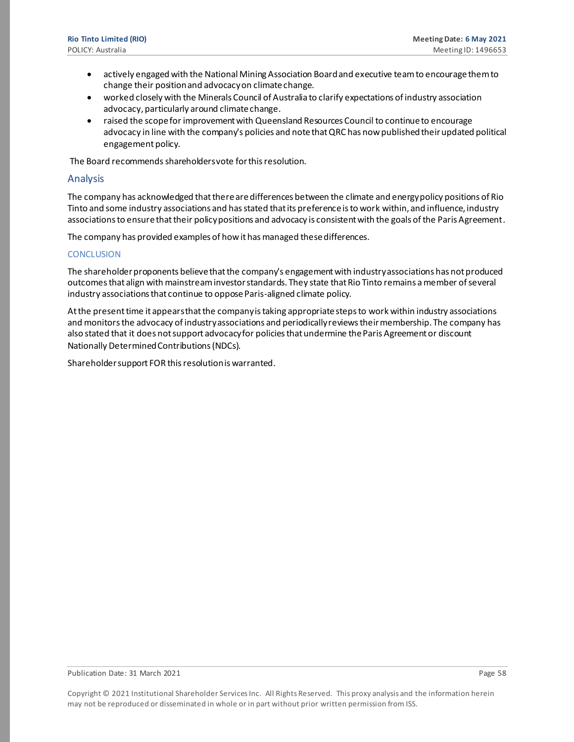- actively engaged with the National Mining Association Board and executive team to encourage them to change their position and advocacy on climate change.
- worked closely with the Minerals Council of Australia to clarify expectations of industry association advocacy, particularly around climate change.
- raised the scope for improvement with Queensland Resources Council to continue to encourage advocacy in line with the company's policies and note thatQRC has now published their updated political engagement policy.

The Board recommends shareholders vote for this resolution.

#### Analysis

The company has acknowledged that there are differences between the climate and energy policy positions of Rio Tinto and some industry associations and has stated that its preference is to work within, and influence, industry associations to ensure that their policy positions and advocacy is consistent with the goals of the Paris Agreement.

The company has provided examples of how it has managed these differences.

#### **CONCLUSION**

The shareholder proponents believe that the company's engagement with industry associations has not produced outcomes that align with mainstream investor standards. They state that Rio Tinto remains a member of several industry associations that continue to oppose Paris-aligned climate policy.

At the present time it appears that the company is taking appropriate steps to work within industry associations and monitors the advocacy of industry associations and periodically reviews their membership. The company has also stated that it does not support advocacy for policies that undermine the Paris Agreement or discount Nationally Determined Contributions (NDCs).

Shareholder support FOR this resolution is warranted.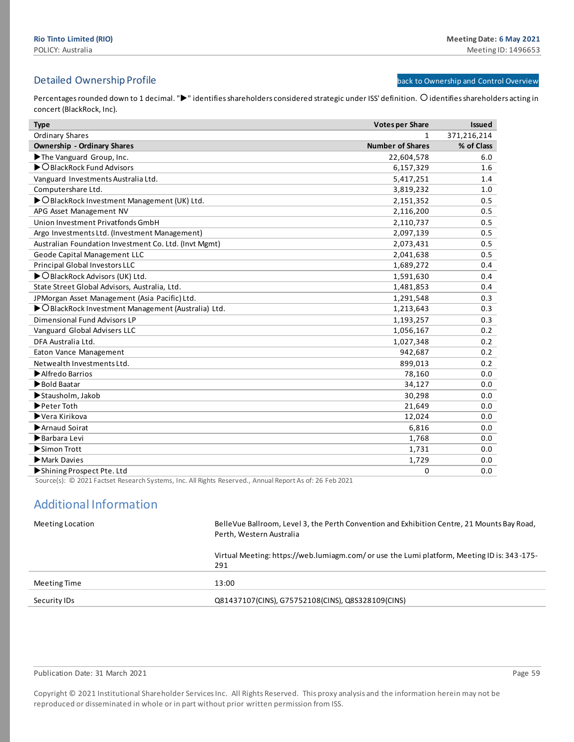## <span id="page-58-1"></span>Detailed Ownership Profile **back t[o Ownership and Control Overview](#page-7-0)** back to Ownership and Control Overview

Percentages rounded down to 1 decimal. ">" identifies shareholders considered strategic under ISS' definition. O identifies shareholders acting in concert (BlackRock, Inc).

| <b>Type</b>                                           | <b>Votes per Share</b>  | <b>Issued</b> |
|-------------------------------------------------------|-------------------------|---------------|
| <b>Ordinary Shares</b>                                | $\mathbf{1}$            | 371,216,214   |
| <b>Ownership - Ordinary Shares</b>                    | <b>Number of Shares</b> | % of Class    |
| The Vanguard Group, Inc.                              | 22,604,578              | 6.0           |
| $\triangleright$ O BlackRock Fund Advisors            | 6,157,329               | 1.6           |
| Vanguard Investments Australia Ltd.                   | 5,417,251               | 1.4           |
| Computershare Ltd.                                    | 3,819,232               | 1.0           |
| ▶ O BlackRock Investment Management (UK) Ltd.         | 2,151,352               | 0.5           |
| APG Asset Management NV                               | 2,116,200               | 0.5           |
| Union Investment Privatfonds GmbH                     | 2,110,737               | 0.5           |
| Argo Investments Ltd. (Investment Management)         | 2,097,139               | 0.5           |
| Australian Foundation Investment Co. Ltd. (Invt Mgmt) | 2,073,431               | 0.5           |
| Geode Capital Management LLC                          | 2,041,638               | 0.5           |
| <b>Principal Global Investors LLC</b>                 | 1,689,272               | 0.4           |
| ▶ O BlackRock Advisors (UK) Ltd.                      | 1,591,630               | 0.4           |
| State Street Global Advisors, Australia, Ltd.         | 1,481,853               | 0.4           |
| JPMorgan Asset Management (Asia Pacific) Ltd.         | 1,291,548               | 0.3           |
| ▶ O BlackRock Investment Management (Australia) Ltd.  | 1,213,643               | 0.3           |
| Dimensional Fund Advisors LP                          | 1,193,257               | 0.3           |
| Vanguard Global Advisers LLC                          | 1,056,167               | 0.2           |
| DFA Australia Ltd.                                    | 1,027,348               | 0.2           |
| Eaton Vance Management                                | 942,687                 | 0.2           |
| Netwealth Investments Ltd.                            | 899,013                 | 0.2           |
| Alfredo Barrios                                       | 78,160                  | 0.0           |
| Bold Baatar                                           | 34,127                  | 0.0           |
| Stausholm, Jakob                                      | 30,298                  | 0.0           |
| Peter Toth                                            | 21,649                  | 0.0           |
| ▶Vera Kirikova                                        | 12,024                  | 0.0           |
| Arnaud Soirat                                         | 6,816                   | 0.0           |
| Barbara Levi                                          | 1,768                   | 0.0           |
| Simon Trott                                           | 1,731                   | 0.0           |
| Mark Davies                                           | 1,729                   | 0.0           |
| Shining Prospect Pte. Ltd                             | 0                       | 0.0           |

Source(s): © 2021 Factset Research Systems, Inc. All Rights Reserved., Annual Report As of: 26 Feb 2021

# Additional Information

<span id="page-58-0"></span>

| Meeting Location | Belle Vue Ballroom, Level 3, the Perth Convention and Exhibition Centre, 21 Mounts Bay Road,<br>Perth, Western Australia |
|------------------|--------------------------------------------------------------------------------------------------------------------------|
|                  | Virtual Meeting: https://web.lumiagm.com/ or use the Lumi platform, Meeting ID is: 343-175-<br>291                       |
|                  |                                                                                                                          |
| Meeting Time     | 13:00                                                                                                                    |
|                  |                                                                                                                          |
| Security IDs     | Q81437107(CINS), G75752108(CINS), Q8S328109(CINS)                                                                        |